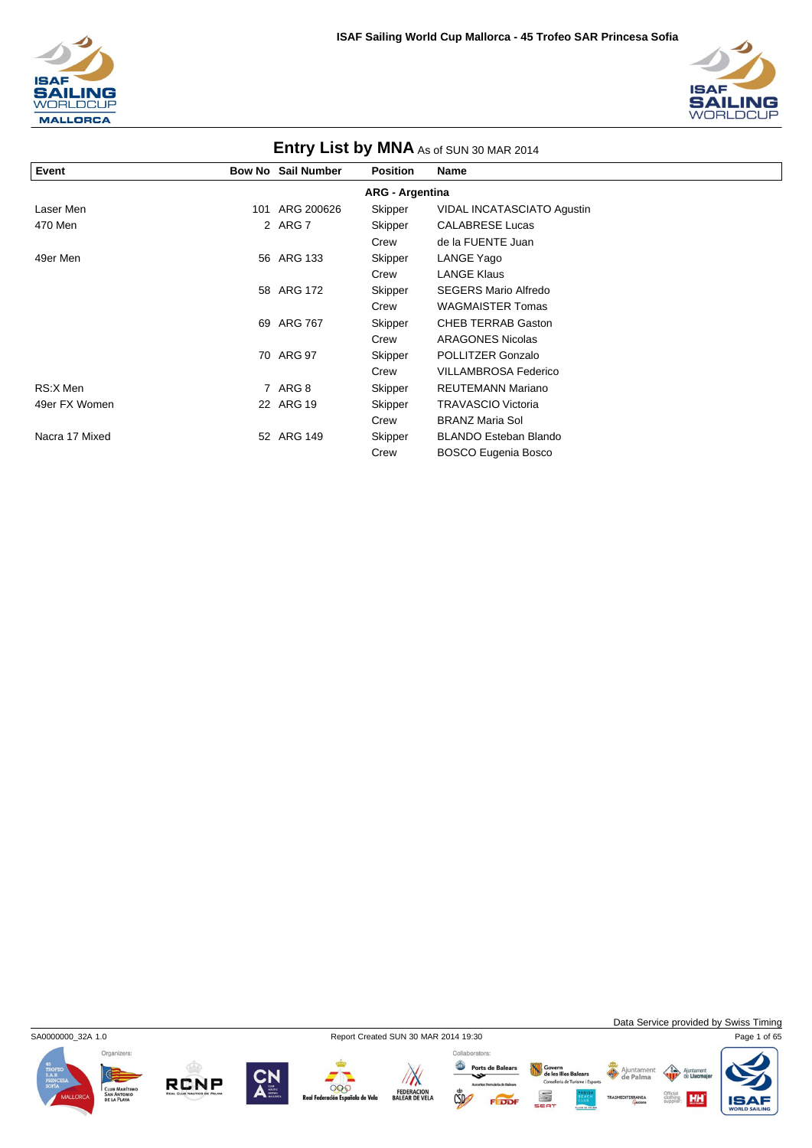



| <b>ETITLY LIST DY IVINA</b> As of SUN 30 MAR 2014 |     |                           |                        |                              |  |  |  |
|---------------------------------------------------|-----|---------------------------|------------------------|------------------------------|--|--|--|
| Event                                             |     | <b>Bow No Sail Number</b> | <b>Position</b>        | <b>Name</b>                  |  |  |  |
|                                                   |     |                           | <b>ARG - Argentina</b> |                              |  |  |  |
| Laser Men                                         | 101 | ARG 200626                | Skipper                | VIDAL INCATASCIATO Agustin   |  |  |  |
| 470 Men                                           |     | 2 ARG 7                   | Skipper                | <b>CALABRESE Lucas</b>       |  |  |  |
|                                                   |     |                           | Crew                   | de la FUENTE Juan            |  |  |  |
| 49er Men                                          |     | 56 ARG 133                | Skipper                | LANGE Yago                   |  |  |  |
|                                                   |     |                           | Crew                   | <b>LANGE Klaus</b>           |  |  |  |
|                                                   |     | 58 ARG 172                | Skipper                | <b>SEGERS Mario Alfredo</b>  |  |  |  |
|                                                   |     |                           | Crew                   | <b>WAGMAISTER Tomas</b>      |  |  |  |
|                                                   |     | 69 ARG 767                | Skipper                | <b>CHEB TERRAB Gaston</b>    |  |  |  |
|                                                   |     |                           | Crew                   | <b>ARAGONES Nicolas</b>      |  |  |  |
|                                                   |     | 70 ARG 97                 | Skipper                | POLLITZER Gonzalo            |  |  |  |
|                                                   |     |                           | Crew                   | <b>VILLAMBROSA Federico</b>  |  |  |  |
| RS:X Men                                          |     | 7 ARG 8                   | Skipper                | <b>REUTEMANN Mariano</b>     |  |  |  |
| 49er FX Women                                     |     | 22 ARG 19                 | Skipper                | <b>TRAVASCIO Victoria</b>    |  |  |  |
|                                                   |     |                           | Crew                   | <b>BRANZ Maria Sol</b>       |  |  |  |
| Nacra 17 Mixed                                    |     | 52 ARG 149                | Skipper                | <b>BLANDO Esteban Blando</b> |  |  |  |
|                                                   |     |                           | Crew                   | <b>BOSCO Eugenia Bosco</b>   |  |  |  |

### **Entry List by MNA**



**RCNP** 



000

iola de Vela

 $\mathbb{Z}$ 

FEDERACION<br>BALEAR DE VELA

Collaborators:

 $\mathbb{C}$ 

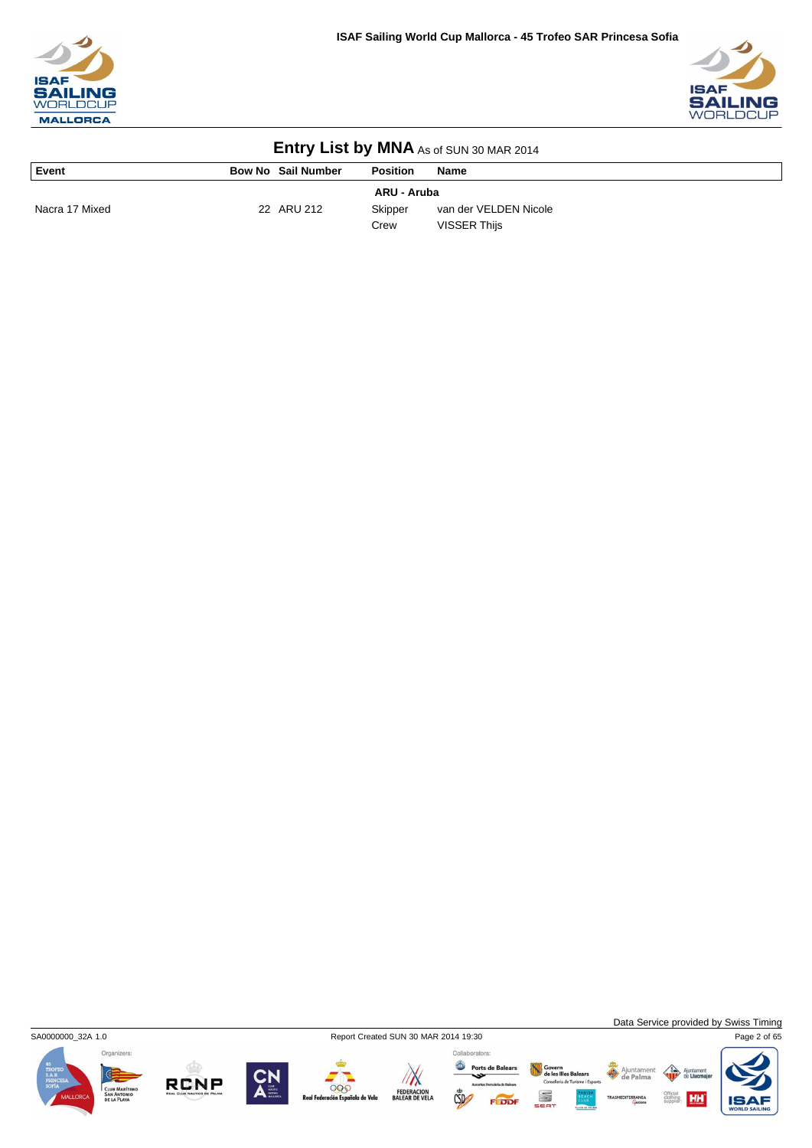



| Event          | <b>Bow No Sail Number</b> | <b>Position</b> | <b>Name</b>           |
|----------------|---------------------------|-----------------|-----------------------|
|                |                           | ARU - Aruba     |                       |
| Nacra 17 Mixed | 22 ARU 212                | Skipper         | van der VELDEN Nicole |
|                |                           | Crew            | VISSER Thijs          |



**RCNP** 

000

a de Vela

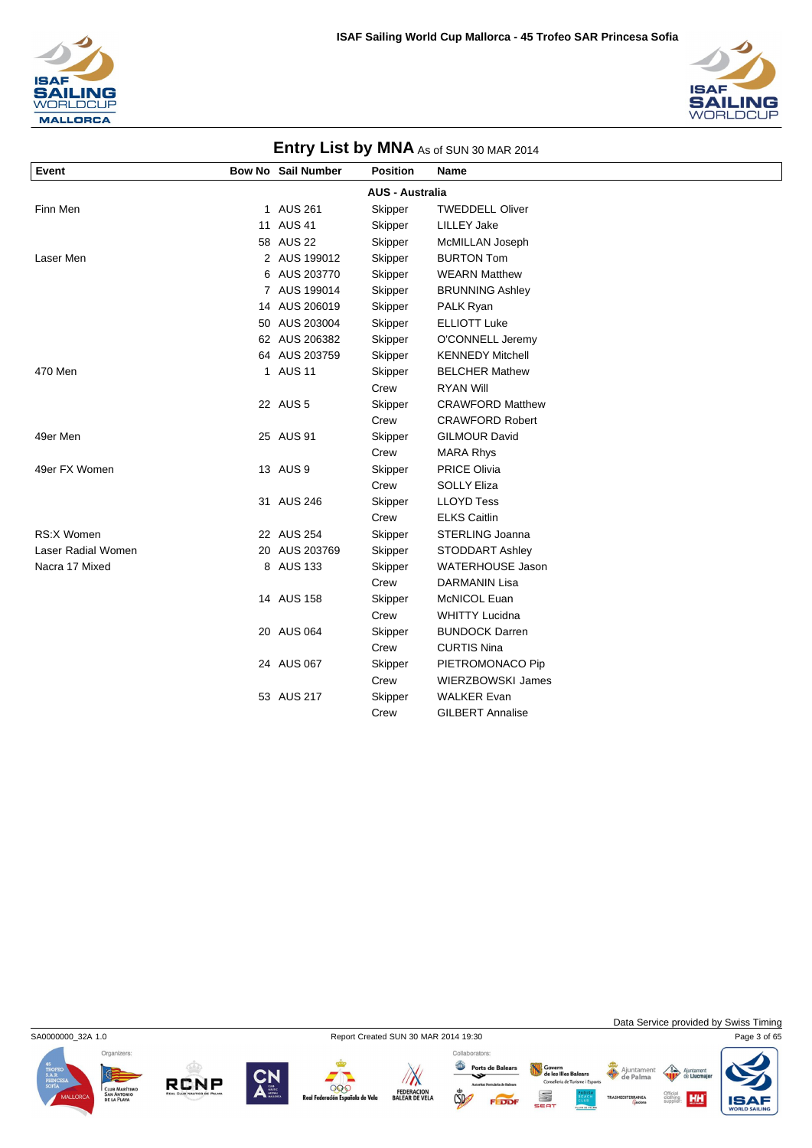



|                    |                           |                        | <b>ETILLY LIST DY IVINA</b> As of SUN 30 MAR 2014 |
|--------------------|---------------------------|------------------------|---------------------------------------------------|
| Event              | <b>Bow No Sail Number</b> | <b>Position</b>        | Name                                              |
|                    |                           | <b>AUS - Australia</b> |                                                   |
| Finn Men           | 1 AUS 261                 | Skipper                | <b>TWEDDELL Oliver</b>                            |
|                    | 11 AUS 41                 | Skipper                | <b>LILLEY Jake</b>                                |
|                    | 58 AUS 22                 | Skipper                | McMILLAN Joseph                                   |
| Laser Men          | 2 AUS 199012              | Skipper                | <b>BURTON Tom</b>                                 |
|                    | 6 AUS 203770              | Skipper                | <b>WEARN Matthew</b>                              |
|                    | 7 AUS 199014              | Skipper                | <b>BRUNNING Ashley</b>                            |
|                    | 14 AUS 206019             | Skipper                | PALK Ryan                                         |
|                    | 50 AUS 203004             | Skipper                | <b>ELLIOTT Luke</b>                               |
|                    | 62 AUS 206382             | Skipper                | O'CONNELL Jeremy                                  |
|                    | 64 AUS 203759             | Skipper                | <b>KENNEDY Mitchell</b>                           |
| 470 Men            | 1 AUS 11                  | Skipper                | <b>BELCHER Mathew</b>                             |
|                    |                           | Crew                   | <b>RYAN Will</b>                                  |
|                    | 22 AUS 5                  | Skipper                | <b>CRAWFORD Matthew</b>                           |
|                    |                           | Crew                   | <b>CRAWFORD Robert</b>                            |
| 49er Men           | 25 AUS 91                 | Skipper                | <b>GILMOUR David</b>                              |
|                    |                           | Crew                   | <b>MARA Rhys</b>                                  |
| 49er FX Women      | 13 AUS 9                  | Skipper                | <b>PRICE Olivia</b>                               |
|                    |                           | Crew                   | <b>SOLLY Eliza</b>                                |
|                    | 31 AUS 246                | Skipper                | <b>LLOYD Tess</b>                                 |
|                    |                           | Crew                   | <b>ELKS Caitlin</b>                               |
| <b>RS:X Women</b>  | 22 AUS 254                | Skipper                | STERLING Joanna                                   |
| Laser Radial Women | 20 AUS 203769             | Skipper                | STODDART Ashley                                   |
| Nacra 17 Mixed     | 8 AUS 133                 | Skipper                | <b>WATERHOUSE Jason</b>                           |
|                    |                           | Crew                   | <b>DARMANIN Lisa</b>                              |
|                    | 14 AUS 158                | Skipper                | McNICOL Euan                                      |
|                    |                           | Crew                   | <b>WHITTY Lucidna</b>                             |
|                    | 20 AUS 064                | Skipper                | <b>BUNDOCK Darren</b>                             |
|                    |                           | Crew                   | <b>CURTIS Nina</b>                                |
|                    | 24 AUS 067                | Skipper                | PIETROMONACO Pip                                  |
|                    |                           | Crew                   | <b>WIERZBOWSKI James</b>                          |
|                    | 53 AUS 217                | Skipper                | <b>WALKER Evan</b>                                |
|                    |                           | Crew                   | <b>GILBERT Annalise</b>                           |

#### **Entry Liet by MNA** As COUNCOMA



**RCNP** 



000

ola de Vela

 $\sqrt{N}$ 



Govern<br>de les Illes Balears<br>Conselleria de Turisme i Esports

S

FEDDI

Ajuntament<br>de Palma

Data Service provided by Swiss Timing

**HH** 

 $\left\langle \right\rangle$ Ajunt

**IS**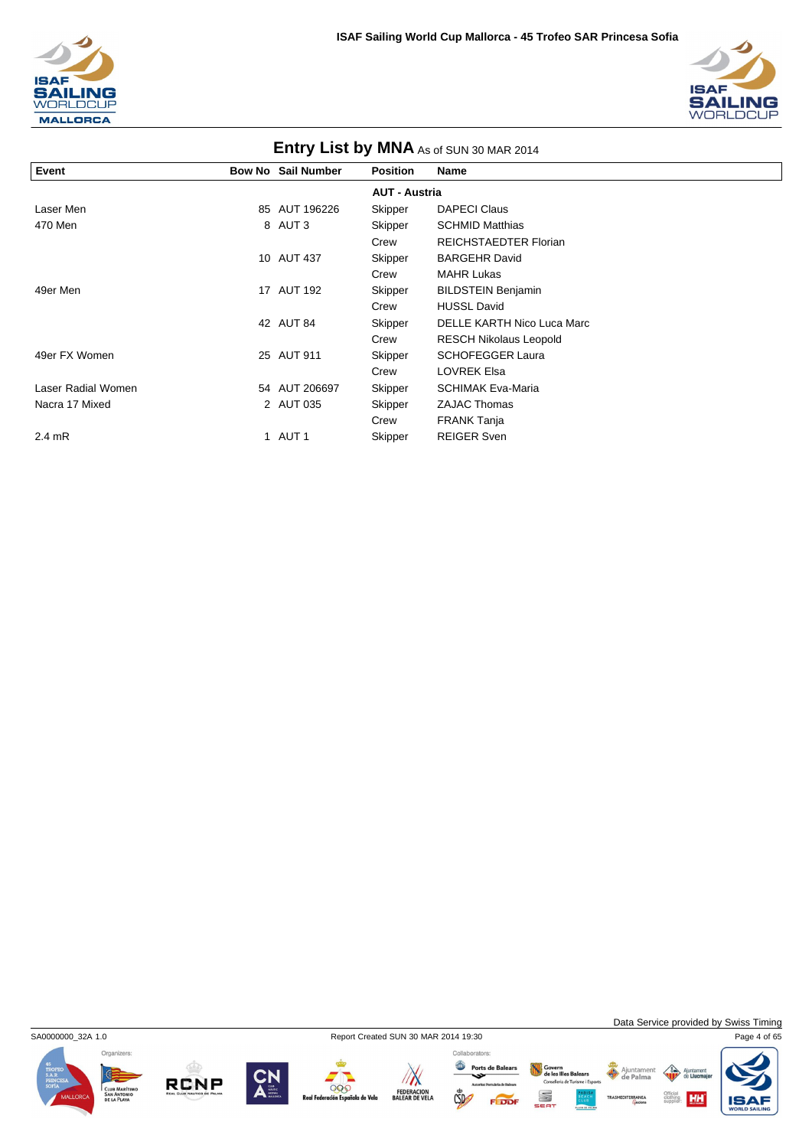



|                    | Entry List by MNA As of SUN 30 MAR 2014 |                           |                      |                               |  |  |
|--------------------|-----------------------------------------|---------------------------|----------------------|-------------------------------|--|--|
| Event              |                                         | <b>Bow No Sail Number</b> | <b>Position</b>      | Name                          |  |  |
|                    |                                         |                           | <b>AUT - Austria</b> |                               |  |  |
| Laser Men          |                                         | 85 AUT 196226             | Skipper              | <b>DAPECI Claus</b>           |  |  |
| 470 Men            |                                         | 8 AUT 3                   | Skipper              | <b>SCHMID Matthias</b>        |  |  |
|                    |                                         |                           | Crew                 | <b>REICHSTAEDTER Florian</b>  |  |  |
|                    |                                         | 10 AUT 437                | Skipper              | <b>BARGEHR David</b>          |  |  |
|                    |                                         |                           | Crew                 | <b>MAHR Lukas</b>             |  |  |
| 49er Men           |                                         | 17 AUT 192                | Skipper              | <b>BILDSTEIN Benjamin</b>     |  |  |
|                    |                                         |                           | Crew                 | <b>HUSSL David</b>            |  |  |
|                    |                                         | 42 AUT 84                 | Skipper              | DELLE KARTH Nico Luca Marc    |  |  |
|                    |                                         |                           | Crew                 | <b>RESCH Nikolaus Leopold</b> |  |  |
| 49er FX Women      |                                         | 25 AUT 911                | Skipper              | <b>SCHOFEGGER Laura</b>       |  |  |
|                    |                                         |                           | Crew                 | <b>LOVREK Elsa</b>            |  |  |
| Laser Radial Women |                                         | 54 AUT 206697             | Skipper              | <b>SCHIMAK Eva-Maria</b>      |  |  |
| Nacra 17 Mixed     |                                         | 2 AUT 035                 | Skipper              | <b>ZAJAC Thomas</b>           |  |  |
|                    |                                         |                           | Crew                 | <b>FRANK Tanja</b>            |  |  |
| $2.4 \text{ mR}$   |                                         | 1 AUT 1                   | Skipper              | <b>REIGER Sven</b>            |  |  |

Organizers:

RCNP

SA0000000\_32A 1.0 Report Created SUN 30 MAR 2014 19:30 Page 4 of 65





 $\mathbb{C}$ 

Collaborators: Ports de Balears Govern<br>de les Illes Balears<br>Conselleria de Turisme i Esports S FEDDF

Data Service provided by Swiss Timing

**HH** 

Ajunta

Official<br>clothing<br>supplier:

Ajuntament

IS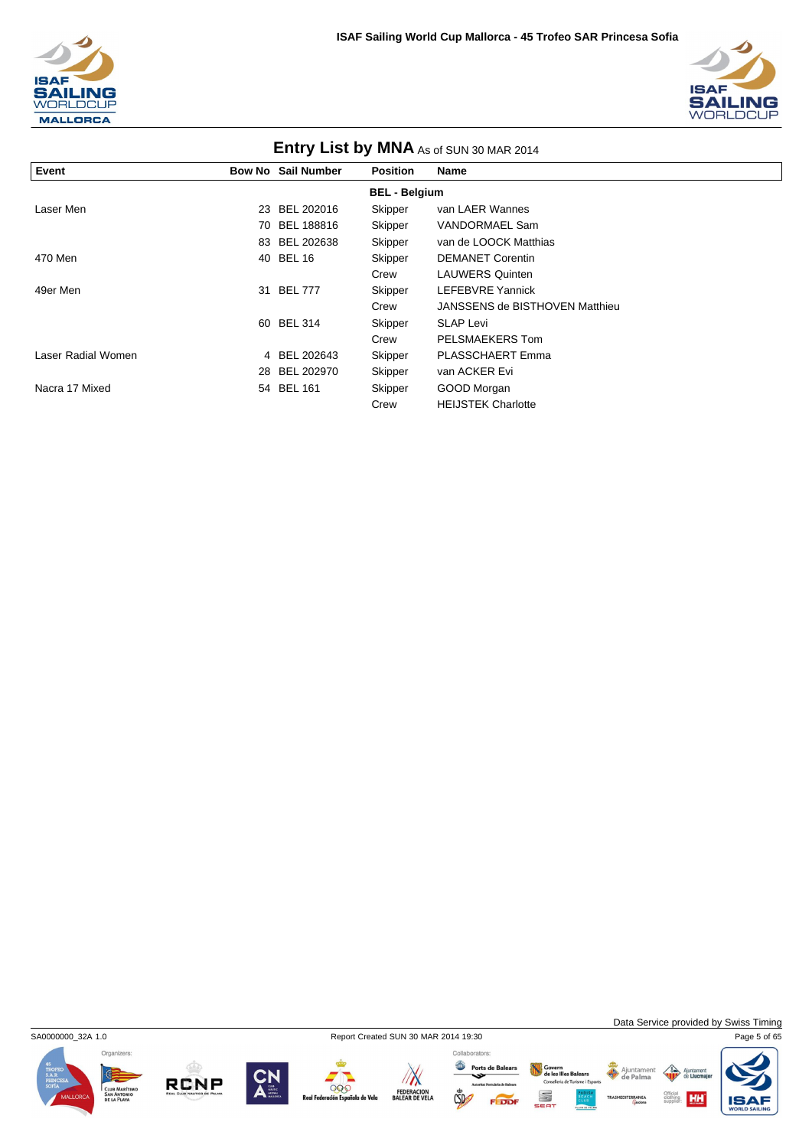



|                    | <b>ETTLE Y LIST DY IVITY AS OF SUN 30 MAR 2014</b> |                           |                      |                                |  |  |  |
|--------------------|----------------------------------------------------|---------------------------|----------------------|--------------------------------|--|--|--|
| Event              |                                                    | <b>Bow No Sail Number</b> | <b>Position</b>      | <b>Name</b>                    |  |  |  |
|                    |                                                    |                           | <b>BEL - Belgium</b> |                                |  |  |  |
| Laser Men          |                                                    | 23 BEL 202016             | Skipper              | van LAER Wannes                |  |  |  |
|                    | 70                                                 | BEL 188816                | Skipper              | <b>VANDORMAEL Sam</b>          |  |  |  |
|                    |                                                    | 83 BEL 202638             | Skipper              | van de LOOCK Matthias          |  |  |  |
| 470 Men            |                                                    | 40 BEL 16                 | Skipper              | <b>DEMANET Corentin</b>        |  |  |  |
|                    |                                                    |                           | Crew                 | <b>LAUWERS Quinten</b>         |  |  |  |
| 49er Men           | 31                                                 | <b>BEL 777</b>            | Skipper              | LEFEBVRE Yannick               |  |  |  |
|                    |                                                    |                           | Crew                 | JANSSENS de BISTHOVEN Matthieu |  |  |  |
|                    |                                                    | 60 BEL 314                | Skipper              | <b>SLAP Levi</b>               |  |  |  |
|                    |                                                    |                           | Crew                 | PELSMAEKERS Tom                |  |  |  |
| Laser Radial Women |                                                    | 4 BEL 202643              | Skipper              | PLASSCHAERT Emma               |  |  |  |
|                    |                                                    | 28 BEL 202970             | Skipper              | van ACKER Evi                  |  |  |  |
| Nacra 17 Mixed     |                                                    | 54 BEL 161                | Skipper              | GOOD Morgan                    |  |  |  |
|                    |                                                    |                           | Crew                 | <b>HEIJSTEK Charlotte</b>      |  |  |  |



**RCNP** 



000

ola de Vela

 $\sqrt{N}$ 

FEDERACION<br>BALEAR DE VELA

 $\mathbb{C}$ 

FEDDI

Data Service provided by Swiss Timing

Collaborators: Ports de Balears Govern<br>de les Illes Balears<br>Conselleria de Turisme i Esports Ajuntament<br>
de Palma

S

 $\triangle$ Ajun **HH** 

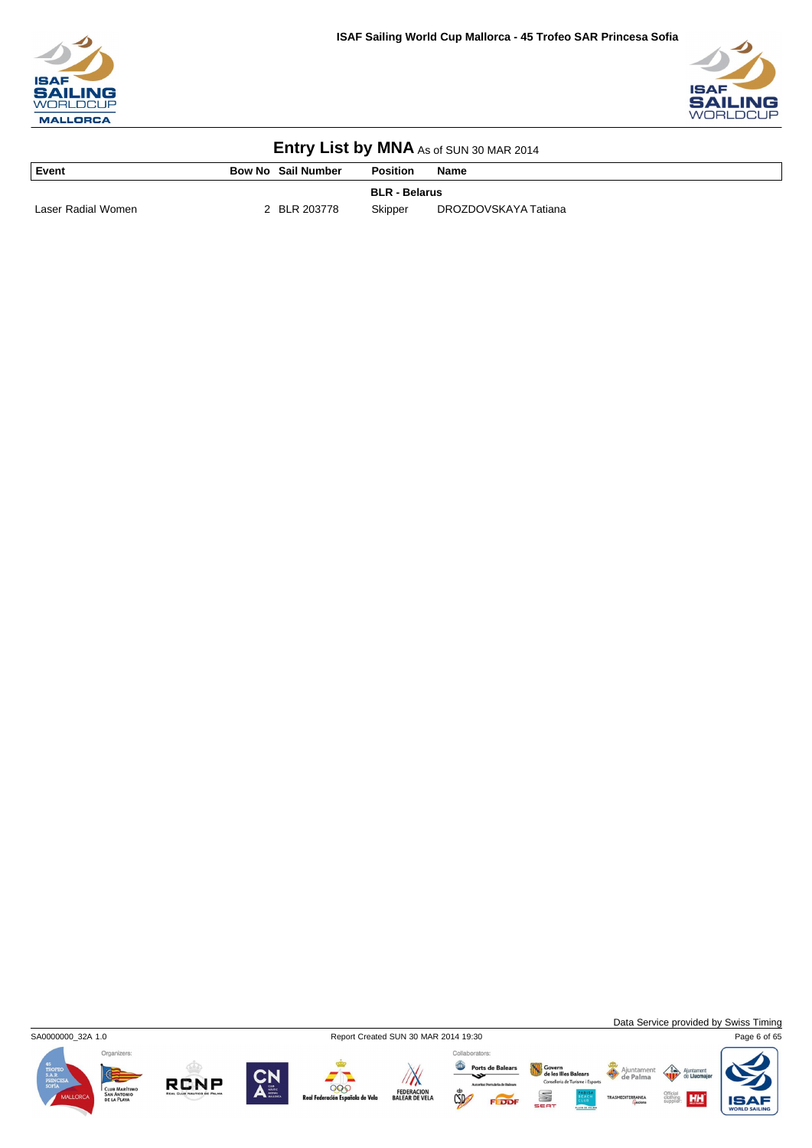



| Event              | <b>Bow No Sail Number</b> | <b>Position</b>      | <b>Name</b>          |
|--------------------|---------------------------|----------------------|----------------------|
|                    |                           | <b>BLR - Belarus</b> |                      |
| Laser Radial Women | 2 BLR 203778              | Skipper              | DROZDOVSKAYA Tatiana |



Data Service provided by Swiss Timing

HH







999

de Vela

Ports de Balears  $\sqrt{N}$ FEDERACION<br>BALEAR DE VELA  $CSD$ 

Collaborators:

Govern<br>de les Illes Balears<br>Conselleria de Turisme i Esport Ajuntamer<br>
de Palma S

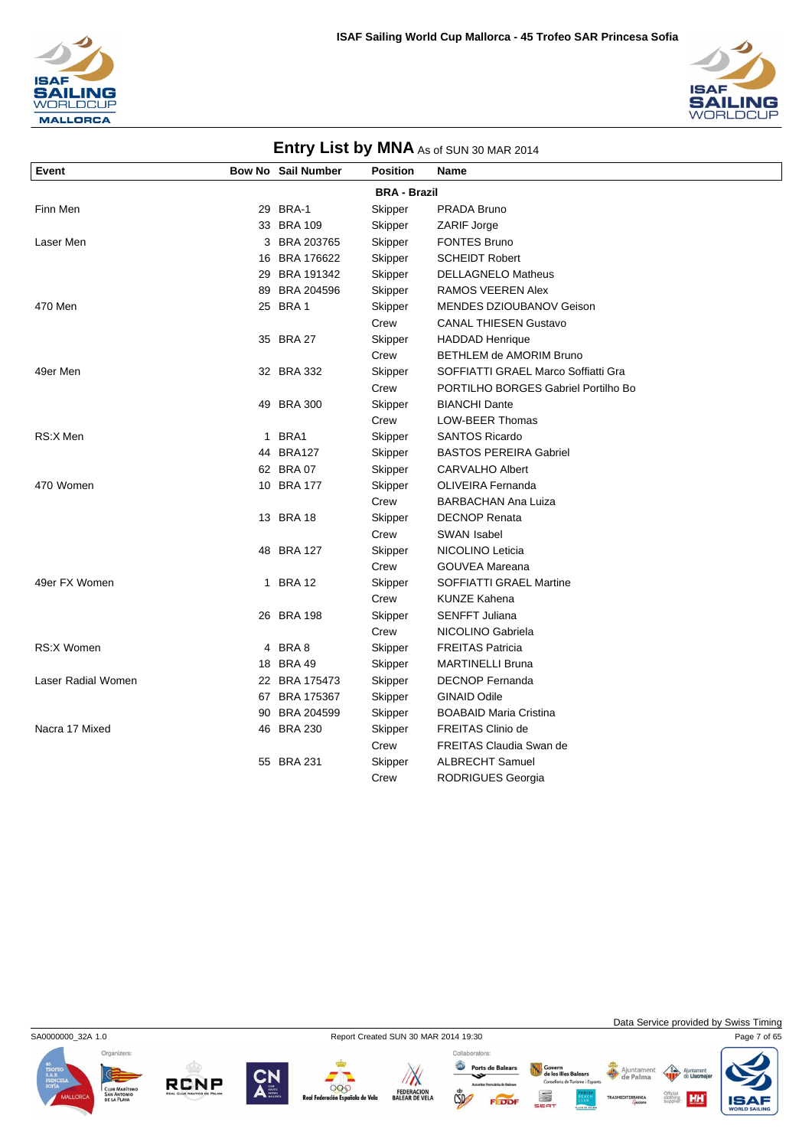



| Event              |             | Bow No Sail Number | <b>Position</b>     | Name                                |
|--------------------|-------------|--------------------|---------------------|-------------------------------------|
|                    |             |                    | <b>BRA - Brazil</b> |                                     |
| Finn Men           |             | 29 BRA-1           | Skipper             | PRADA Bruno                         |
|                    |             | 33 BRA 109         | Skipper             | ZARIF Jorge                         |
| Laser Men          |             | 3 BRA 203765       | Skipper             | <b>FONTES Bruno</b>                 |
|                    |             | 16 BRA 176622      | Skipper             | <b>SCHEIDT Robert</b>               |
|                    |             | 29 BRA 191342      | Skipper             | <b>DELLAGNELO Matheus</b>           |
|                    |             | 89 BRA 204596      | Skipper             | RAMOS VEEREN Alex                   |
| 470 Men            |             | 25 BRA 1           | Skipper             | MENDES DZIOUBANOV Geison            |
|                    |             |                    | Crew                | <b>CANAL THIESEN Gustavo</b>        |
|                    |             | 35 BRA 27          | Skipper             | <b>HADDAD Henrique</b>              |
|                    |             |                    | Crew                | BETHLEM de AMORIM Bruno             |
| 49er Men           |             | 32 BRA 332         | Skipper             | SOFFIATTI GRAEL Marco Soffiatti Gra |
|                    |             |                    | Crew                | PORTILHO BORGES Gabriel Portilho Bo |
|                    |             | 49 BRA 300         | Skipper             | <b>BIANCHI Dante</b>                |
|                    |             |                    | Crew                | LOW-BEER Thomas                     |
| RS:X Men           |             | 1 BRA1             | Skipper             | <b>SANTOS Ricardo</b>               |
|                    |             | 44 BRA127          | Skipper             | <b>BASTOS PEREIRA Gabriel</b>       |
|                    |             | 62 BRA 07          | Skipper             | <b>CARVALHO Albert</b>              |
| 470 Women          |             | 10 BRA 177         | Skipper             | OLIVEIRA Fernanda                   |
|                    |             |                    | Crew                | <b>BARBACHAN Ana Luiza</b>          |
|                    |             | 13 BRA 18          | Skipper             | <b>DECNOP Renata</b>                |
|                    |             |                    | Crew                | SWAN Isabel                         |
|                    |             | 48 BRA 127         | Skipper             | NICOLINO Leticia                    |
|                    |             |                    | Crew                | <b>GOUVEA Mareana</b>               |
| 49er FX Women      | $\mathbf 1$ | <b>BRA 12</b>      | Skipper             | <b>SOFFIATTI GRAEL Martine</b>      |
|                    |             |                    | Crew                | <b>KUNZE Kahena</b>                 |
|                    |             | 26 BRA 198         | Skipper             | <b>SENFFT Juliana</b>               |
|                    |             |                    | Crew                | NICOLINO Gabriela                   |
| <b>RS:X Women</b>  |             | 4 BRA 8            | Skipper             | <b>FREITAS Patricia</b>             |
|                    |             | 18 BRA 49          | Skipper             | <b>MARTINELLI Bruna</b>             |
| Laser Radial Women |             | 22 BRA 175473      | Skipper             | <b>DECNOP Fernanda</b>              |
|                    |             | 67 BRA 175367      | Skipper             | <b>GINAID Odile</b>                 |
|                    |             | 90 BRA 204599      | Skipper             | <b>BOABAID Maria Cristina</b>       |
| Nacra 17 Mixed     |             | 46 BRA 230         | Skipper             | <b>FREITAS Clinio de</b>            |
|                    |             |                    | Crew                | <b>FREITAS Claudia Swan de</b>      |
|                    |             | 55 BRA 231         | Skipper             | <b>ALBRECHT Samuel</b>              |
|                    |             |                    | Crew                | <b>RODRIGUES Georgia</b>            |

Organizers:

SA0000000\_32A 1.0 Report Created SUN 30 MAR 2014 19:30 Page 7 of 65





Data Service provided by Swiss Timing

HH

Ajuntamer<br>de Palma





 $CSD$ 

Govern<br>de les Illes Balears<br>Conselleria de Turisme i Esport S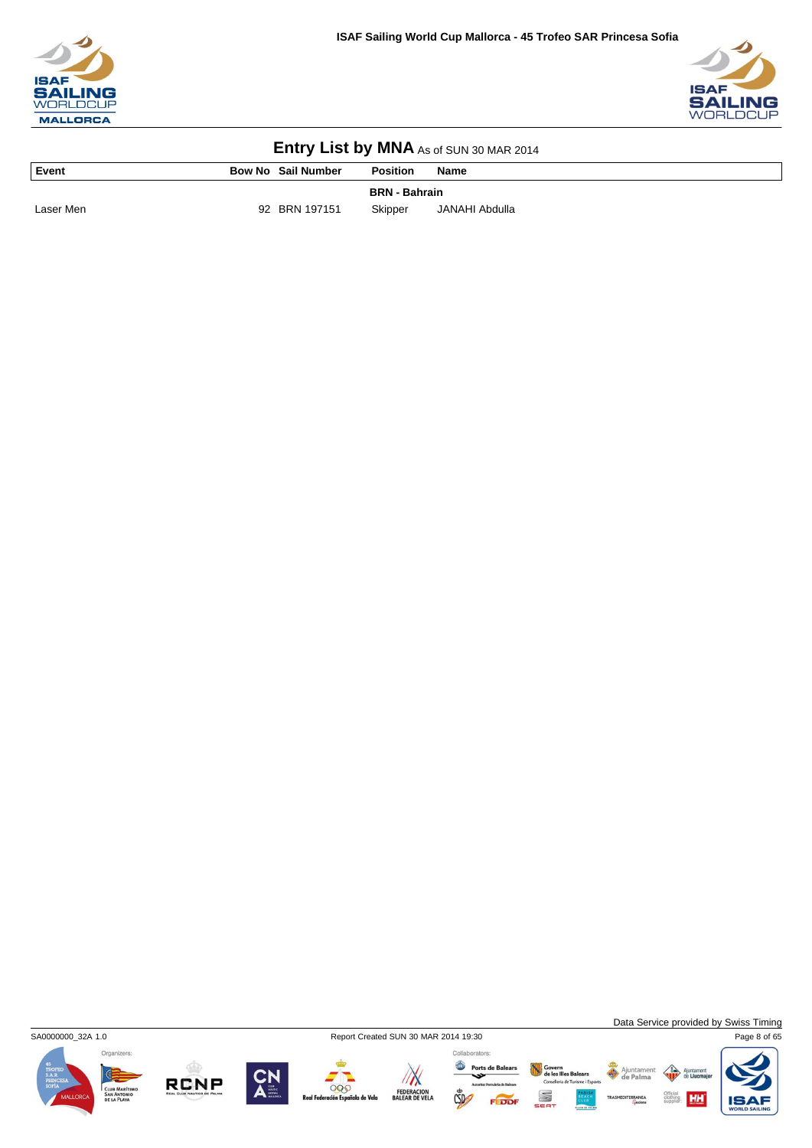



| Event<br><b>The Community of the Community</b> | <b>Bow No Sail Number</b> | <b>Position</b>      | <b>Name</b>    |
|------------------------------------------------|---------------------------|----------------------|----------------|
|                                                |                           | <b>BRN</b> - Bahrain |                |
| Laser Men                                      | 92 BRN 197151             | Skipper              | JANAHI Abdulla |



Data Service provided by Swiss Timing

HH



**RCNP** 







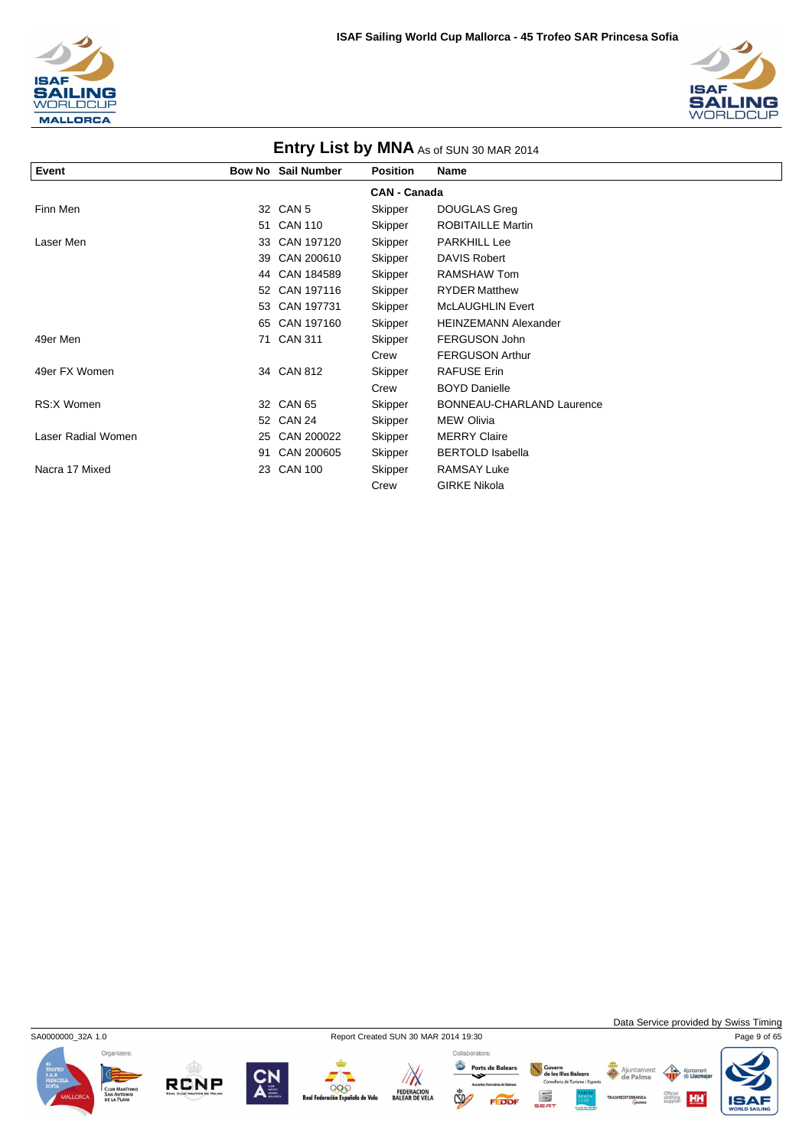



| Entry List by MNA As of SUN 30 MAR 2014 |    |                           |                     |                                  |  |
|-----------------------------------------|----|---------------------------|---------------------|----------------------------------|--|
| Event                                   |    | <b>Bow No Sail Number</b> | <b>Position</b>     | <b>Name</b>                      |  |
|                                         |    |                           | <b>CAN - Canada</b> |                                  |  |
| Finn Men                                |    | 32 CAN 5                  | Skipper             | DOUGLAS Greg                     |  |
|                                         | 51 | <b>CAN 110</b>            | Skipper             | <b>ROBITAILLE Martin</b>         |  |
| Laser Men                               | 33 | CAN 197120                | Skipper             | <b>PARKHILL Lee</b>              |  |
|                                         | 39 | CAN 200610                | Skipper             | DAVIS Robert                     |  |
|                                         |    | 44 CAN 184589             | Skipper             | <b>RAMSHAW Tom</b>               |  |
|                                         |    | 52 CAN 197116             | Skipper             | <b>RYDER Matthew</b>             |  |
|                                         |    | 53 CAN 197731             | Skipper             | <b>McLAUGHLIN Evert</b>          |  |
|                                         |    | 65 CAN 197160             | Skipper             | <b>HEINZEMANN Alexander</b>      |  |
| 49er Men                                | 71 | <b>CAN 311</b>            | Skipper             | FERGUSON John                    |  |
|                                         |    |                           | Crew                | <b>FERGUSON Arthur</b>           |  |
| 49er FX Women                           |    | 34 CAN 812                | Skipper             | <b>RAFUSE Erin</b>               |  |
|                                         |    |                           | Crew                | <b>BOYD Danielle</b>             |  |
| RS:X Women                              |    | 32 CAN 65                 | Skipper             | <b>BONNEAU-CHARLAND Laurence</b> |  |
|                                         |    | 52 CAN 24                 | Skipper             | <b>MEW Olivia</b>                |  |
| Laser Radial Women                      |    | 25 CAN 200022             | Skipper             | <b>MERRY Claire</b>              |  |
|                                         | 91 | CAN 200605                | Skipper             | <b>BERTOLD Isabella</b>          |  |
| Nacra 17 Mixed                          | 23 | <b>CAN 100</b>            | Skipper             | <b>RAMSAY Luke</b>               |  |
|                                         |    |                           | Crew                | <b>GIRKE Nikola</b>              |  |

Organizers:

**RCNP** 

SA0000000\_32A 1.0 Report Created SUN 30 MAR 2014 19:30 Page 9 of 65

000 iola de Vela



Govern<br>de les Illes Balears<br>Conselleria de Turisme i Esports

S

FEDDI

Ajuntament

Data Service provided by Swiss Timing

 $\left\langle \right\rangle$ Ajunta<br>de Lli

Official<br>clothing **HH** 

IS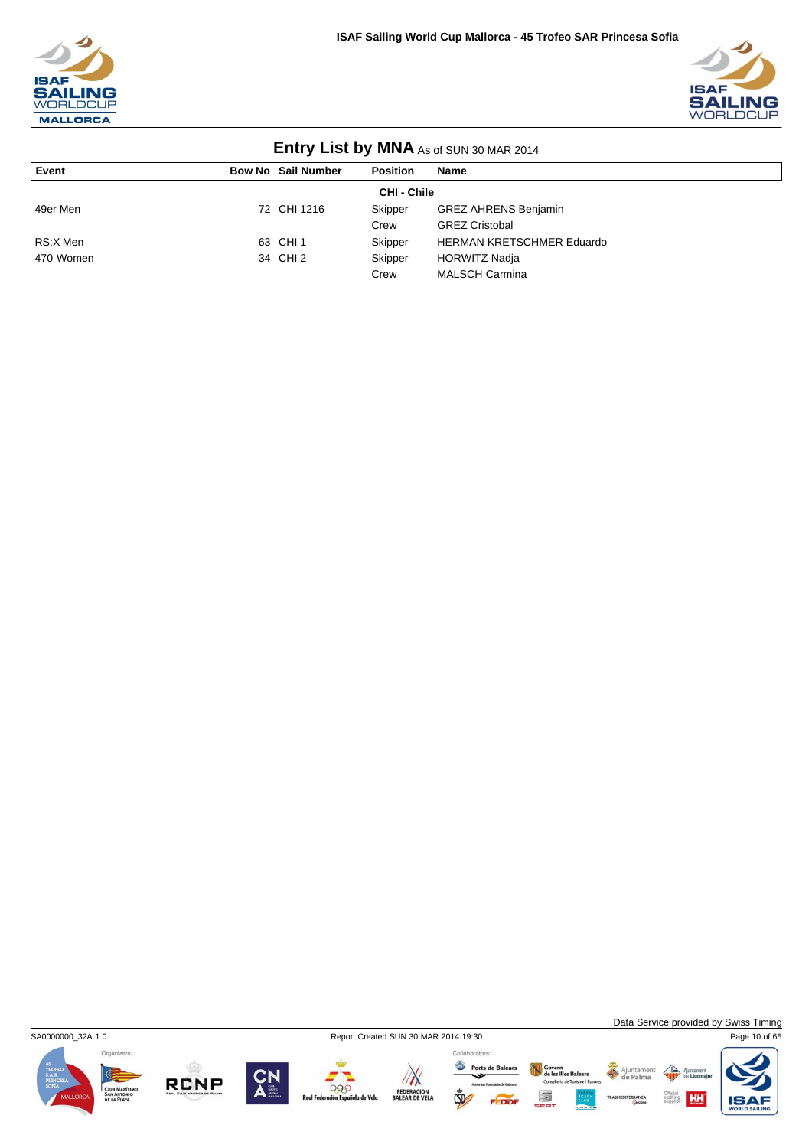



| <b>ETILLY LIST DY IVITAL</b> AS OF SUN 30 MAR 2014 |                    |                           |                 |                                  |  |  |  |
|----------------------------------------------------|--------------------|---------------------------|-----------------|----------------------------------|--|--|--|
| Event                                              |                    | <b>Bow No Sail Number</b> | <b>Position</b> | Name                             |  |  |  |
|                                                    | <b>CHI - Chile</b> |                           |                 |                                  |  |  |  |
| 49er Men                                           |                    | 72 CHI 1216               | Skipper         | <b>GREZ AHRENS Benjamin</b>      |  |  |  |
|                                                    |                    |                           | Crew            | <b>GREZ Cristobal</b>            |  |  |  |
| RS:X Men                                           |                    | 63 CHI 1                  | Skipper         | <b>HERMAN KRETSCHMER Eduardo</b> |  |  |  |
| 470 Women                                          |                    | 34 CHI 2                  | Skipper         | <b>HORWITZ Nadja</b>             |  |  |  |
|                                                    |                    |                           | Crew            | <b>MALSCH Carmina</b>            |  |  |  |



**RCNP** 



000

iola de Vela

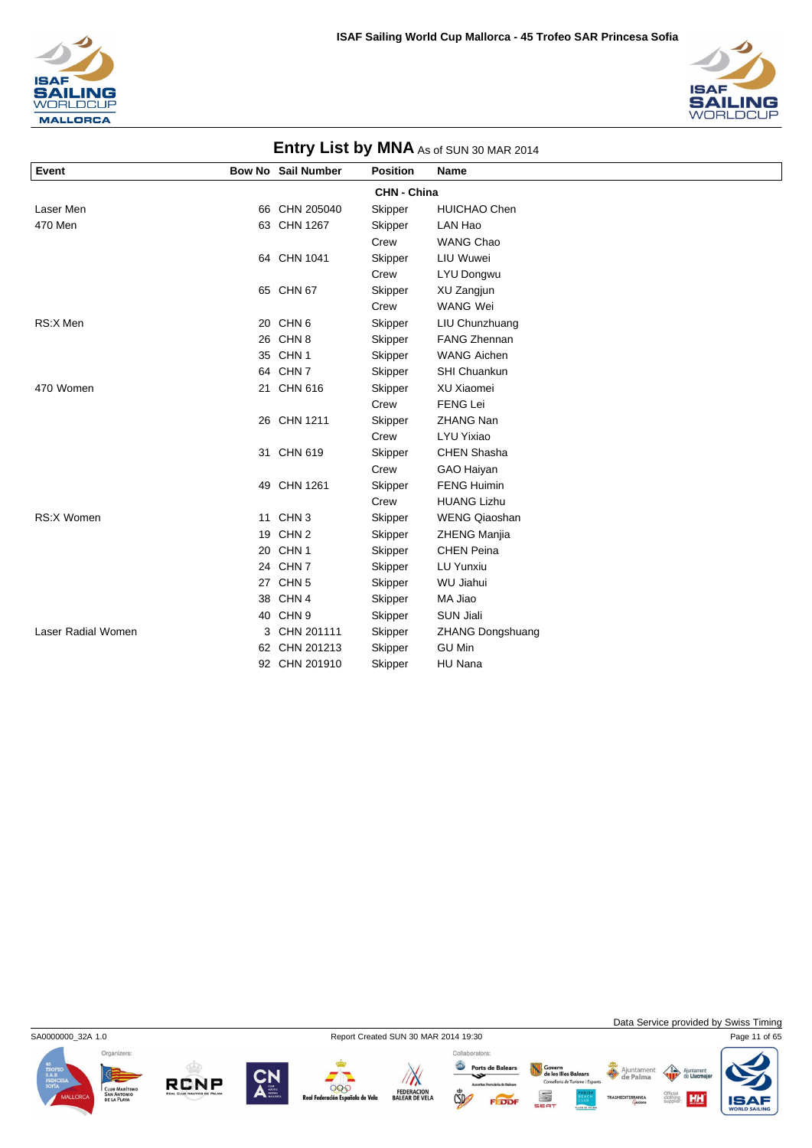



|                    |                           |                    | $\frac{1}{2}$ . $\frac{1}{2}$ . $\frac{1}{2}$ . $\frac{1}{2}$ . $\frac{1}{2}$ . $\frac{1}{2}$ . $\frac{1}{2}$ . $\frac{1}{2}$ . $\frac{1}{2}$ |  |
|--------------------|---------------------------|--------------------|-----------------------------------------------------------------------------------------------------------------------------------------------|--|
| Event              | <b>Bow No Sail Number</b> | <b>Position</b>    | Name                                                                                                                                          |  |
|                    |                           | <b>CHN - China</b> |                                                                                                                                               |  |
| Laser Men          | 66 CHN 205040             | Skipper            | <b>HUICHAO Chen</b>                                                                                                                           |  |
| 470 Men            | 63 CHN 1267               | Skipper            | LAN Hao                                                                                                                                       |  |
|                    |                           | Crew               | <b>WANG Chao</b>                                                                                                                              |  |
|                    | 64 CHN 1041               | Skipper            | LIU Wuwei                                                                                                                                     |  |
|                    |                           | Crew               | LYU Dongwu                                                                                                                                    |  |
|                    | 65 CHN 67                 | Skipper            | XU Zangjun                                                                                                                                    |  |
|                    |                           | Crew               | WANG Wei                                                                                                                                      |  |
| RS:X Men           | 20 CHN 6                  | Skipper            | LIU Chunzhuang                                                                                                                                |  |
|                    | 26 CHN 8                  | Skipper            | <b>FANG Zhennan</b>                                                                                                                           |  |
|                    | 35 CHN 1                  | Skipper            | <b>WANG Aichen</b>                                                                                                                            |  |
|                    | 64 CHN 7                  | Skipper            | SHI Chuankun                                                                                                                                  |  |
| 470 Women          | 21 CHN 616                | Skipper            | XU Xiaomei                                                                                                                                    |  |
|                    |                           | Crew               | <b>FENG Lei</b>                                                                                                                               |  |
|                    | 26 CHN 1211               | Skipper            | ZHANG Nan                                                                                                                                     |  |
|                    |                           | Crew               | LYU Yixiao                                                                                                                                    |  |
|                    | 31 CHN 619                | Skipper            | <b>CHEN Shasha</b>                                                                                                                            |  |
|                    |                           | Crew               | GAO Haiyan                                                                                                                                    |  |
|                    | 49 CHN 1261               | Skipper            | <b>FENG Huimin</b>                                                                                                                            |  |
|                    |                           | Crew               | <b>HUANG Lizhu</b>                                                                                                                            |  |
| RS:X Women         | 11 CHN 3                  | Skipper            | <b>WENG Qiaoshan</b>                                                                                                                          |  |
|                    | 19 CHN 2                  | Skipper            | <b>ZHENG Manjia</b>                                                                                                                           |  |
|                    | 20 CHN 1                  | Skipper            | <b>CHEN Peina</b>                                                                                                                             |  |
|                    | 24 CHN 7                  | Skipper            | LU Yunxiu                                                                                                                                     |  |
|                    | 27 CHN 5                  | Skipper            | <b>WU Jiahui</b>                                                                                                                              |  |
|                    | 38 CHN 4                  | Skipper            | MA Jiao                                                                                                                                       |  |
|                    | 40 CHN 9                  | Skipper            | <b>SUN Jiali</b>                                                                                                                              |  |
| Laser Radial Women | 3 CHN 201111              | Skipper            | <b>ZHANG Dongshuang</b>                                                                                                                       |  |
|                    | 62 CHN 201213             | Skipper            | <b>GU Min</b>                                                                                                                                 |  |
|                    | 92 CHN 201910             | Skipper            | HU Nana                                                                                                                                       |  |

SA0000000\_32A 1.0 Report Created SUN 30 MAR 2014 19:30 Page 11 of 65





Govern<br>de les Illes Balears<br>Conselleria de Turisme i Esport

S

Ajuntamer

Data Service provided by Swiss Timing

HH





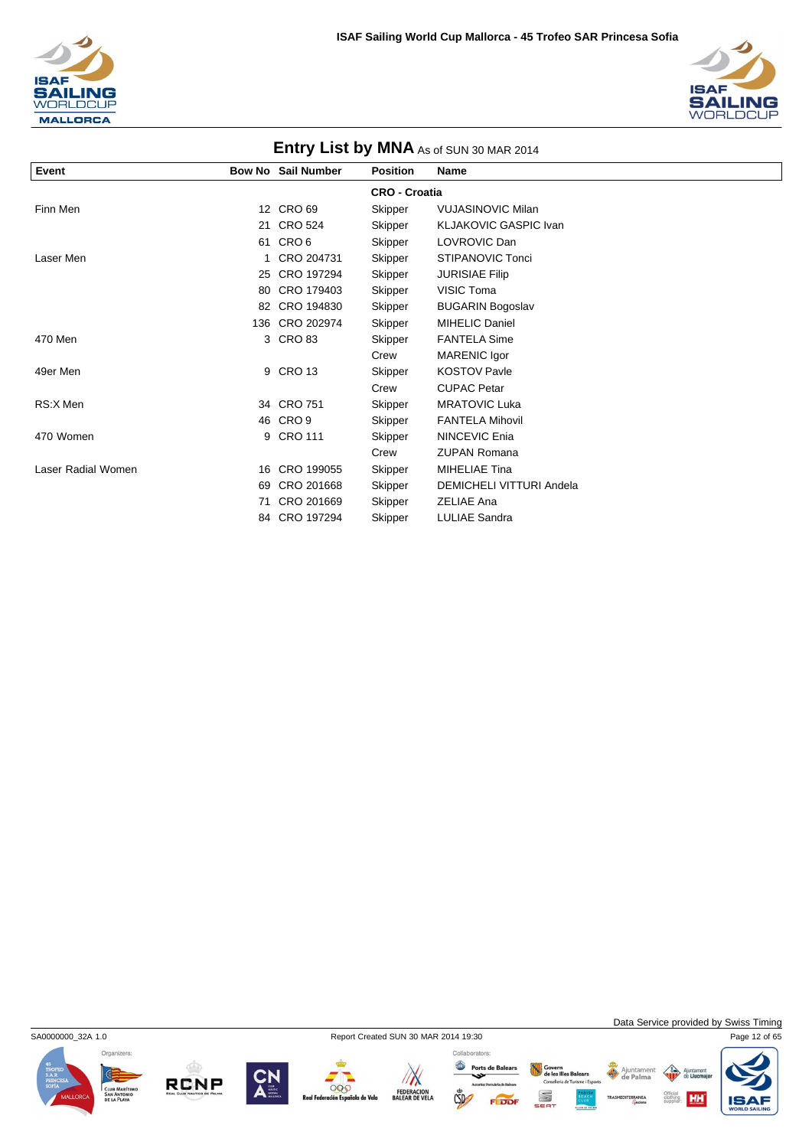



|                    | <b>EINIY LIST DY IVINA</b> As of SUN 30 MAR 2014 |                           |                      |                                 |  |  |  |
|--------------------|--------------------------------------------------|---------------------------|----------------------|---------------------------------|--|--|--|
| Event              |                                                  | <b>Bow No Sail Number</b> | <b>Position</b>      | <b>Name</b>                     |  |  |  |
|                    |                                                  |                           | <b>CRO - Croatia</b> |                                 |  |  |  |
| Finn Men           |                                                  | 12 CRO 69                 | Skipper              | <b>VUJASINOVIC Milan</b>        |  |  |  |
|                    |                                                  | 21 CRO 524                | Skipper              | <b>KLJAKOVIC GASPIC Ivan</b>    |  |  |  |
|                    | 61                                               | CRO <sub>6</sub>          | Skipper              | LOVROVIC Dan                    |  |  |  |
| Laser Men          |                                                  | CRO 204731                | Skipper              | <b>STIPANOVIC Tonci</b>         |  |  |  |
|                    |                                                  | 25 CRO 197294             | Skipper              | <b>JURISIAE Filip</b>           |  |  |  |
|                    | 80                                               | CRO 179403                | Skipper              | VISIC Toma                      |  |  |  |
|                    |                                                  | 82 CRO 194830             | Skipper              | <b>BUGARIN Bogoslav</b>         |  |  |  |
|                    |                                                  | 136 CRO 202974            | Skipper              | <b>MIHELIC Daniel</b>           |  |  |  |
| 470 Men            |                                                  | 3 CRO 83                  | Skipper              | <b>FANTELA Sime</b>             |  |  |  |
|                    |                                                  |                           | Crew                 | MARENIC Igor                    |  |  |  |
| 49er Men           |                                                  | 9 CRO 13                  | Skipper              | <b>KOSTOV Pavle</b>             |  |  |  |
|                    |                                                  |                           | Crew                 | <b>CUPAC Petar</b>              |  |  |  |
| RS:X Men           |                                                  | 34 CRO 751                | Skipper              | <b>MRATOVIC Luka</b>            |  |  |  |
|                    |                                                  | 46 CRO 9                  | Skipper              | <b>FANTELA Mihovil</b>          |  |  |  |
| 470 Women          |                                                  | 9 CRO 111                 | Skipper              | <b>NINCEVIC Enja</b>            |  |  |  |
|                    |                                                  |                           | Crew                 | <b>ZUPAN Romana</b>             |  |  |  |
| Laser Radial Women | 16                                               | CRO 199055                | Skipper              | <b>MIHELIAE Tina</b>            |  |  |  |
|                    | 69                                               | CRO 201668                | Skipper              | <b>DEMICHELI VITTURI Andela</b> |  |  |  |
|                    | 71                                               | CRO 201669                | Skipper              | <b>ZELIAE Ana</b>               |  |  |  |
|                    |                                                  | 84 CRO 197294             | Skipper              | <b>LULIAE Sandra</b>            |  |  |  |



**RCNP** 



999

la de Vela

 $\mathbb{Z}$ 

FEDERACION<br>BALEAR DE VELA

 $CSD$ 

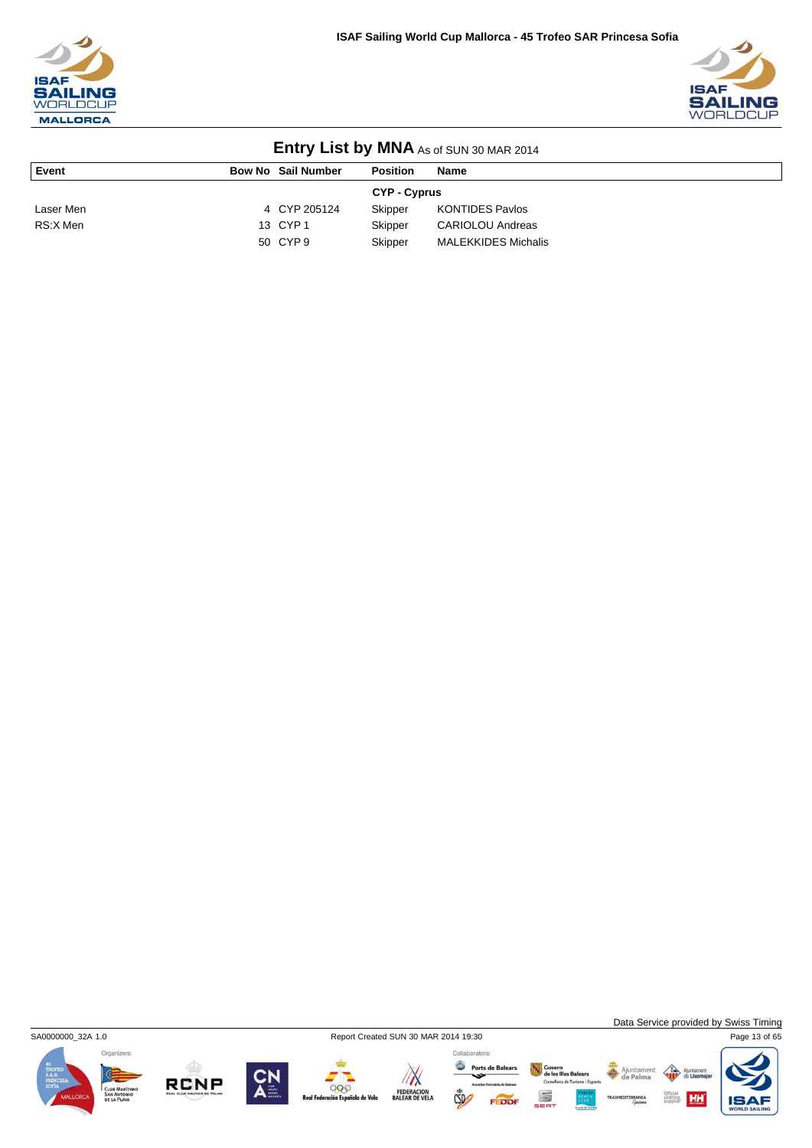



| <b>LITTLE YOUR LIST DY IVITY AS OF SUN 30 MAR 2014</b> |  |                           |                     |                            |  |
|--------------------------------------------------------|--|---------------------------|---------------------|----------------------------|--|
| Event                                                  |  | <b>Bow No Sail Number</b> | <b>Position</b>     | <b>Name</b>                |  |
|                                                        |  |                           | <b>CYP - Cyprus</b> |                            |  |
| Laser Men                                              |  | 4 CYP 205124              | Skipper             | <b>KONTIDES Pavlos</b>     |  |
| RS:X Men                                               |  | 13 CYP 1                  | Skipper             | <b>CARIOLOU Andreas</b>    |  |
|                                                        |  | 50 CYP 9                  | Skipper             | <b>MALEKKIDES Michalis</b> |  |



**RCNP** 



999

la de Vela

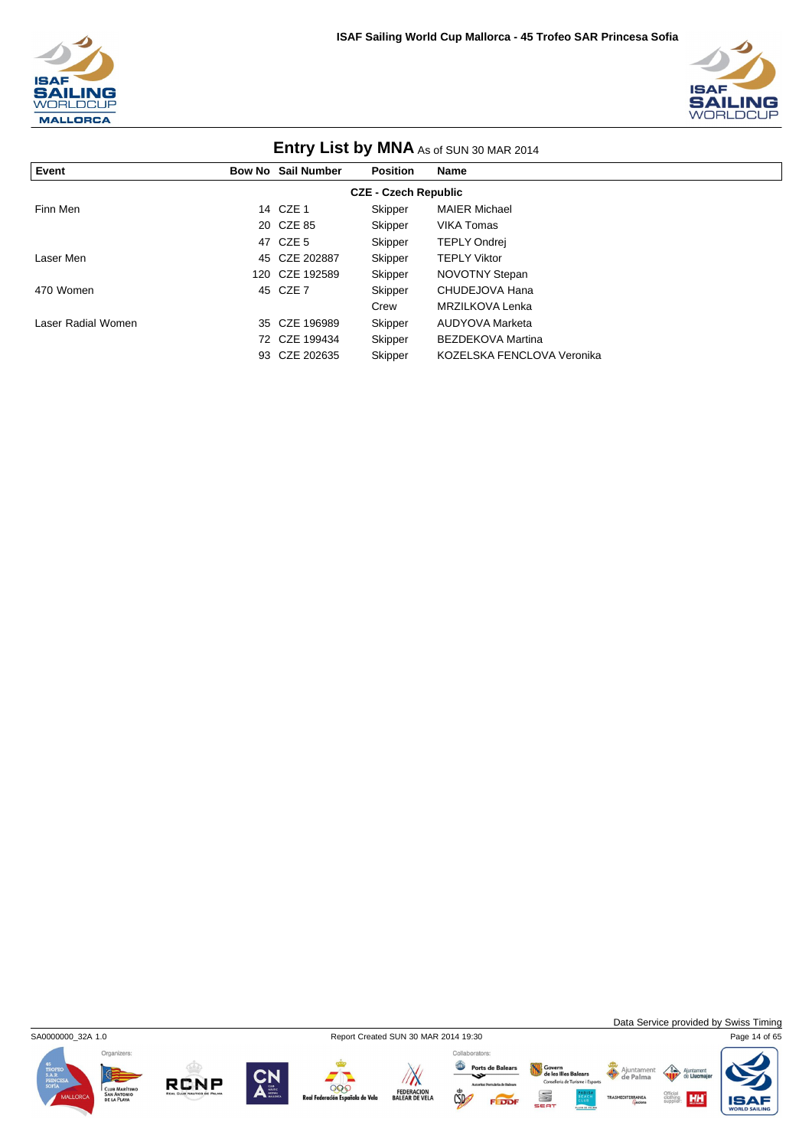



| <b>ETILLY LIST DY IVINA AS of SUN 30 MAR 2014</b> |    |                    |                 |                            |  |  |  |
|---------------------------------------------------|----|--------------------|-----------------|----------------------------|--|--|--|
| Event                                             |    | Bow No Sail Number | <b>Position</b> | Name                       |  |  |  |
| <b>CZE - Czech Republic</b>                       |    |                    |                 |                            |  |  |  |
| Finn Men                                          |    | 14 CZE 1           | Skipper         | <b>MAIER Michael</b>       |  |  |  |
|                                                   |    | 20 CZE 85          | Skipper         | <b>VIKA Tomas</b>          |  |  |  |
|                                                   |    | 47 CZE 5           | Skipper         | <b>TEPLY Ondrei</b>        |  |  |  |
| Laser Men                                         | 45 | CZE 202887         | Skipper         | <b>TEPLY Viktor</b>        |  |  |  |
|                                                   |    | 120 CZE 192589     | Skipper         | <b>NOVOTNY Stepan</b>      |  |  |  |
| 470 Women                                         |    | 45 CZE 7           | Skipper         | CHUDEJOVA Hana             |  |  |  |
|                                                   |    |                    | Crew            | MRZILKOVA Lenka            |  |  |  |
| Laser Radial Women                                | 35 | CZE 196989         | Skipper         | AUDYOVA Marketa            |  |  |  |
|                                                   |    | 72 CZE 199434      | Skipper         | <b>BEZDEKOVA Martina</b>   |  |  |  |
|                                                   | 93 | CZE 202635         | Skipper         | KOZELSKA FENCLOVA Veronika |  |  |  |

### **Entry List by MNA** As of SUN 2014



**RCNP** 



000

ola de Vela

 $\sqrt{N}$ 

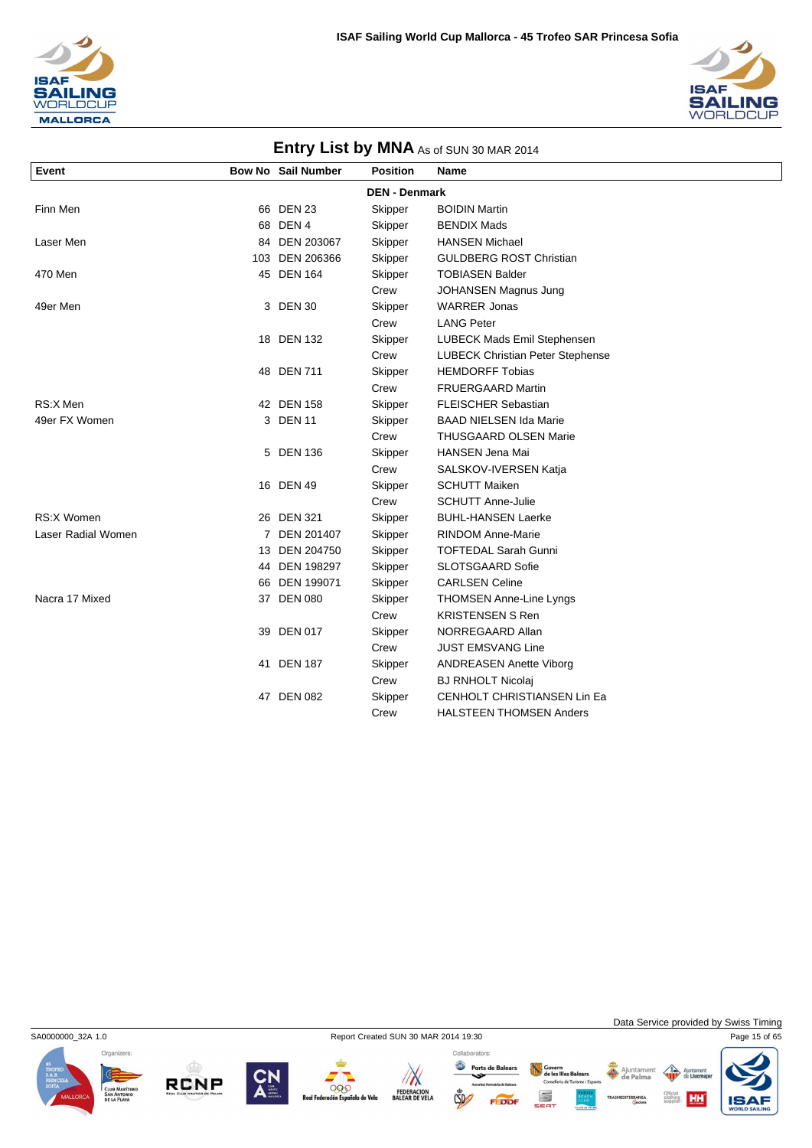



#### **Entry List by MNA** As of SUN 30 MAR 2014 **Event Bow No Sail Number Position Name DEN - Denmark** Finn Men **1988** Skipper BOIDIN Martin **Finn Men** 66 DEN 23 68 DEN 4 Skipper BENDIX Mads Laser Men 84 DEN 203067 Skipper HANSEN Michael 103 DEN 206366 Skipper GULDBERG ROST Christian 470 Men 164 Skipper TOBIASEN Balder Crew JOHANSEN Magnus Jung 49er Men 1980 and 3 DEN 30 Skipper WARRER Jonas Crew LANG Peter 18 DEN 132 Skipper LUBECK Mads Emil Stephensen Crew LUBECK Christian Peter Stephense 48 DEN 711 Skipper HEMDORFF Tobias Crew FRUERGAARD Martin RS:X Men **12 DEN 158** Skipper FLEISCHER Sebastian 49er FX Women 3 DEN 11 Skipper BAAD NIELSEN Ida Marie Crew THUSGAARD OLSEN Marie 5 DEN 136 Skipper HANSEN Jena Mai Crew SALSKOV-IVERSEN Katja 16 DEN 49 Skipper SCHUTT Maiken Crew SCHUTT Anne-Julie RS:X Women 26 DEN 321 Skipper BUHL-HANSEN Laerke Laser Radial Women **7 DEN 201407** Skipper RINDOM Anne-Marie 13 DEN 204750 Skipper TOFTEDAL Sarah Gunni 44 DEN 198297 Skipper SLOTSGAARD Sofie 66 DEN 199071 Skipper CARLSEN Celine Nacra 17 Mixed **37 DEN 080** Skipper THOMSEN Anne-Line Lyngs Crew KRISTENSEN S Ren 39 DEN 017 Skipper NORREGAARD Allan Crew JUST EMSVANG Line 41 DEN 187 Skipper ANDREASEN Anette Viborg Crew BJ RNHOLT Nicolaj 47 DEN 082 Skipper CENHOLT CHRISTIANSEN Lin Ea Crew HALSTEEN THOMSEN Anders

SA0000000\_32A 1.0 Report Created SUN 30 MAR 2014 19:30 Page 15 of 65







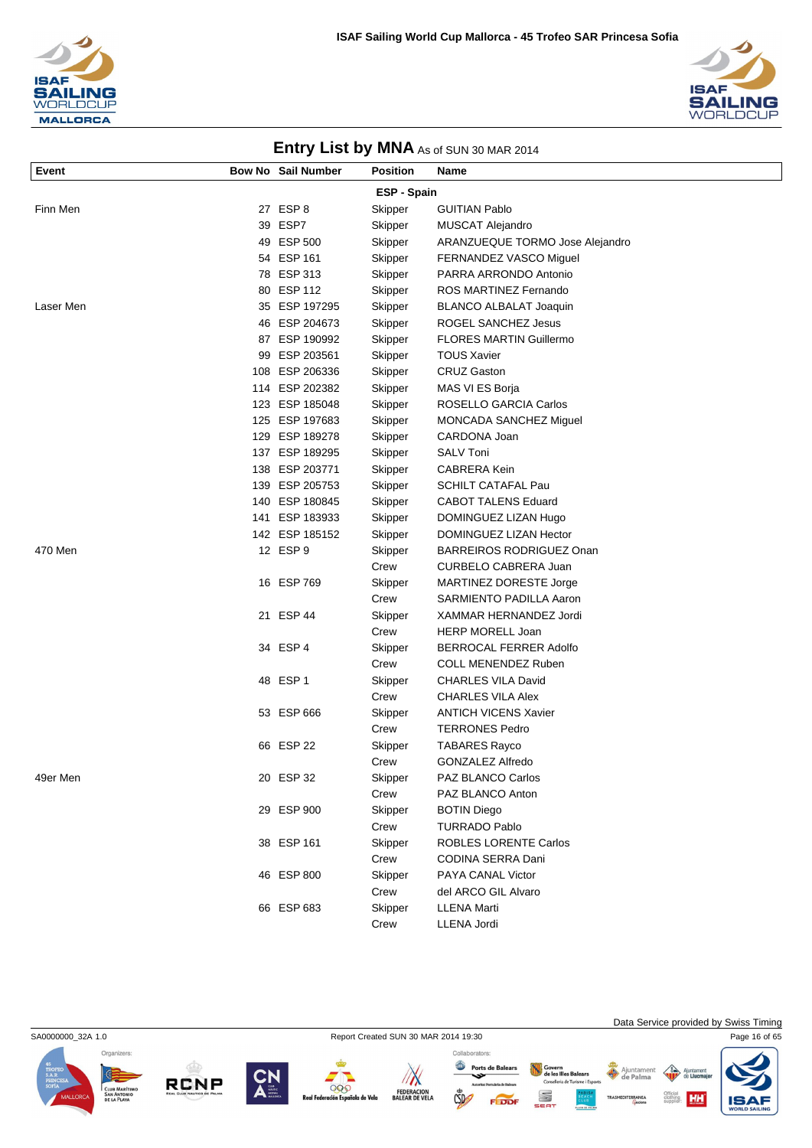



| Event     | <b>Bow No Sail Number</b> | <b>Position</b> | Name                            |
|-----------|---------------------------|-----------------|---------------------------------|
|           |                           | ESP - Spain     |                                 |
| Finn Men  | 27 ESP 8                  | Skipper         | <b>GUITIAN Pablo</b>            |
|           | 39 ESP7                   | Skipper         | MUSCAT Alejandro                |
|           | 49 ESP 500                | Skipper         | ARANZUEQUE TORMO Jose Alejandro |
|           | 54 ESP 161                | Skipper         | FERNANDEZ VASCO Miguel          |
|           | 78 ESP 313                | Skipper         | PARRA ARRONDO Antonio           |
|           | 80 ESP 112                | Skipper         | ROS MARTINEZ Fernando           |
| Laser Men | 35 ESP 197295             | Skipper         | <b>BLANCO ALBALAT Joaquin</b>   |
|           | 46 ESP 204673             | Skipper         | ROGEL SANCHEZ Jesus             |
|           | 87 ESP 190992             | Skipper         | <b>FLORES MARTIN Guillermo</b>  |
|           | 99 ESP 203561             | Skipper         | <b>TOUS Xavier</b>              |
|           | 108 ESP 206336            | Skipper         | <b>CRUZ Gaston</b>              |
|           | 114 ESP 202382            | Skipper         | MAS VI ES Borja                 |
|           | 123 ESP 185048            | Skipper         | ROSELLO GARCIA Carlos           |
|           | 125 ESP 197683            | Skipper         | MONCADA SANCHEZ Miguel          |
|           | 129 ESP 189278            | Skipper         | CARDONA Joan                    |
|           | 137 ESP 189295            | Skipper         | <b>SALV Toni</b>                |
|           | 138 ESP 203771            | Skipper         | <b>CABRERA Kein</b>             |
|           | 139 ESP 205753            | Skipper         | <b>SCHILT CATAFAL Pau</b>       |
|           | 140 ESP 180845            | Skipper         | <b>CABOT TALENS Eduard</b>      |
|           | 141 ESP 183933            | Skipper         | DOMINGUEZ LIZAN Hugo            |
|           | 142 ESP 185152            | Skipper         | DOMINGUEZ LIZAN Hector          |
| 470 Men   | 12 ESP 9                  | Skipper         | <b>BARREIROS RODRIGUEZ Onan</b> |
|           |                           | Crew            | CURBELO CABRERA Juan            |
|           | 16 ESP 769                | Skipper         | MARTINEZ DORESTE Jorge          |
|           |                           | Crew            | SARMIENTO PADILLA Aaron         |
|           | 21 ESP 44                 | Skipper         | XAMMAR HERNANDEZ Jordi          |
|           |                           | Crew            | <b>HERP MORELL Joan</b>         |
|           | 34 ESP 4                  | Skipper         | BERROCAL FERRER Adolfo          |
|           |                           | Crew            | COLL MENENDEZ Ruben             |
|           | 48 ESP 1                  | Skipper         | <b>CHARLES VILA David</b>       |
|           |                           | Crew            | <b>CHARLES VILA Alex</b>        |
|           | 53 ESP 666                | Skipper         | <b>ANTICH VICENS Xavier</b>     |
|           |                           | Crew            | <b>TERRONES Pedro</b>           |
|           | 66 ESP 22                 | Skipper         | <b>TABARES Rayco</b>            |
|           |                           | Crew            | <b>GONZALEZ Alfredo</b>         |
| 49er Men  | 20 ESP 32                 | Skipper         | PAZ BLANCO Carlos               |
|           |                           | Crew            | PAZ BLANCO Anton                |
|           | 29 ESP 900                | Skipper         | <b>BOTIN Diego</b>              |
|           |                           | Crew            | <b>TURRADO Pablo</b>            |
|           | 38 ESP 161                | Skipper         | <b>ROBLES LORENTE Carlos</b>    |
|           |                           | Crew            | CODINA SERRA Dani               |
|           | 46 ESP 800                | Skipper         | PAYA CANAL Victor               |
|           |                           | Crew            | del ARCO GIL Alvaro             |
|           | 66 ESP 683                | Skipper         | LLENA Marti                     |
|           |                           | Crew            | LLENA Jordi                     |









SA0000000\_32A 1.0 Report Created SUN 30 MAR 2014 19:30 Page 16 of 65 Data Service provided by Swiss Timing

HH

Ajuntamer<br>de Palma

Govern<br>de les Illes Balears<br>Conselleria de Turisme i Esport

S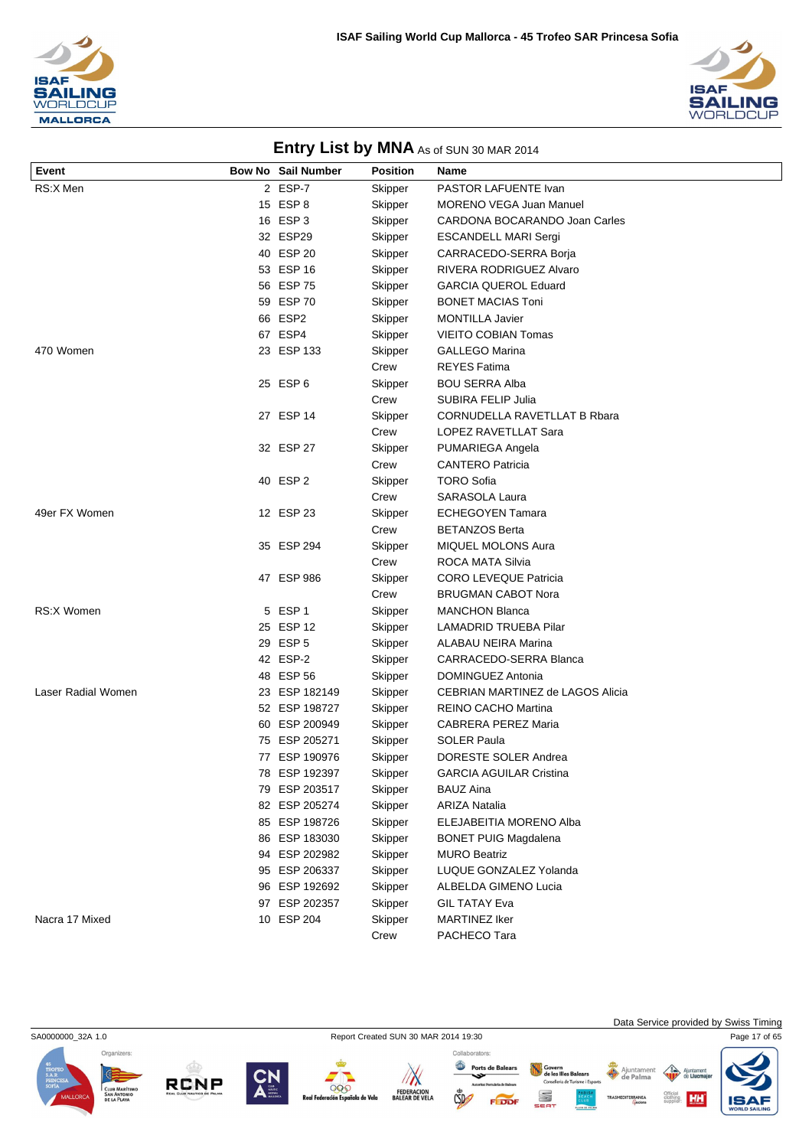



| Event              | <b>Bow No Sail Number</b> | <b>Position</b> | Name                             |
|--------------------|---------------------------|-----------------|----------------------------------|
| RS:X Men           | 2 ESP-7                   | Skipper         | PASTOR LAFUENTE Ivan             |
|                    | 15 ESP 8                  | Skipper         | <b>MORENO VEGA Juan Manuel</b>   |
|                    | 16 ESP 3                  | Skipper         | CARDONA BOCARANDO Joan Carles    |
|                    | 32 ESP29                  | Skipper         | <b>ESCANDELL MARI Sergi</b>      |
|                    | 40 ESP 20                 | Skipper         | CARRACEDO-SERRA Borja            |
|                    | 53 ESP 16                 | Skipper         | RIVERA RODRIGUEZ Alvaro          |
|                    | 56 ESP 75                 | Skipper         | <b>GARCIA QUEROL Eduard</b>      |
|                    | 59 ESP 70                 | Skipper         | <b>BONET MACIAS Toni</b>         |
|                    | 66 ESP2                   | Skipper         | <b>MONTILLA Javier</b>           |
|                    | 67 ESP4                   | Skipper         | <b>VIEITO COBIAN Tomas</b>       |
| 470 Women          | 23 ESP 133                | Skipper         | <b>GALLEGO Marina</b>            |
|                    |                           | Crew            | <b>REYES Fatima</b>              |
|                    | 25 ESP 6                  | Skipper         | <b>BOU SERRA Alba</b>            |
|                    |                           | Crew            | SUBIRA FELIP Julia               |
|                    | 27 ESP 14                 | Skipper         | CORNUDELLA RAVETLLAT B Rbara     |
|                    |                           | Crew            | LOPEZ RAVETLLAT Sara             |
|                    | 32 ESP 27                 | Skipper         | PUMARIEGA Angela                 |
|                    |                           | Crew            | <b>CANTERO Patricia</b>          |
|                    | 40 ESP 2                  | Skipper         | <b>TORO Sofia</b>                |
|                    |                           | Crew            | SARASOLA Laura                   |
| 49er FX Women      | 12 ESP 23                 | Skipper         | <b>ECHEGOYEN Tamara</b>          |
|                    |                           | Crew            | <b>BETANZOS Berta</b>            |
|                    | 35 ESP 294                | Skipper         | <b>MIQUEL MOLONS Aura</b>        |
|                    |                           | Crew            | ROCA MATA Silvia                 |
|                    | 47 ESP 986                | Skipper         | <b>CORO LEVEQUE Patricia</b>     |
|                    |                           | Crew            | <b>BRUGMAN CABOT Nora</b>        |
| <b>RS:X Women</b>  | 5 ESP 1                   | Skipper         | <b>MANCHON Blanca</b>            |
|                    | 25 ESP 12                 | Skipper         | LAMADRID TRUEBA Pilar            |
|                    | 29 ESP 5                  | Skipper         | <b>ALABAU NEIRA Marina</b>       |
|                    | 42 ESP-2                  | Skipper         | CARRACEDO-SERRA Blanca           |
|                    | 48 ESP 56                 | Skipper         | DOMINGUEZ Antonia                |
| Laser Radial Women | 23 ESP 182149             | Skipper         | CEBRIAN MARTINEZ de LAGOS Alicia |
|                    | 52 ESP 198727             | Skipper         | REINO CACHO Martina              |
|                    | 60 ESP 200949             | Skipper         | <b>CABRERA PEREZ Maria</b>       |
|                    | 75 ESP 205271             | Skipper         | <b>SOLER Paula</b>               |
|                    | 77 ESP 190976             | Skipper         | DORESTE SOLER Andrea             |
|                    | 78 ESP 192397             | Skipper         | <b>GARCIA AGUILAR Cristina</b>   |
|                    | 79 ESP 203517             | Skipper         | <b>BAUZ Aina</b>                 |
|                    | 82 ESP 205274             | Skipper         | <b>ARIZA Natalia</b>             |
|                    | 85 ESP 198726             | Skipper         | ELEJABEITIA MORENO Alba          |
|                    | 86 ESP 183030             | Skipper         | <b>BONET PUIG Magdalena</b>      |
|                    | 94 ESP 202982             | Skipper         | <b>MURO Beatriz</b>              |
|                    | 95 ESP 206337             | Skipper         | LUQUE GONZALEZ Yolanda           |
|                    | 96 ESP 192692             | Skipper         | ALBELDA GIMENO Lucia             |
|                    | 97 ESP 202357             | Skipper         | <b>GIL TATAY Eva</b>             |
| Nacra 17 Mixed     | 10 ESP 204                | Skipper         | <b>MARTINEZ Iker</b>             |
|                    |                           | Crew            | PACHECO Tara                     |

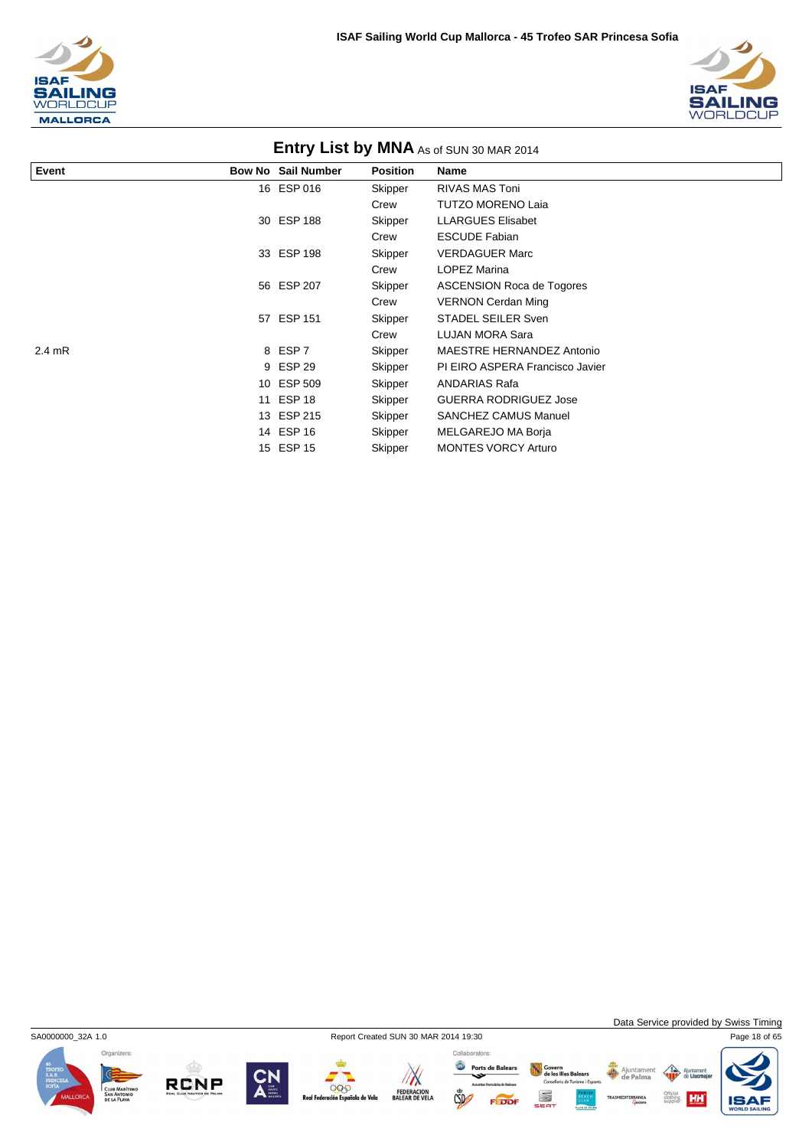



| Event            | _____<br><b>Bow No Sail Number</b> | <b>Position</b> | Name                             |
|------------------|------------------------------------|-----------------|----------------------------------|
|                  |                                    |                 |                                  |
|                  | 16 ESP 016                         | Skipper         | <b>RIVAS MAS Toni</b>            |
|                  |                                    | Crew            | <b>TUTZO MORENO Laia</b>         |
|                  | 30 ESP 188                         | Skipper         | <b>LLARGUES Elisabet</b>         |
|                  |                                    | Crew            | <b>ESCUDE Fabian</b>             |
|                  | 33 ESP 198                         | Skipper         | <b>VERDAGUER Marc</b>            |
|                  |                                    | Crew            | <b>LOPEZ Marina</b>              |
|                  | 56 ESP 207                         | Skipper         | <b>ASCENSION Roca de Togores</b> |
|                  |                                    | Crew            | <b>VERNON Cerdan Ming</b>        |
|                  | 57 ESP 151                         | Skipper         | <b>STADEL SEILER Sven</b>        |
|                  |                                    | Crew            | LUJAN MORA Sara                  |
| $2.4 \text{ mR}$ | 8 ESP 7                            | Skipper         | MAESTRE HERNANDEZ Antonio        |
|                  | 9 ESP 29                           | Skipper         | PI EIRO ASPERA Francisco Javier  |
|                  | 10 ESP 509                         | Skipper         | ANDARIAS Rafa                    |
|                  | 11 ESP 18                          | Skipper         | <b>GUERRA RODRIGUEZ Jose</b>     |
|                  | 13 ESP 215                         | Skipper         | <b>SANCHEZ CAMUS Manuel</b>      |
|                  | 14 ESP 16                          | Skipper         | MELGAREJO MA Borja               |
|                  | 15 ESP 15                          | Skipper         | <b>MONTES VORCY Arturo</b>       |



Data Service provided by Swiss Timing

HH

Organizers:









Govern<br>de les Illes Balears<br>Conselleria de Turisme i Esports Ports de Balears Ajuntamer S EDD

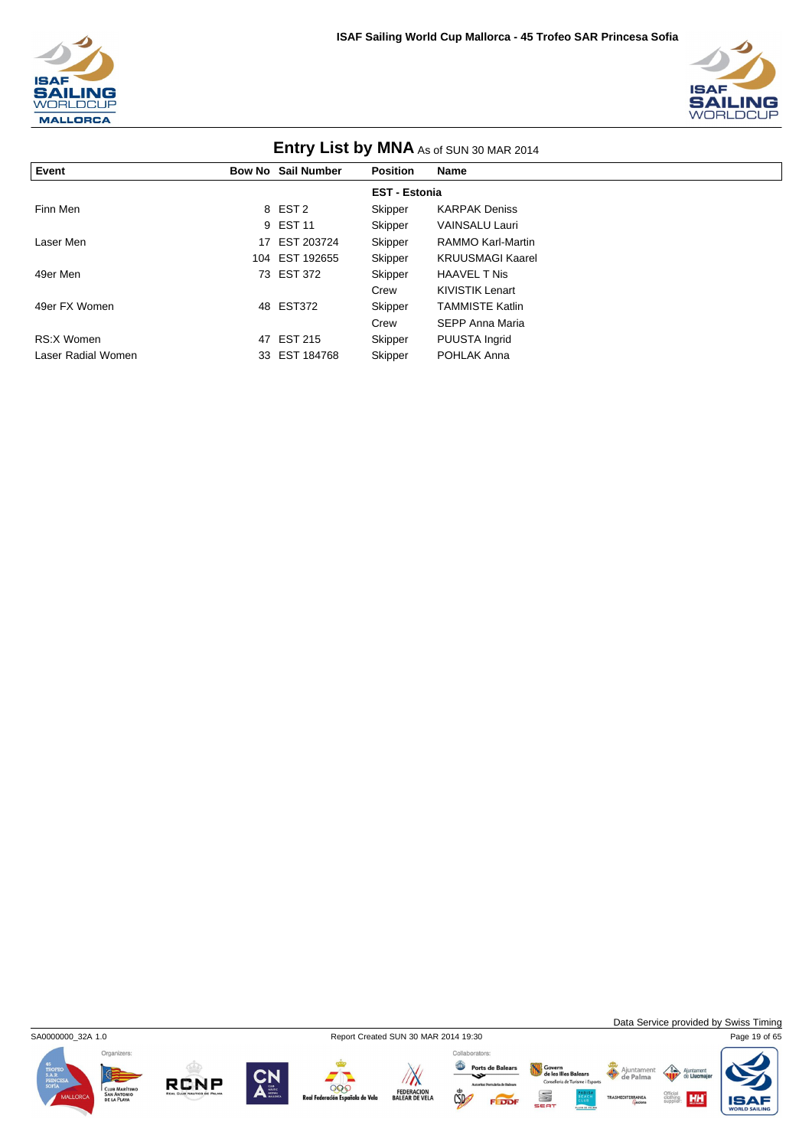



| <b>ETILLY LIST DY IVINA</b> As of SUN 30 MAR 2014 |    |                           |                 |                          |  |  |  |
|---------------------------------------------------|----|---------------------------|-----------------|--------------------------|--|--|--|
| Event                                             |    | <b>Bow No Sail Number</b> | <b>Position</b> | Name                     |  |  |  |
| <b>EST - Estonia</b>                              |    |                           |                 |                          |  |  |  |
| Finn Men                                          |    | 8 EST <sub>2</sub>        | Skipper         | <b>KARPAK Deniss</b>     |  |  |  |
|                                                   |    | 9 EST 11                  | Skipper         | <b>VAINSALU Lauri</b>    |  |  |  |
| Laser Men                                         | 17 | EST 203724                | Skipper         | <b>RAMMO Karl-Martin</b> |  |  |  |
|                                                   |    | 104 EST 192655            | Skipper         | <b>KRUUSMAGI Kaarel</b>  |  |  |  |
| 49er Men                                          |    | 73 EST 372                | Skipper         | <b>HAAVEL TNis</b>       |  |  |  |
|                                                   |    |                           | Crew            | KIVISTIK Lenart          |  |  |  |
| 49er FX Women                                     |    | 48 EST372                 | Skipper         | <b>TAMMISTE Katlin</b>   |  |  |  |
|                                                   |    |                           | Crew            | SEPP Anna Maria          |  |  |  |
| RS:X Women                                        |    | 47 EST 215                | Skipper         | PUUSTA Ingrid            |  |  |  |
| Laser Radial Women                                |    | 33 EST 184768             | Skipper         | POHLAK Anna              |  |  |  |

## **Entry List by MNA**

Organizers:

RCNP







Govern<br>de les Illes Balears<br>Conselleria de Turisme i Esports

S

Ajuntament<br>
de Palma

Data Service provided by Swiss Timing

Official<br>clothing<br>supplier:

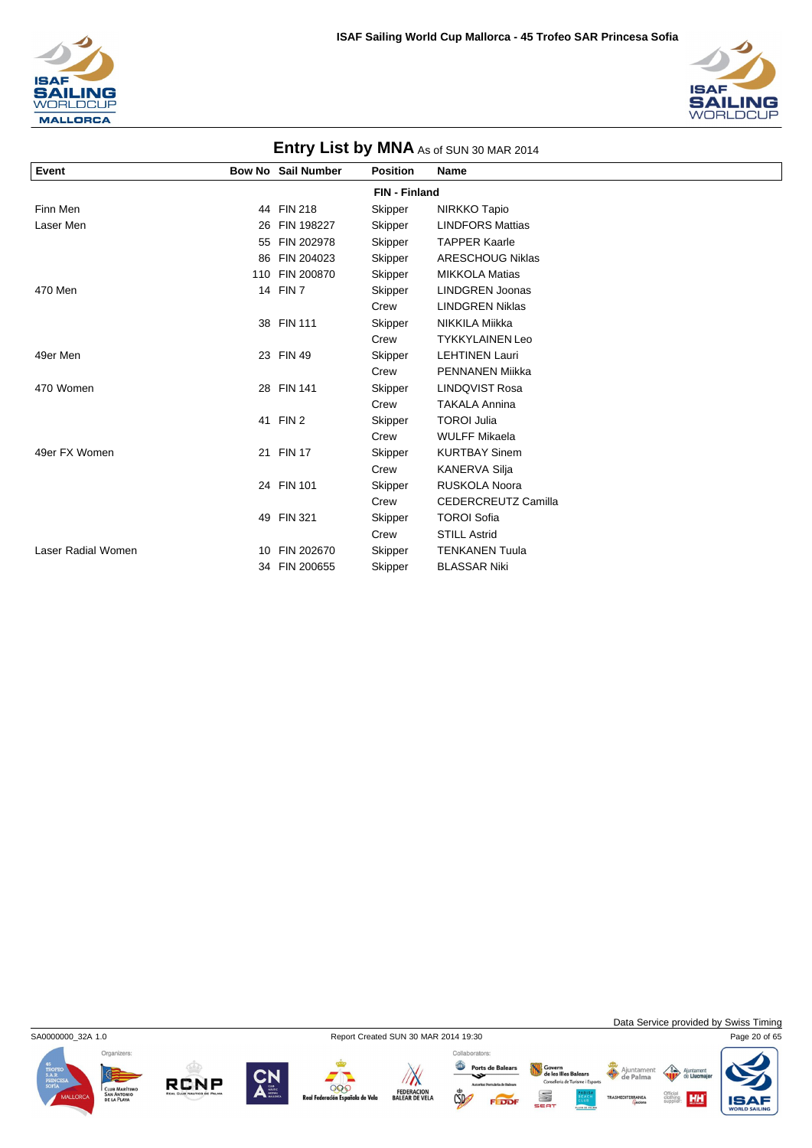



| <b>ETILLY LIST DY IVINA</b> As of SUN 30 MAR 2014 |    |                           |                      |                         |  |
|---------------------------------------------------|----|---------------------------|----------------------|-------------------------|--|
| Event                                             |    | <b>Bow No Sail Number</b> | <b>Position</b>      | <b>Name</b>             |  |
|                                                   |    |                           | <b>FIN - Finland</b> |                         |  |
| Finn Men                                          |    | 44 FIN 218                | Skipper              | NIRKKO Tapio            |  |
| Laser Men                                         | 26 | FIN 198227                | Skipper              | <b>LINDFORS Mattias</b> |  |
|                                                   | 55 | FIN 202978                | Skipper              | <b>TAPPER Kaarle</b>    |  |
|                                                   | 86 | FIN 204023                | Skipper              | <b>ARESCHOUG Niklas</b> |  |
|                                                   |    | 110 FIN 200870            | Skipper              | <b>MIKKOLA Matias</b>   |  |
| 470 Men                                           |    | 14 FIN 7                  | Skipper              | <b>LINDGREN Joonas</b>  |  |
|                                                   |    |                           | Crew                 | <b>LINDGREN Niklas</b>  |  |
|                                                   |    | 38 FIN 111                | Skipper              | NIKKILA Miikka          |  |
|                                                   |    |                           | Crew                 | <b>TYKKYLAINEN Leo</b>  |  |
| 49er Men                                          |    | 23 FIN 49                 | Skipper              | <b>LEHTINEN Lauri</b>   |  |
|                                                   |    |                           | Crew                 | <b>PENNANEN Miikka</b>  |  |
| 470 Women                                         |    | 28 FIN 141                | Skipper              | <b>LINDQVIST Rosa</b>   |  |
|                                                   |    |                           | Crew                 | <b>TAKALA Annina</b>    |  |
|                                                   |    | 41 FIN 2                  | Skipper              | <b>TOROI Julia</b>      |  |
|                                                   |    |                           | Crew                 | <b>WULFF Mikaela</b>    |  |
| 49er FX Women                                     |    | 21 FIN 17                 | Skipper              | <b>KURTBAY Sinem</b>    |  |
|                                                   |    |                           | Crew                 | <b>KANERVA Silja</b>    |  |
|                                                   |    | 24 FIN 101                | Skipper              | <b>RUSKOLA Noora</b>    |  |
|                                                   |    |                           | Crew                 | CEDERCREUTZ Camilla     |  |
|                                                   |    | 49 FIN 321                | Skipper              | <b>TOROI Sofia</b>      |  |
|                                                   |    |                           | Crew                 | <b>STILL Astrid</b>     |  |
| Laser Radial Women                                |    | 10 FIN 202670             | Skipper              | <b>TENKANEN Tuula</b>   |  |
|                                                   |    | 34 FIN 200655             | Skipper              | <b>BLASSAR Niki</b>     |  |

### **Entry Liet by MNA** As COUNCOMA



**RCNP** 



 $\sqrt{N}$ 000 FEDERACION<br>BALEAR DE VELA iola de Vela



Govern<br>de les Illes Balears<br>Conselleria de Turisme i Esports

S

FEDD

Ajuntament

Data Service provided by Swiss Timing

**HH** 

 $\left\langle \right\rangle$ Ajun

Official<br>clothing<br>supplier:

IS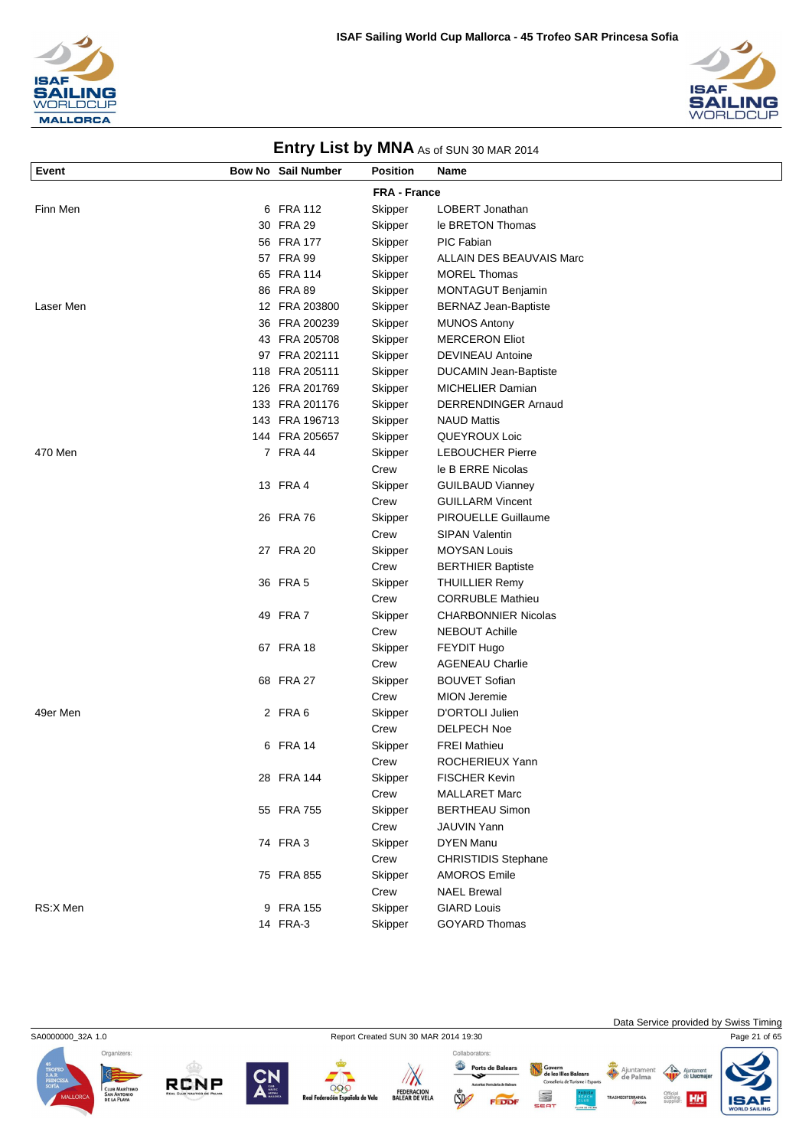



| Event     | <b>Bow No Sail Number</b> | <b>Position</b>     | <b>Name</b>                  |
|-----------|---------------------------|---------------------|------------------------------|
|           |                           | <b>FRA - France</b> |                              |
|           | 6 FRA 112                 |                     | LOBERT Jonathan              |
| Finn Men  | 30 FRA 29                 | Skipper             | le BRETON Thomas             |
|           | 56 FRA 177                | Skipper             | PIC Fabian                   |
|           | 57 FRA 99                 | Skipper             | ALLAIN DES BEAUVAIS Marc     |
|           | 65 FRA 114                | Skipper             | <b>MOREL Thomas</b>          |
|           | 86 FRA 89                 | Skipper             | <b>MONTAGUT Benjamin</b>     |
| Laser Men | 12 FRA 203800             | Skipper<br>Skipper  | <b>BERNAZ Jean-Baptiste</b>  |
|           | 36 FRA 200239             | Skipper             | <b>MUNOS Antony</b>          |
|           | 43 FRA 205708             | Skipper             | <b>MERCERON Eliot</b>        |
|           | 97 FRA 202111             | Skipper             | <b>DEVINEAU Antoine</b>      |
|           | 118 FRA 205111            | Skipper             | <b>DUCAMIN Jean-Baptiste</b> |
|           | 126 FRA 201769            | Skipper             | <b>MICHELIER Damian</b>      |
|           | 133 FRA 201176            | Skipper             | DERRENDINGER Arnaud          |
|           | 143 FRA 196713            | Skipper             | <b>NAUD Mattis</b>           |
|           | 144 FRA 205657            | Skipper             | QUEYROUX Loic                |
| 470 Men   | 7 FRA 44                  | Skipper             | <b>LEBOUCHER Pierre</b>      |
|           |                           | Crew                | le B ERRE Nicolas            |
|           | 13 FRA 4                  | Skipper             | <b>GUILBAUD Vianney</b>      |
|           |                           | Crew                | <b>GUILLARM Vincent</b>      |
|           | 26 FRA 76                 | Skipper             | <b>PIROUELLE Guillaume</b>   |
|           |                           | Crew                | <b>SIPAN Valentin</b>        |
|           | 27 FRA 20                 | Skipper             | <b>MOYSAN Louis</b>          |
|           |                           | Crew                | <b>BERTHIER Baptiste</b>     |
|           | 36 FRA 5                  | Skipper             | <b>THUILLIER Remy</b>        |
|           |                           | Crew                | <b>CORRUBLE Mathieu</b>      |
|           | 49 FRA 7                  | Skipper             | <b>CHARBONNIER Nicolas</b>   |
|           |                           | Crew                | <b>NEBOUT Achille</b>        |
|           | 67 FRA 18                 | Skipper             | FEYDIT Hugo                  |
|           |                           | Crew                | <b>AGENEAU Charlie</b>       |
|           | 68 FRA 27                 | Skipper             | <b>BOUVET Sofian</b>         |
|           |                           | Crew                | <b>MION Jeremie</b>          |
| 49er Men  | 2 FRA6                    | Skipper             | D'ORTOLI Julien              |
|           |                           | Crew                | <b>DELPECH Noe</b>           |
|           | 6 FRA 14                  | Skipper             | <b>FREI Mathieu</b>          |
|           |                           | Crew                | ROCHERIEUX Yann              |
|           | 28 FRA 144                | Skipper             | <b>FISCHER Kevin</b>         |
|           |                           | Crew                | <b>MALLARET Marc</b>         |
|           | 55 FRA 755                | Skipper             | <b>BERTHEAU Simon</b>        |
|           |                           | Crew                | <b>JAUVIN Yann</b>           |
|           | 74 FRA 3                  | Skipper             | <b>DYEN Manu</b>             |
|           |                           | Crew                | <b>CHRISTIDIS Stephane</b>   |
|           | 75 FRA 855                | Skipper             | <b>AMOROS Emile</b>          |
|           |                           | Crew                | <b>NAEL Brewal</b>           |
| RS:X Men  | 9 FRA 155                 | Skipper             | <b>GIARD Louis</b>           |





14 FRA-3 Skipper GOYARD Thomas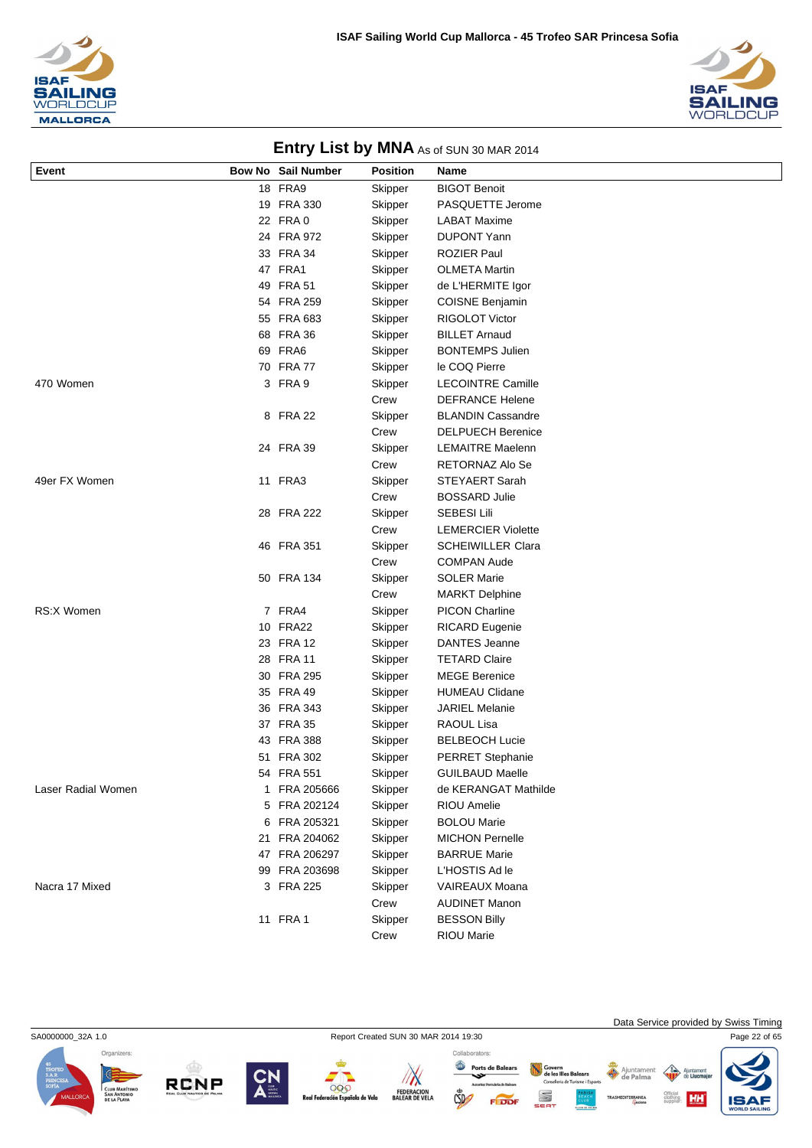



| Bow No Sail Number<br>18 FRA9<br><b>BIGOT Benoit</b><br>Skipper<br>19 FRA 330<br>PASQUETTE Jerome<br>Skipper<br>22 FRA 0<br>Skipper<br><b>LABAT Maxime</b><br>24 FRA 972<br><b>DUPONT Yann</b><br>Skipper<br>33 FRA 34<br><b>ROZIER Paul</b><br>Skipper<br>47 FRA1<br>Skipper<br><b>OLMETA Martin</b><br>49 FRA 51<br>de L'HERMITE Igor<br>Skipper<br>54 FRA 259<br>Skipper<br><b>COISNE Benjamin</b><br>55 FRA 683<br>Skipper<br><b>RIGOLOT Victor</b><br>68 FRA 36<br><b>BILLET Arnaud</b><br>Skipper<br>69 FRA6<br><b>BONTEMPS Julien</b><br>Skipper<br>70 FRA 77<br>le COQ Pierre<br>Skipper<br>470 Women<br>3 FRA 9<br>Skipper<br><b>LECOINTRE Camille</b><br><b>DEFRANCE Helene</b><br>Crew<br>8 FRA 22<br>Skipper<br><b>BLANDIN Cassandre</b><br>Crew<br><b>DELPUECH Berenice</b><br>24 FRA 39<br>Skipper<br><b>LEMAITRE Maelenn</b><br>Crew<br>RETORNAZ Alo Se<br>49er FX Women<br>11 FRA3<br>Skipper<br>STEYAERT Sarah<br>Crew<br><b>BOSSARD Julie</b><br>28 FRA 222<br><b>SEBESI Lili</b><br>Skipper<br><b>LEMERCIER Violette</b><br>Crew<br>46 FRA 351<br><b>SCHEIWILLER Clara</b><br>Skipper<br>Crew<br><b>COMPAN Aude</b><br>50 FRA 134<br><b>SOLER Marie</b><br>Skipper<br>Crew<br><b>MARKT Delphine</b><br><b>RS:X Women</b><br>7 FRA4<br>Skipper<br><b>PICON Charline</b><br>10 FRA22<br><b>RICARD Eugenie</b><br>Skipper<br>23 FRA 12<br><b>DANTES Jeanne</b><br>Skipper<br>28 FRA 11<br><b>TETARD Claire</b><br>Skipper<br>30 FRA 295<br><b>MEGE Berenice</b> | Event | Position | Name |
|---------------------------------------------------------------------------------------------------------------------------------------------------------------------------------------------------------------------------------------------------------------------------------------------------------------------------------------------------------------------------------------------------------------------------------------------------------------------------------------------------------------------------------------------------------------------------------------------------------------------------------------------------------------------------------------------------------------------------------------------------------------------------------------------------------------------------------------------------------------------------------------------------------------------------------------------------------------------------------------------------------------------------------------------------------------------------------------------------------------------------------------------------------------------------------------------------------------------------------------------------------------------------------------------------------------------------------------------------------------------------------------------------------------------------------------------------------------------------------|-------|----------|------|
|                                                                                                                                                                                                                                                                                                                                                                                                                                                                                                                                                                                                                                                                                                                                                                                                                                                                                                                                                                                                                                                                                                                                                                                                                                                                                                                                                                                                                                                                                 |       |          |      |
|                                                                                                                                                                                                                                                                                                                                                                                                                                                                                                                                                                                                                                                                                                                                                                                                                                                                                                                                                                                                                                                                                                                                                                                                                                                                                                                                                                                                                                                                                 |       |          |      |
|                                                                                                                                                                                                                                                                                                                                                                                                                                                                                                                                                                                                                                                                                                                                                                                                                                                                                                                                                                                                                                                                                                                                                                                                                                                                                                                                                                                                                                                                                 |       |          |      |
|                                                                                                                                                                                                                                                                                                                                                                                                                                                                                                                                                                                                                                                                                                                                                                                                                                                                                                                                                                                                                                                                                                                                                                                                                                                                                                                                                                                                                                                                                 |       |          |      |
|                                                                                                                                                                                                                                                                                                                                                                                                                                                                                                                                                                                                                                                                                                                                                                                                                                                                                                                                                                                                                                                                                                                                                                                                                                                                                                                                                                                                                                                                                 |       |          |      |
|                                                                                                                                                                                                                                                                                                                                                                                                                                                                                                                                                                                                                                                                                                                                                                                                                                                                                                                                                                                                                                                                                                                                                                                                                                                                                                                                                                                                                                                                                 |       |          |      |
|                                                                                                                                                                                                                                                                                                                                                                                                                                                                                                                                                                                                                                                                                                                                                                                                                                                                                                                                                                                                                                                                                                                                                                                                                                                                                                                                                                                                                                                                                 |       |          |      |
|                                                                                                                                                                                                                                                                                                                                                                                                                                                                                                                                                                                                                                                                                                                                                                                                                                                                                                                                                                                                                                                                                                                                                                                                                                                                                                                                                                                                                                                                                 |       |          |      |
|                                                                                                                                                                                                                                                                                                                                                                                                                                                                                                                                                                                                                                                                                                                                                                                                                                                                                                                                                                                                                                                                                                                                                                                                                                                                                                                                                                                                                                                                                 |       |          |      |
|                                                                                                                                                                                                                                                                                                                                                                                                                                                                                                                                                                                                                                                                                                                                                                                                                                                                                                                                                                                                                                                                                                                                                                                                                                                                                                                                                                                                                                                                                 |       |          |      |
|                                                                                                                                                                                                                                                                                                                                                                                                                                                                                                                                                                                                                                                                                                                                                                                                                                                                                                                                                                                                                                                                                                                                                                                                                                                                                                                                                                                                                                                                                 |       |          |      |
|                                                                                                                                                                                                                                                                                                                                                                                                                                                                                                                                                                                                                                                                                                                                                                                                                                                                                                                                                                                                                                                                                                                                                                                                                                                                                                                                                                                                                                                                                 |       |          |      |
|                                                                                                                                                                                                                                                                                                                                                                                                                                                                                                                                                                                                                                                                                                                                                                                                                                                                                                                                                                                                                                                                                                                                                                                                                                                                                                                                                                                                                                                                                 |       |          |      |
|                                                                                                                                                                                                                                                                                                                                                                                                                                                                                                                                                                                                                                                                                                                                                                                                                                                                                                                                                                                                                                                                                                                                                                                                                                                                                                                                                                                                                                                                                 |       |          |      |
|                                                                                                                                                                                                                                                                                                                                                                                                                                                                                                                                                                                                                                                                                                                                                                                                                                                                                                                                                                                                                                                                                                                                                                                                                                                                                                                                                                                                                                                                                 |       |          |      |
|                                                                                                                                                                                                                                                                                                                                                                                                                                                                                                                                                                                                                                                                                                                                                                                                                                                                                                                                                                                                                                                                                                                                                                                                                                                                                                                                                                                                                                                                                 |       |          |      |
|                                                                                                                                                                                                                                                                                                                                                                                                                                                                                                                                                                                                                                                                                                                                                                                                                                                                                                                                                                                                                                                                                                                                                                                                                                                                                                                                                                                                                                                                                 |       |          |      |
|                                                                                                                                                                                                                                                                                                                                                                                                                                                                                                                                                                                                                                                                                                                                                                                                                                                                                                                                                                                                                                                                                                                                                                                                                                                                                                                                                                                                                                                                                 |       |          |      |
|                                                                                                                                                                                                                                                                                                                                                                                                                                                                                                                                                                                                                                                                                                                                                                                                                                                                                                                                                                                                                                                                                                                                                                                                                                                                                                                                                                                                                                                                                 |       |          |      |
|                                                                                                                                                                                                                                                                                                                                                                                                                                                                                                                                                                                                                                                                                                                                                                                                                                                                                                                                                                                                                                                                                                                                                                                                                                                                                                                                                                                                                                                                                 |       |          |      |
|                                                                                                                                                                                                                                                                                                                                                                                                                                                                                                                                                                                                                                                                                                                                                                                                                                                                                                                                                                                                                                                                                                                                                                                                                                                                                                                                                                                                                                                                                 |       |          |      |
|                                                                                                                                                                                                                                                                                                                                                                                                                                                                                                                                                                                                                                                                                                                                                                                                                                                                                                                                                                                                                                                                                                                                                                                                                                                                                                                                                                                                                                                                                 |       |          |      |
|                                                                                                                                                                                                                                                                                                                                                                                                                                                                                                                                                                                                                                                                                                                                                                                                                                                                                                                                                                                                                                                                                                                                                                                                                                                                                                                                                                                                                                                                                 |       |          |      |
|                                                                                                                                                                                                                                                                                                                                                                                                                                                                                                                                                                                                                                                                                                                                                                                                                                                                                                                                                                                                                                                                                                                                                                                                                                                                                                                                                                                                                                                                                 |       |          |      |
|                                                                                                                                                                                                                                                                                                                                                                                                                                                                                                                                                                                                                                                                                                                                                                                                                                                                                                                                                                                                                                                                                                                                                                                                                                                                                                                                                                                                                                                                                 |       |          |      |
|                                                                                                                                                                                                                                                                                                                                                                                                                                                                                                                                                                                                                                                                                                                                                                                                                                                                                                                                                                                                                                                                                                                                                                                                                                                                                                                                                                                                                                                                                 |       |          |      |
|                                                                                                                                                                                                                                                                                                                                                                                                                                                                                                                                                                                                                                                                                                                                                                                                                                                                                                                                                                                                                                                                                                                                                                                                                                                                                                                                                                                                                                                                                 |       |          |      |
|                                                                                                                                                                                                                                                                                                                                                                                                                                                                                                                                                                                                                                                                                                                                                                                                                                                                                                                                                                                                                                                                                                                                                                                                                                                                                                                                                                                                                                                                                 |       |          |      |
|                                                                                                                                                                                                                                                                                                                                                                                                                                                                                                                                                                                                                                                                                                                                                                                                                                                                                                                                                                                                                                                                                                                                                                                                                                                                                                                                                                                                                                                                                 |       |          |      |
|                                                                                                                                                                                                                                                                                                                                                                                                                                                                                                                                                                                                                                                                                                                                                                                                                                                                                                                                                                                                                                                                                                                                                                                                                                                                                                                                                                                                                                                                                 |       |          |      |
|                                                                                                                                                                                                                                                                                                                                                                                                                                                                                                                                                                                                                                                                                                                                                                                                                                                                                                                                                                                                                                                                                                                                                                                                                                                                                                                                                                                                                                                                                 |       |          |      |
|                                                                                                                                                                                                                                                                                                                                                                                                                                                                                                                                                                                                                                                                                                                                                                                                                                                                                                                                                                                                                                                                                                                                                                                                                                                                                                                                                                                                                                                                                 |       | Skipper  |      |
| 35 FRA 49<br><b>HUMEAU Clidane</b><br>Skipper                                                                                                                                                                                                                                                                                                                                                                                                                                                                                                                                                                                                                                                                                                                                                                                                                                                                                                                                                                                                                                                                                                                                                                                                                                                                                                                                                                                                                                   |       |          |      |
| 36 FRA 343<br><b>JARIEL Melanie</b><br>Skipper                                                                                                                                                                                                                                                                                                                                                                                                                                                                                                                                                                                                                                                                                                                                                                                                                                                                                                                                                                                                                                                                                                                                                                                                                                                                                                                                                                                                                                  |       |          |      |
| 37 FRA 35<br>RAOUL Lisa<br>Skipper                                                                                                                                                                                                                                                                                                                                                                                                                                                                                                                                                                                                                                                                                                                                                                                                                                                                                                                                                                                                                                                                                                                                                                                                                                                                                                                                                                                                                                              |       |          |      |
| 43 FRA 388<br>Skipper<br><b>BELBEOCH Lucie</b>                                                                                                                                                                                                                                                                                                                                                                                                                                                                                                                                                                                                                                                                                                                                                                                                                                                                                                                                                                                                                                                                                                                                                                                                                                                                                                                                                                                                                                  |       |          |      |
| 51 FRA 302<br>Skipper<br><b>PERRET Stephanie</b>                                                                                                                                                                                                                                                                                                                                                                                                                                                                                                                                                                                                                                                                                                                                                                                                                                                                                                                                                                                                                                                                                                                                                                                                                                                                                                                                                                                                                                |       |          |      |
| 54 FRA 551<br>Skipper<br><b>GUILBAUD Maelle</b>                                                                                                                                                                                                                                                                                                                                                                                                                                                                                                                                                                                                                                                                                                                                                                                                                                                                                                                                                                                                                                                                                                                                                                                                                                                                                                                                                                                                                                 |       |          |      |
| Laser Radial Women<br>1 FRA 205666<br>Skipper<br>de KERANGAT Mathilde                                                                                                                                                                                                                                                                                                                                                                                                                                                                                                                                                                                                                                                                                                                                                                                                                                                                                                                                                                                                                                                                                                                                                                                                                                                                                                                                                                                                           |       |          |      |
| 5 FRA 202124<br>Skipper<br><b>RIOU Amelie</b>                                                                                                                                                                                                                                                                                                                                                                                                                                                                                                                                                                                                                                                                                                                                                                                                                                                                                                                                                                                                                                                                                                                                                                                                                                                                                                                                                                                                                                   |       |          |      |
| FRA 205321<br>Skipper<br><b>BOLOU Marie</b><br>6                                                                                                                                                                                                                                                                                                                                                                                                                                                                                                                                                                                                                                                                                                                                                                                                                                                                                                                                                                                                                                                                                                                                                                                                                                                                                                                                                                                                                                |       |          |      |
| 21 FRA 204062<br>Skipper<br><b>MICHON Pernelle</b>                                                                                                                                                                                                                                                                                                                                                                                                                                                                                                                                                                                                                                                                                                                                                                                                                                                                                                                                                                                                                                                                                                                                                                                                                                                                                                                                                                                                                              |       |          |      |
| 47 FRA 206297<br>Skipper<br><b>BARRUE Marie</b>                                                                                                                                                                                                                                                                                                                                                                                                                                                                                                                                                                                                                                                                                                                                                                                                                                                                                                                                                                                                                                                                                                                                                                                                                                                                                                                                                                                                                                 |       |          |      |
| 99 FRA 203698<br>Skipper<br>L'HOSTIS Ad le                                                                                                                                                                                                                                                                                                                                                                                                                                                                                                                                                                                                                                                                                                                                                                                                                                                                                                                                                                                                                                                                                                                                                                                                                                                                                                                                                                                                                                      |       |          |      |
| 3 FRA 225<br><b>VAIREAUX Moana</b><br>Nacra 17 Mixed<br>Skipper                                                                                                                                                                                                                                                                                                                                                                                                                                                                                                                                                                                                                                                                                                                                                                                                                                                                                                                                                                                                                                                                                                                                                                                                                                                                                                                                                                                                                 |       |          |      |
| Crew<br><b>AUDINET Manon</b>                                                                                                                                                                                                                                                                                                                                                                                                                                                                                                                                                                                                                                                                                                                                                                                                                                                                                                                                                                                                                                                                                                                                                                                                                                                                                                                                                                                                                                                    |       |          |      |
| 11 FRA 1<br><b>BESSON Billy</b><br>Skipper                                                                                                                                                                                                                                                                                                                                                                                                                                                                                                                                                                                                                                                                                                                                                                                                                                                                                                                                                                                                                                                                                                                                                                                                                                                                                                                                                                                                                                      |       |          |      |
| RIOU Marie<br>Crew                                                                                                                                                                                                                                                                                                                                                                                                                                                                                                                                                                                                                                                                                                                                                                                                                                                                                                                                                                                                                                                                                                                                                                                                                                                                                                                                                                                                                                                              |       |          |      |

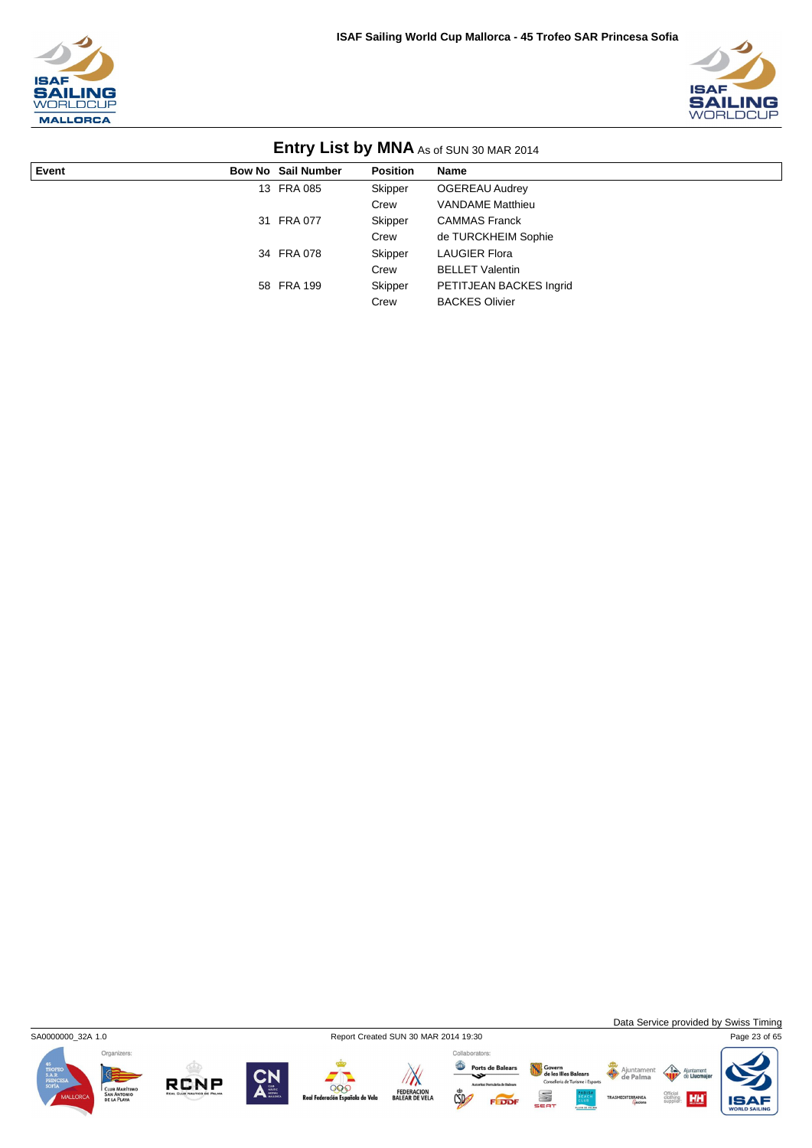



|       |                           | -               |                         |
|-------|---------------------------|-----------------|-------------------------|
| Event | <b>Bow No Sail Number</b> | <b>Position</b> | Name                    |
|       | 13 FRA 085                | Skipper         | <b>OGEREAU Audrey</b>   |
|       |                           | Crew            | <b>VANDAME Matthieu</b> |
|       | 31 FRA 077                | Skipper         | <b>CAMMAS Franck</b>    |
|       |                           | Crew            | de TURCKHEIM Sophie     |
|       | 34 FRA 078                | Skipper         | <b>LAUGIER Flora</b>    |
|       |                           | Crew            | <b>BELLET Valentin</b>  |
|       | 58 FRA 199                | Skipper         | PETITJEAN BACKES Ingrid |
|       |                           | Crew            | <b>BACKES Olivier</b>   |



SA0000000\_32A 1.0 Report Created SUN 30 MAR 2014 19:30 Page 23 of 65

Data Service provided by Swiss Timing

 $\triangle$ 

Ajuntamer<br>de Palma











Collaborators: Ports de Balears  $CSD$ 



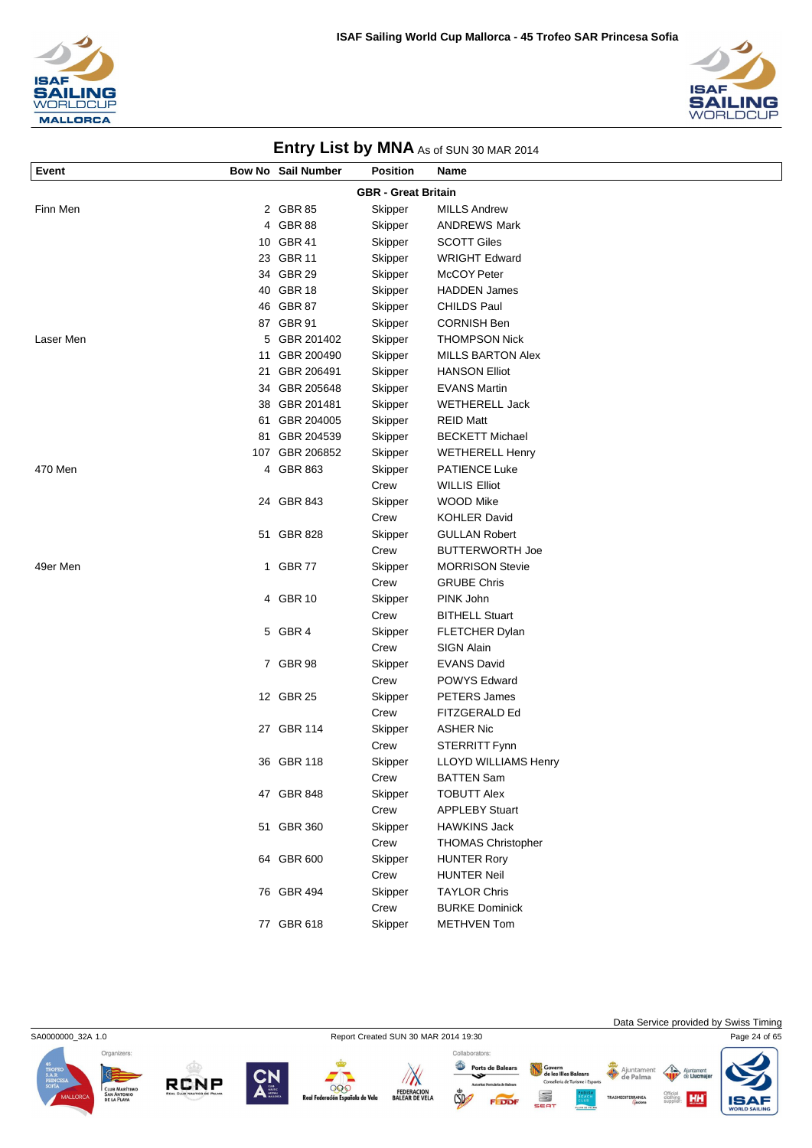



| Event     |                            | <b>Bow No Sail Number</b> | <b>Position</b> | Name                                             |  |  |
|-----------|----------------------------|---------------------------|-----------------|--------------------------------------------------|--|--|
|           | <b>GBR - Great Britain</b> |                           |                 |                                                  |  |  |
| Finn Men  |                            | 2 GBR 85                  | Skipper         | <b>MILLS Andrew</b>                              |  |  |
|           |                            | 4 GBR 88                  | Skipper         | <b>ANDREWS Mark</b>                              |  |  |
|           |                            | 10 GBR 41                 | Skipper         | <b>SCOTT Giles</b>                               |  |  |
|           |                            | 23 GBR 11                 | Skipper         | <b>WRIGHT Edward</b>                             |  |  |
|           |                            | 34 GBR 29                 | Skipper         | McCOY Peter                                      |  |  |
|           |                            | 40 GBR 18                 | Skipper         | <b>HADDEN James</b>                              |  |  |
|           |                            | 46 GBR 87                 | Skipper         | <b>CHILDS Paul</b>                               |  |  |
|           |                            | 87 GBR 91                 | Skipper         | <b>CORNISH Ben</b>                               |  |  |
| Laser Men |                            | 5 GBR 201402              | Skipper         | <b>THOMPSON Nick</b>                             |  |  |
|           | 11                         | GBR 200490                | Skipper         | <b>MILLS BARTON Alex</b>                         |  |  |
|           | 21                         | GBR 206491                | Skipper         | <b>HANSON Elliot</b>                             |  |  |
|           |                            | 34 GBR 205648             | Skipper         | <b>EVANS Martin</b>                              |  |  |
|           |                            | 38 GBR 201481             | Skipper         | <b>WETHERELL Jack</b>                            |  |  |
|           | 61                         | GBR 204005                | Skipper         | <b>REID Matt</b>                                 |  |  |
|           | 81                         | GBR 204539                | Skipper         | <b>BECKETT Michael</b>                           |  |  |
|           |                            | 107 GBR 206852            | Skipper         | <b>WETHERELL Henry</b>                           |  |  |
| 470 Men   |                            | 4 GBR 863                 | Skipper         | <b>PATIENCE Luke</b>                             |  |  |
|           |                            |                           | Crew            | <b>WILLIS Elliot</b>                             |  |  |
|           |                            | 24 GBR 843                | Skipper         | WOOD Mike                                        |  |  |
|           |                            |                           | Crew            | <b>KOHLER David</b>                              |  |  |
|           |                            | 51 GBR 828                | Skipper         | <b>GULLAN Robert</b>                             |  |  |
| 49er Men  |                            | GBR 77                    | Crew            | <b>BUTTERWORTH Joe</b><br><b>MORRISON Stevie</b> |  |  |
|           | 1                          |                           | Skipper<br>Crew | <b>GRUBE Chris</b>                               |  |  |
|           |                            | 4 GBR 10                  | Skipper         | PINK John                                        |  |  |
|           |                            |                           | Crew            | <b>BITHELL Stuart</b>                            |  |  |
|           |                            | 5 GBR 4                   | Skipper         | FLETCHER Dylan                                   |  |  |
|           |                            |                           | Crew            | <b>SIGN Alain</b>                                |  |  |
|           |                            | 7 GBR 98                  | Skipper         | <b>EVANS David</b>                               |  |  |
|           |                            |                           | Crew            | <b>POWYS Edward</b>                              |  |  |
|           |                            | 12 GBR 25                 | Skipper         | PETERS James                                     |  |  |
|           |                            |                           | Crew            | FITZGERALD Ed                                    |  |  |
|           |                            | 27 GBR 114                | Skipper         | <b>ASHER Nic</b>                                 |  |  |
|           |                            |                           | Crew            | STERRITT Fynn                                    |  |  |
|           |                            | 36 GBR 118                | Skipper         | <b>LLOYD WILLIAMS Henry</b>                      |  |  |
|           |                            |                           | Crew            | <b>BATTEN Sam</b>                                |  |  |
|           |                            | 47 GBR 848                | Skipper         | <b>TOBUTT Alex</b>                               |  |  |
|           |                            |                           | Crew            | <b>APPLEBY Stuart</b>                            |  |  |
|           |                            | 51 GBR 360                | Skipper         | <b>HAWKINS Jack</b>                              |  |  |
|           |                            |                           | Crew            | <b>THOMAS Christopher</b>                        |  |  |
|           |                            | 64 GBR 600                | Skipper         | <b>HUNTER Rory</b>                               |  |  |
|           |                            |                           | Crew            | <b>HUNTER Neil</b>                               |  |  |
|           |                            | 76 GBR 494                | Skipper         | <b>TAYLOR Chris</b>                              |  |  |
|           |                            |                           | Crew            | <b>BURKE Dominick</b>                            |  |  |
|           |                            | 77 GBR 618                | Skipper         | <b>METHVEN Tom</b>                               |  |  |





**RCNP** 



 $\sqrt{N}$ 

FEDERACION<br>BALEAR DE VELA

999

de Velo

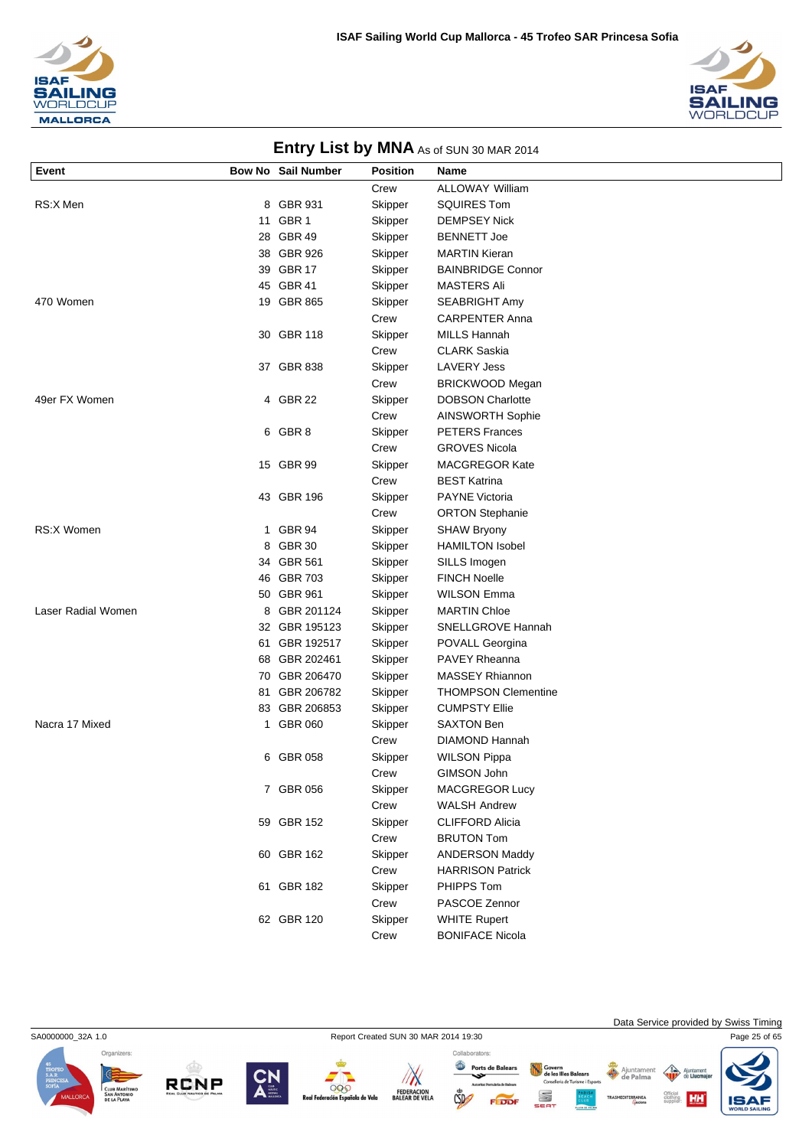



| <b>LITTLE ST DY INTER</b> AS OF SUN 30 MAR 2014 |    |                    |                 |                            |
|-------------------------------------------------|----|--------------------|-----------------|----------------------------|
| Event                                           |    | Bow No Sail Number | <b>Position</b> | Name                       |
|                                                 |    |                    | Crew            | <b>ALLOWAY William</b>     |
| RS:X Men                                        |    | 8 GBR 931          | Skipper         | <b>SQUIRES Tom</b>         |
|                                                 |    | 11 GBR 1           | Skipper         | <b>DEMPSEY Nick</b>        |
|                                                 |    | 28 GBR 49          | Skipper         | <b>BENNETT Joe</b>         |
|                                                 |    | 38 GBR 926         | Skipper         | <b>MARTIN Kieran</b>       |
|                                                 |    | 39 GBR 17          | Skipper         | <b>BAINBRIDGE Connor</b>   |
|                                                 |    | 45 GBR 41          | Skipper         | <b>MASTERS Ali</b>         |
| 470 Women                                       |    | 19 GBR 865         | Skipper         | SEABRIGHT Amy              |
|                                                 |    |                    | Crew            | <b>CARPENTER Anna</b>      |
|                                                 |    | 30 GBR 118         | Skipper         | <b>MILLS Hannah</b>        |
|                                                 |    |                    | Crew            | <b>CLARK Saskia</b>        |
|                                                 |    | 37 GBR 838         | Skipper         | <b>LAVERY Jess</b>         |
|                                                 |    |                    | Crew            | BRICKWOOD Megan            |
| 49er FX Women                                   |    | 4 GBR 22           | Skipper         | <b>DOBSON Charlotte</b>    |
|                                                 |    |                    | Crew            | <b>AINSWORTH Sophie</b>    |
|                                                 |    | 6 GBR 8            | Skipper         | <b>PETERS Frances</b>      |
|                                                 |    |                    | Crew            | <b>GROVES Nicola</b>       |
|                                                 |    | 15 GBR 99          | Skipper         | <b>MACGREGOR Kate</b>      |
|                                                 |    |                    | Crew            | <b>BEST Katrina</b>        |
|                                                 |    | 43 GBR 196         | Skipper         | <b>PAYNE Victoria</b>      |
|                                                 |    |                    | Crew            | <b>ORTON Stephanie</b>     |
| <b>RS:X Women</b>                               | 1. | GBR 94             | Skipper         | <b>SHAW Bryony</b>         |
|                                                 |    | 8 GBR 30           | Skipper         | <b>HAMILTON Isobel</b>     |
|                                                 |    | 34 GBR 561         | Skipper         | SILLS Imogen               |
|                                                 |    | 46 GBR 703         | Skipper         | <b>FINCH Noelle</b>        |
|                                                 |    | 50 GBR 961         | Skipper         | <b>WILSON Emma</b>         |
| Laser Radial Women                              | 8  | GBR 201124         | Skipper         | <b>MARTIN Chloe</b>        |
|                                                 |    | 32 GBR 195123      | Skipper         | SNELLGROVE Hannah          |
|                                                 |    | 61 GBR 192517      | Skipper         | POVALL Georgina            |
|                                                 |    | 68 GBR 202461      | Skipper         | <b>PAVEY Rheanna</b>       |
|                                                 |    | 70 GBR 206470      | Skipper         | <b>MASSEY Rhiannon</b>     |
|                                                 |    | 81 GBR 206782      | Skipper         | <b>THOMPSON Clementine</b> |
|                                                 |    | 83 GBR 206853      | Skipper         | <b>CUMPSTY Ellie</b>       |
| Nacra 17 Mixed                                  | 1. | <b>GBR 060</b>     | Skipper         | <b>SAXTON Ben</b>          |
|                                                 |    |                    | Crew            | <b>DIAMOND Hannah</b>      |
|                                                 |    | 6 GBR 058          | Skipper         | <b>WILSON Pippa</b>        |
|                                                 |    |                    | Crew            | GIMSON John                |
|                                                 |    | 7 GBR 056          | Skipper         | MACGREGOR Lucy             |
|                                                 |    |                    | Crew            | <b>WALSH Andrew</b>        |
|                                                 |    | 59 GBR 152         | Skipper         | <b>CLIFFORD Alicia</b>     |
|                                                 |    |                    | Crew            | <b>BRUTON Tom</b>          |
|                                                 |    | 60 GBR 162         | Skipper         | <b>ANDERSON Maddy</b>      |
|                                                 |    |                    | Crew            | <b>HARRISON Patrick</b>    |
|                                                 |    | 61 GBR 182         | Skipper         | PHIPPS Tom                 |
|                                                 |    |                    | Crew            | PASCOE Zennor              |
|                                                 |    | 62 GBR 120         | Skipper         | <b>WHITE Rupert</b>        |
|                                                 |    |                    | Crew            | <b>BONIFACE Nicola</b>     |



**RCNP** 



999

a de Vela

 $\mathbb{Z}$ FEDERACION<br>BALEAR DE VELA

Collaborators: Ports de Balears Govern<br>de les Illes Balears<br>Conselleria de Turisme i Esports S  $CSD$ 

 $-10<sup>1</sup>$ 

Data Service provided by Swiss Timing

Ajuntamen nent  $\sqrt{3}$ 

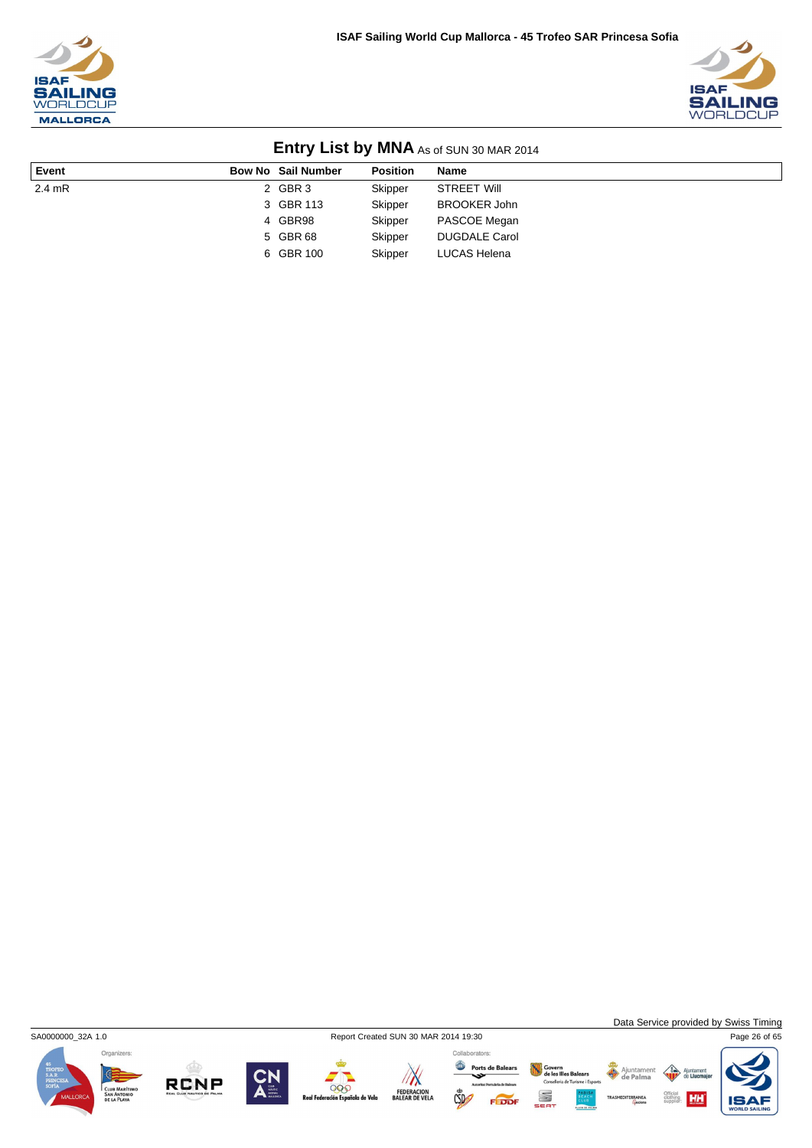



|          |                           |                 | $\frac{1}{2}$ = $\frac{1}{2}$ = $\frac{1}{2}$ = $\frac{1}{2}$ $\frac{1}{2}$ = $\frac{1}{2}$ = $\frac{1}{2}$ = $\frac{1}{2}$ = $\frac{1}{2}$ = $\frac{1}{2}$ = $\frac{1}{2}$ = $\frac{1}{2}$ = $\frac{1}{2}$ = $\frac{1}{2}$ = $\frac{1}{2}$ = $\frac{1}{2}$ = $\frac{1}{2}$ = $\frac{1}{2}$ = $\frac{1}{2$ |
|----------|---------------------------|-----------------|------------------------------------------------------------------------------------------------------------------------------------------------------------------------------------------------------------------------------------------------------------------------------------------------------------|
| Event    | <b>Bow No Sail Number</b> | <b>Position</b> | <b>Name</b>                                                                                                                                                                                                                                                                                                |
| $2.4$ mR | 2 GBR 3                   | Skipper         | <b>STREET Will</b>                                                                                                                                                                                                                                                                                         |
|          | 3 GBR 113                 | Skipper         | <b>BROOKER John</b>                                                                                                                                                                                                                                                                                        |
|          | 4 GBR98                   | Skipper         | PASCOE Megan                                                                                                                                                                                                                                                                                               |
|          | 5 GBR 68                  | Skipper         | <b>DUGDALE Carol</b>                                                                                                                                                                                                                                                                                       |
|          | 6 GBR 100                 | Skipper         | LUCAS Helena                                                                                                                                                                                                                                                                                               |



**RCNP** 

 $\sqrt{N}$ 

FEDERACION<br>BALEAR DE VELA

000

la de Vela

Collaborators: Ports de Balears

 $\mathbb{C}$ 

FEDDI



Ajuntamen<br>**de Palma** 

Govern<br>de les Illes Balears<br>Consellería de Turisme i Esport

S



Data Service provided by Swiss Timing

HH

 $\triangle$ ent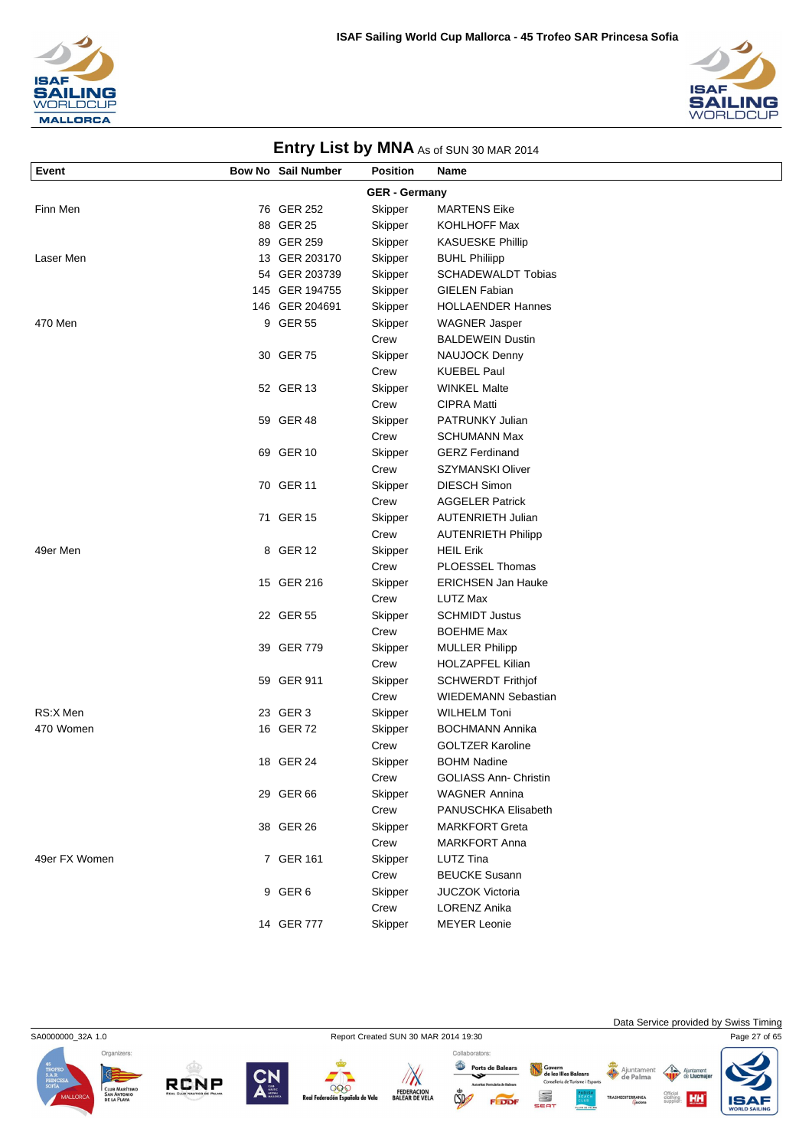



| Event         | <b>Bow No Sail Number</b> | <b>Position</b>      | Name                         |
|---------------|---------------------------|----------------------|------------------------------|
|               |                           | <b>GER - Germany</b> |                              |
| Finn Men      | 76 GER 252                | Skipper              | <b>MARTENS Eike</b>          |
|               | 88 GER 25                 | Skipper              | KOHLHOFF Max                 |
|               | 89 GER 259                | Skipper              | <b>KASUESKE Phillip</b>      |
| Laser Men     | 13 GER 203170             | Skipper              | <b>BUHL Philiipp</b>         |
|               | 54 GER 203739             | Skipper              | <b>SCHADEWALDT Tobias</b>    |
|               | 145 GER 194755            | Skipper              | <b>GIELEN Fabian</b>         |
|               | 146 GER 204691            | Skipper              | <b>HOLLAENDER Hannes</b>     |
| 470 Men       | 9 GER 55                  | Skipper              | <b>WAGNER Jasper</b>         |
|               |                           | Crew                 | <b>BALDEWEIN Dustin</b>      |
|               | 30 GER 75                 | Skipper              | NAUJOCK Denny                |
|               |                           | Crew                 | <b>KUEBEL Paul</b>           |
|               | 52 GER 13                 | Skipper              | <b>WINKEL Malte</b>          |
|               |                           | Crew                 | <b>CIPRA Matti</b>           |
|               | 59 GER 48                 | Skipper              | PATRUNKY Julian              |
|               |                           | Crew                 | <b>SCHUMANN Max</b>          |
|               | 69 GER 10                 | Skipper              | <b>GERZ Ferdinand</b>        |
|               |                           | Crew                 | SZYMANSKI Oliver             |
|               | 70 GER 11                 | Skipper              | <b>DIESCH Simon</b>          |
|               |                           | Crew                 | <b>AGGELER Patrick</b>       |
|               | 71 GER 15                 | Skipper              | <b>AUTENRIETH Julian</b>     |
|               |                           | Crew                 | <b>AUTENRIETH Philipp</b>    |
| 49er Men      | 8 GER 12                  | Skipper              | <b>HEIL Erik</b>             |
|               |                           | Crew                 | PLOESSEL Thomas              |
|               | 15 GER 216                | Skipper              | <b>ERICHSEN Jan Hauke</b>    |
|               |                           | Crew                 | <b>LUTZ Max</b>              |
|               | 22 GER 55                 | Skipper              | <b>SCHMIDT Justus</b>        |
|               |                           | Crew                 | <b>BOEHME Max</b>            |
|               | 39 GER 779                | Skipper              | <b>MULLER Philipp</b>        |
|               |                           | Crew                 | <b>HOLZAPFEL Kilian</b>      |
|               | 59 GER 911                | Skipper              | <b>SCHWERDT Frithjof</b>     |
|               |                           | Crew                 | <b>WIEDEMANN Sebastian</b>   |
| RS:X Men      | 23 GER 3                  | Skipper              | <b>WILHELM Toni</b>          |
| 470 Women     | 16 GER 72                 | Skipper              | <b>BOCHMANN Annika</b>       |
|               |                           | Crew                 | <b>GOLTZER Karoline</b>      |
|               | 18 GER 24                 | Skipper              | <b>BOHM Nadine</b>           |
|               |                           | Crew                 | <b>GOLIASS Ann- Christin</b> |
|               | 29 GER 66                 | Skipper              | <b>WAGNER Annina</b>         |
|               |                           | Crew                 | PANUSCHKA Elisabeth          |
|               | 38 GER 26                 | Skipper              | <b>MARKFORT Greta</b>        |
|               |                           | Crew                 | <b>MARKFORT Anna</b>         |
| 49er FX Women | 7 GER 161                 | Skipper              | LUTZ Tina                    |
|               |                           | Crew                 | <b>BEUCKE Susann</b>         |
|               | 9 GER 6                   | Skipper              | JUCZOK Victoria              |













14 GER 777 Skipper MEYER Leonie

Collaborators: Ports de Balears **CSD** 

Crew LORENZ Anika

Govern<br>de les Illes Balears  $\bigoplus$  $Con$ a<br>de Turisme i Esc S

Data Service provided by Swiss Timing

HН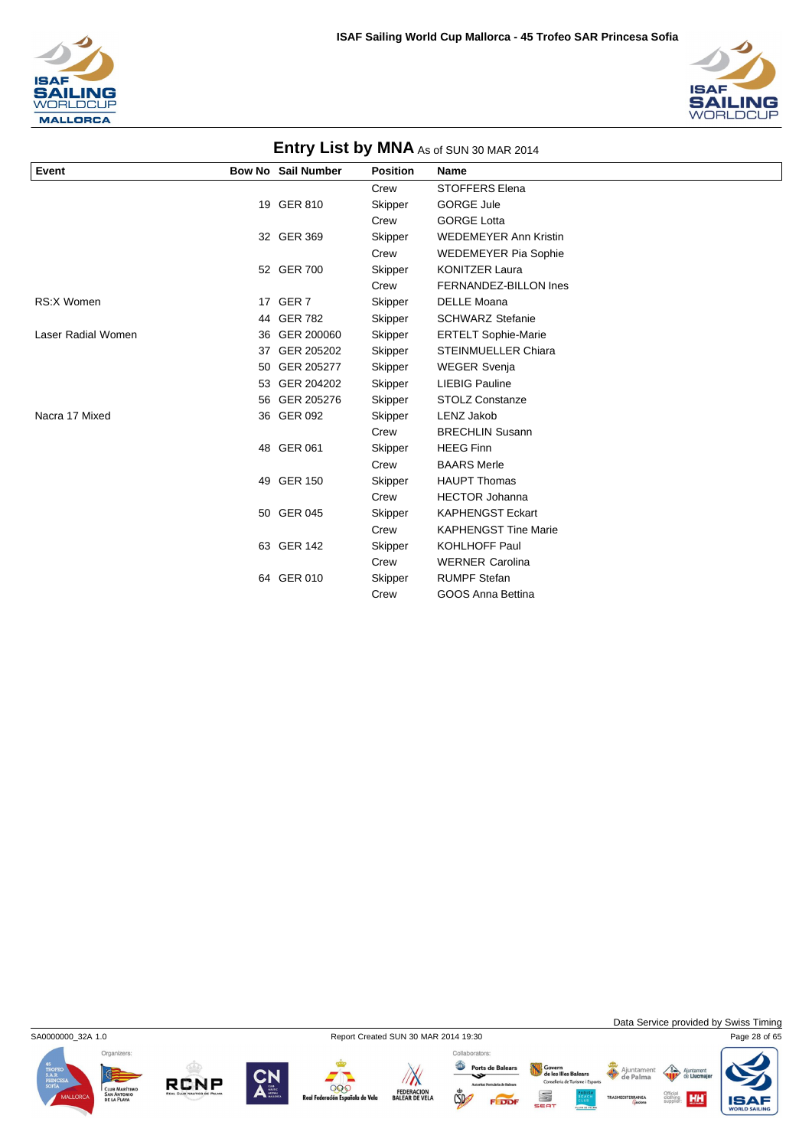



|                    |    |                           |                 | <b>LITTLE YOUR LIST DY INTERNATES OF SUIN 30 MAR 2014</b> |
|--------------------|----|---------------------------|-----------------|-----------------------------------------------------------|
| Event              |    | <b>Bow No Sail Number</b> | <b>Position</b> | Name                                                      |
|                    |    |                           | Crew            | <b>STOFFERS Elena</b>                                     |
|                    |    | 19 GER 810                | Skipper         | <b>GORGE Jule</b>                                         |
|                    |    |                           | Crew            | <b>GORGE Lotta</b>                                        |
|                    |    | 32 GER 369                | Skipper         | <b>WEDEMEYER Ann Kristin</b>                              |
|                    |    |                           | Crew            | <b>WEDEMEYER Pia Sophie</b>                               |
|                    |    | 52 GER 700                | Skipper         | <b>KONITZER Laura</b>                                     |
|                    |    |                           | Crew            | FERNANDEZ-BILLON Ines                                     |
| <b>RS:X Women</b>  |    | 17 GER 7                  | Skipper         | <b>DELLE Moana</b>                                        |
|                    |    | 44 GER 782                | Skipper         | <b>SCHWARZ Stefanie</b>                                   |
| Laser Radial Women |    | 36 GER 200060             | Skipper         | <b>ERTELT Sophie-Marie</b>                                |
|                    |    | 37 GER 205202             | Skipper         | <b>STEINMUELLER Chiara</b>                                |
|                    | 50 | GER 205277                | Skipper         | <b>WEGER Svenja</b>                                       |
|                    |    | 53 GER 204202             | Skipper         | <b>LIEBIG Pauline</b>                                     |
|                    |    | 56 GER 205276             | Skipper         | <b>STOLZ Constanze</b>                                    |
| Nacra 17 Mixed     |    | 36 GER 092                | Skipper         | <b>LENZ Jakob</b>                                         |
|                    |    |                           | Crew            | <b>BRECHLIN Susann</b>                                    |
|                    |    | 48 GER 061                | Skipper         | <b>HEEG Finn</b>                                          |
|                    |    |                           | Crew            | <b>BAARS Merle</b>                                        |
|                    |    | 49 GER 150                | Skipper         | <b>HAUPT Thomas</b>                                       |
|                    |    |                           | Crew            | <b>HECTOR Johanna</b>                                     |
|                    |    | 50 GER 045                | Skipper         | <b>KAPHENGST Eckart</b>                                   |
|                    |    |                           | Crew            | <b>KAPHENGST Tine Marie</b>                               |
|                    |    | 63 GER 142                | Skipper         | <b>KOHLHOFF Paul</b>                                      |
|                    |    |                           | Crew            | <b>WERNER Carolina</b>                                    |
|                    |    | 64 GER 010                | Skipper         | <b>RUMPF Stefan</b>                                       |
|                    |    |                           | Crew            | GOOS Anna Bettina                                         |



**RCNP** 

999

de Vela

Collaborators:

 $\mathbb{Z}$ FEDERACION<br>BALEAR DE VELA  $CSD$ 

Ports de Balears Govern<br>de les Illes Balears<br>Conselleria de Turisme i Esports S

Data Service provided by Swiss Timing

HH

Ajuntamen<br>**de Palma** ent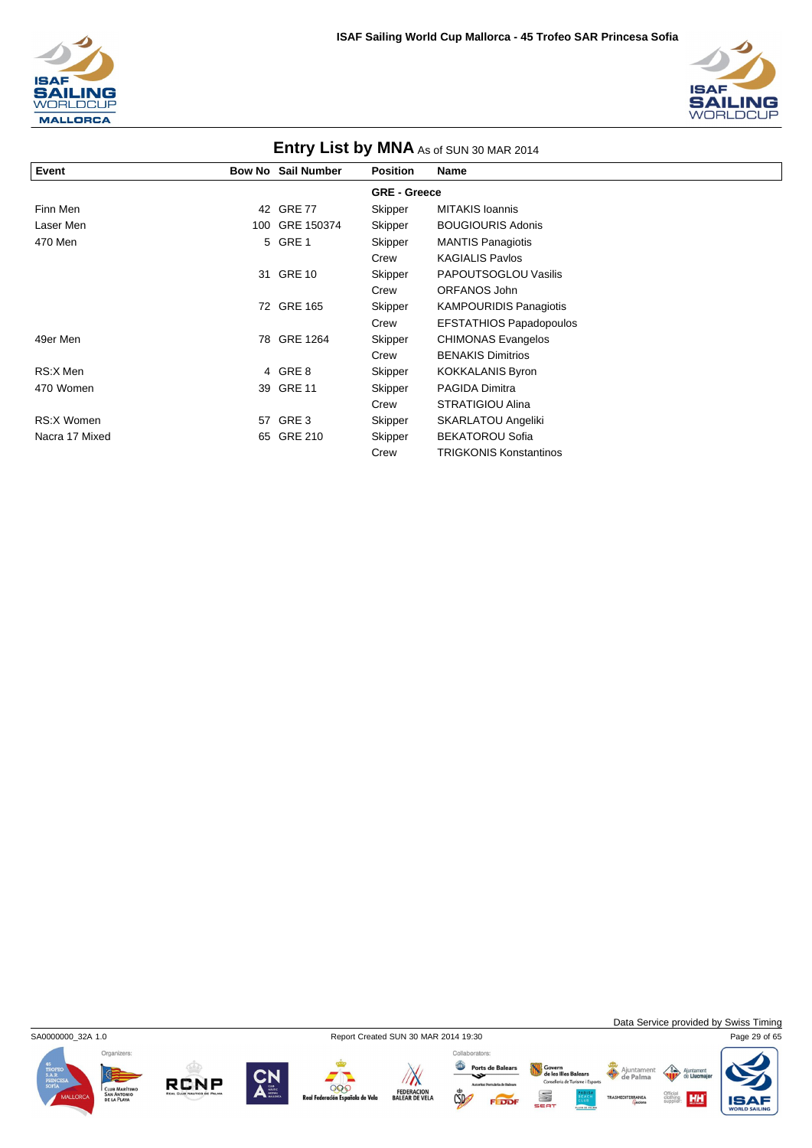



| <b>ENTLY LIST DY IVINA</b> As of SUN 30 MAR 2014 |     |                           |                     |                                |  |  |  |
|--------------------------------------------------|-----|---------------------------|---------------------|--------------------------------|--|--|--|
| Event                                            |     | <b>Bow No Sail Number</b> | <b>Position</b>     | Name                           |  |  |  |
|                                                  |     |                           | <b>GRE - Greece</b> |                                |  |  |  |
| Finn Men                                         | 42  | <b>GRE 77</b>             | Skipper             | <b>MITAKIS Ioannis</b>         |  |  |  |
| Laser Men                                        | 100 | GRE 150374                | Skipper             | <b>BOUGIOURIS Adonis</b>       |  |  |  |
| 470 Men                                          |     | 5 GRE 1                   | Skipper             | <b>MANTIS Panagiotis</b>       |  |  |  |
|                                                  |     |                           | Crew                | <b>KAGIALIS Pavlos</b>         |  |  |  |
|                                                  | 31  | <b>GRE 10</b>             | Skipper             | PAPOUTSOGLOU Vasilis           |  |  |  |
|                                                  |     |                           | Crew                | ORFANOS John                   |  |  |  |
|                                                  | 72  | <b>GRE 165</b>            | Skipper             | <b>KAMPOURIDIS Panagiotis</b>  |  |  |  |
|                                                  |     |                           | Crew                | <b>EFSTATHIOS Papadopoulos</b> |  |  |  |
| 49er Men                                         | 78  | GRE 1264                  | Skipper             | <b>CHIMONAS Evangelos</b>      |  |  |  |
|                                                  |     |                           | Crew                | <b>BENAKIS Dimitrios</b>       |  |  |  |
| RS:X Men                                         |     | 4 GRE 8                   | Skipper             | <b>KOKKALANIS Byron</b>        |  |  |  |
| 470 Women                                        |     | 39 GRE 11                 | Skipper             | <b>PAGIDA Dimitra</b>          |  |  |  |
|                                                  |     |                           | Crew                | STRATIGIOU Alina               |  |  |  |
| RS:X Women                                       |     | 57 GRE 3                  | Skipper             | SKARLATOU Angeliki             |  |  |  |
| Nacra 17 Mixed                                   | 65  | GRE 210                   | Skipper             | <b>BEKATOROU Sofia</b>         |  |  |  |
|                                                  |     |                           | Crew                | <b>TRIGKONIS Konstantinos</b>  |  |  |  |

## **Entry List by MNA**

SA0000000\_32A 1.0 Report Created SUN 30 MAR 2014 19:30 Page 29 of 65



Data Service provided by Swiss Timing

Ajunta<br>de Li

**HH** 

Official<br>clothing<br>supplier:









Ports de Balears FEDDF



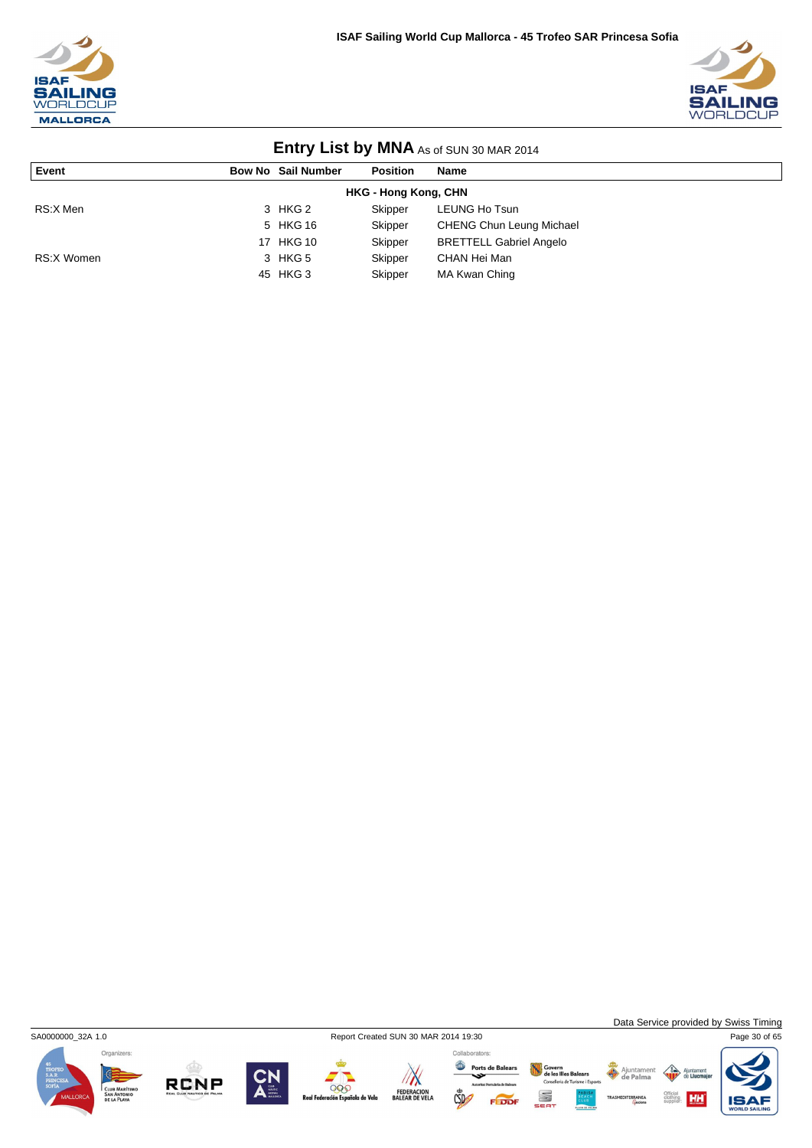



| <b>LITTLE YOU AND INTERNATIONAL SUINTS AND IN A LOTAL</b> |  |                           |                 |                                 |  |  |  |  |
|-----------------------------------------------------------|--|---------------------------|-----------------|---------------------------------|--|--|--|--|
| Event                                                     |  | <b>Bow No Sail Number</b> | <b>Position</b> | <b>Name</b>                     |  |  |  |  |
| <b>HKG - Hong Kong, CHN</b>                               |  |                           |                 |                                 |  |  |  |  |
| RS:X Men                                                  |  | 3 HKG 2                   | Skipper         | LEUNG Ho Tsun                   |  |  |  |  |
|                                                           |  | 5 HKG 16                  | Skipper         | <b>CHENG Chun Leung Michael</b> |  |  |  |  |
|                                                           |  | 17 HKG 10                 | Skipper         | <b>BRETTELL Gabriel Angelo</b>  |  |  |  |  |
| RS:X Women                                                |  | 3 HKG 5                   | Skipper         | CHAN Hei Man                    |  |  |  |  |
|                                                           |  | 45 HKG 3                  | Skipper         | MA Kwan Ching                   |  |  |  |  |



Data Service provided by Swiss Timing









Ports de Balears Govern<br>de les Illes Balears<br>Consellería de Turisme i Esport S FEDDI



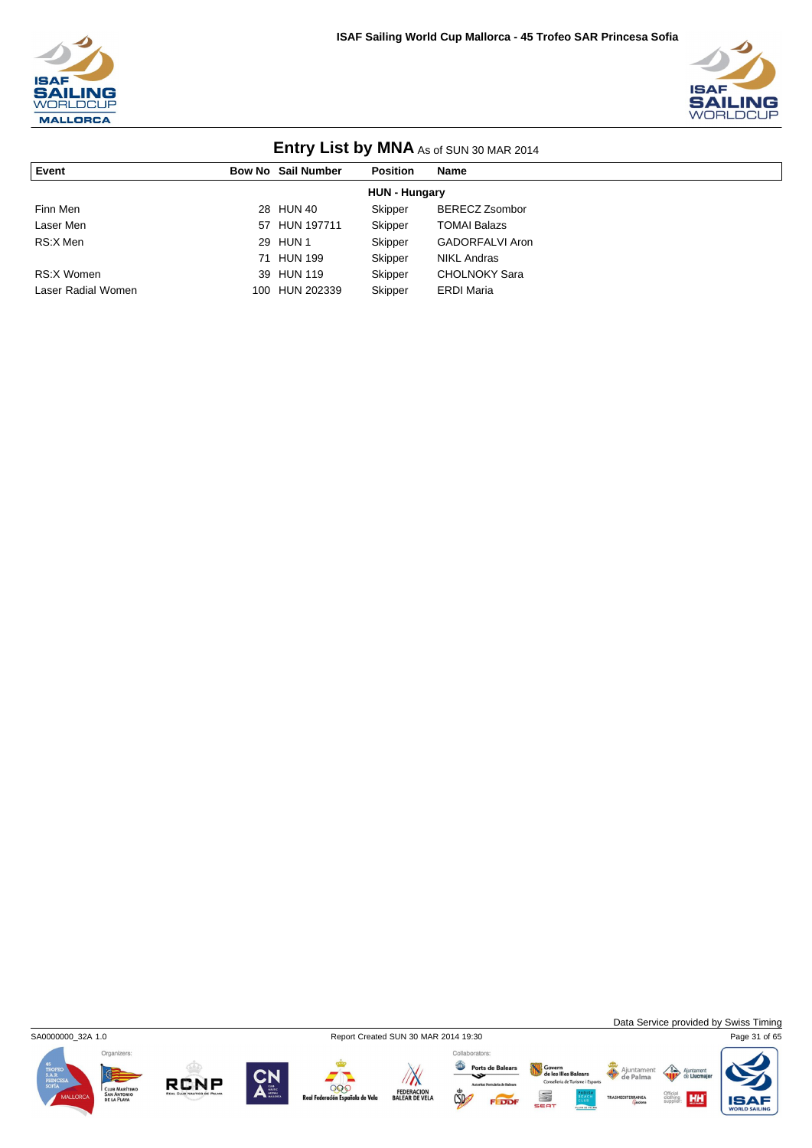



| <b>LITTLE YOU AND INTERNATIONAL SUINTS AND IN A LOTAL</b> |     |                           |                 |                       |  |  |  |
|-----------------------------------------------------------|-----|---------------------------|-----------------|-----------------------|--|--|--|
| Event                                                     |     | <b>Bow No Sail Number</b> | <b>Position</b> | <b>Name</b>           |  |  |  |
| <b>HUN - Hungary</b>                                      |     |                           |                 |                       |  |  |  |
| Finn Men                                                  |     | 28 HUN 40                 | Skipper         | <b>BERECZ Zsombor</b> |  |  |  |
| Laser Men                                                 |     | 57 HUN 197711             | Skipper         | <b>TOMAI Balazs</b>   |  |  |  |
| RS:X Men                                                  |     | 29 HUN 1                  | Skipper         | GADORFALVI Aron       |  |  |  |
|                                                           |     | 71 HUN 199                | Skipper         | <b>NIKL Andras</b>    |  |  |  |
| RS:X Women                                                |     | 39 HUN 119                | Skipper         | <b>CHOLNOKY Sara</b>  |  |  |  |
| Laser Radial Women                                        | 100 | HUN 202339                | Skipper         | <b>ERDI Maria</b>     |  |  |  |



**RCNP** 



Ports de Balears Govern<br>de les Illes Balears<br>Consellería de Turisme i Esport S FEDDI

Data Service provided by Swiss Timing

HH

 $\triangle$ ent

Ajuntamen<br>**de Palma**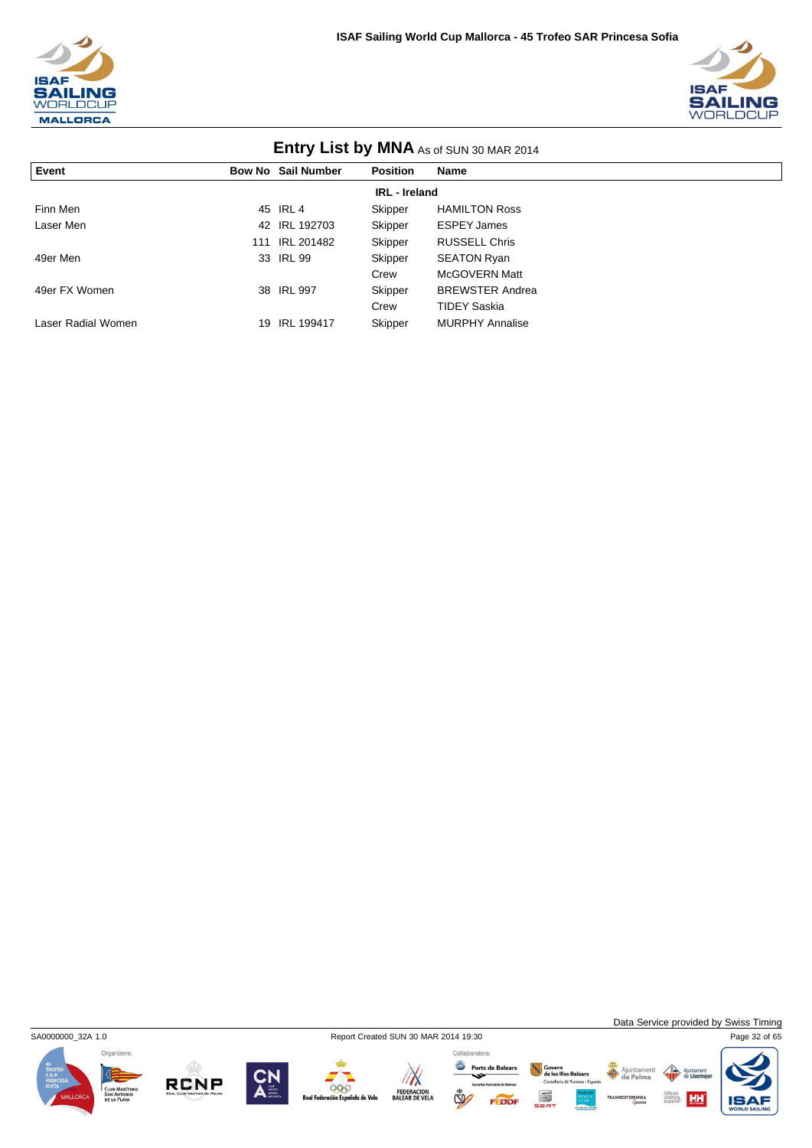



| <b>LITTLE AS OF SUN 30 MAR 2014</b> |     |                           |                 |                        |  |  |  |
|-------------------------------------|-----|---------------------------|-----------------|------------------------|--|--|--|
| Event                               |     | <b>Bow No Sail Number</b> | <b>Position</b> | <b>Name</b>            |  |  |  |
| <b>IRL</b> - Ireland                |     |                           |                 |                        |  |  |  |
| Finn Men                            |     | 45 IRL 4                  | Skipper         | <b>HAMILTON Ross</b>   |  |  |  |
| Laser Men                           |     | 42 IRL 192703             | Skipper         | <b>ESPEY James</b>     |  |  |  |
|                                     | 111 | IRL 201482                | Skipper         | <b>RUSSELL Chris</b>   |  |  |  |
| 49er Men                            |     | 33 IRL 99                 | Skipper         | <b>SEATON Ryan</b>     |  |  |  |
|                                     |     |                           | Crew            | McGOVERN Matt          |  |  |  |
| 49er FX Women                       |     | 38 IRL 997                | Skipper         | <b>BREWSTER Andrea</b> |  |  |  |
|                                     |     |                           | Crew            | <b>TIDEY Saskia</b>    |  |  |  |
| Laser Radial Women                  | 19  | <b>IRL 199417</b>         | Skipper         | <b>MURPHY Annalise</b> |  |  |  |

Organizers:

**RCNP** 







Govern<br>de les Illes Balears<br>Conselleria de Turisme i Esports

S

FEDDI

Ajuntament

Data Service provided by Swiss Timing

**HH** 

IS

 $\left\langle \right\rangle$ Ajunt

Official<br>clothing<br>supplier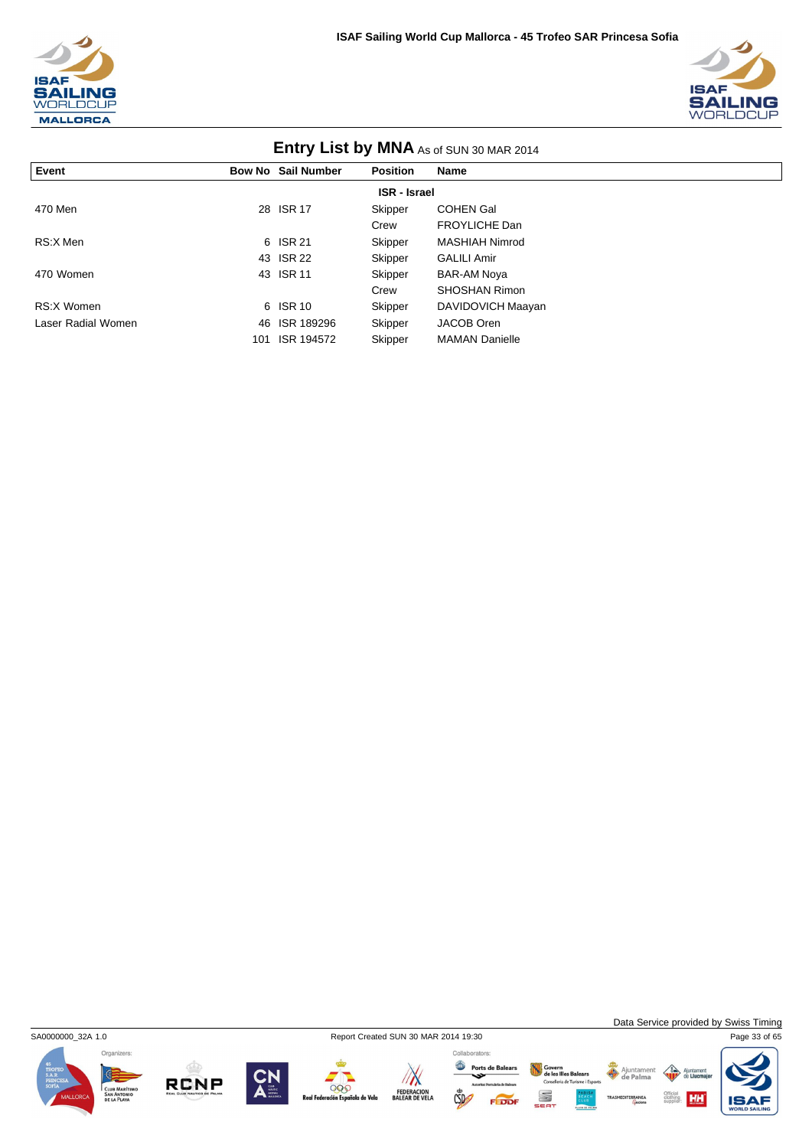



| <b>ETILLY LIST DY IVINA AS of SUN 30 MAR 2014</b> |     |                           |                 |                       |  |  |  |
|---------------------------------------------------|-----|---------------------------|-----------------|-----------------------|--|--|--|
| Event                                             |     | <b>Bow No Sail Number</b> | <b>Position</b> | Name                  |  |  |  |
| <b>ISR</b> - Israel                               |     |                           |                 |                       |  |  |  |
| 470 Men                                           |     | 28 ISR 17                 | Skipper         | <b>COHEN Gal</b>      |  |  |  |
|                                                   |     |                           | Crew            | <b>FROYLICHE Dan</b>  |  |  |  |
| RS:X Men                                          |     | 6 ISR 21                  | Skipper         | <b>MASHIAH Nimrod</b> |  |  |  |
|                                                   |     | 43 ISR 22                 | Skipper         | <b>GALILI Amir</b>    |  |  |  |
| 470 Women                                         |     | 43 ISR 11                 | Skipper         | <b>BAR-AM Noya</b>    |  |  |  |
|                                                   |     |                           | Crew            | <b>SHOSHAN Rimon</b>  |  |  |  |
| RS:X Women                                        |     | 6 ISR 10                  | Skipper         | DAVIDOVICH Maayan     |  |  |  |
| Laser Radial Women                                | 46  | ISR 189296                | Skipper         | JACOB Oren            |  |  |  |
|                                                   | 101 | ISR 194572                | Skipper         | <b>MAMAN Danielle</b> |  |  |  |

### **Entry List by MNA** As of SUN 2014

Organizers:

**RCNP** 





FEDERACION<br>BALEAR DE VELA

Ports de Balears  $\mathbb{C}$ 

Govern<br>de les Illes Balears<br>Conselleria de Turisme i Esports Ajuntament<br>de Palma

Data Service provided by Swiss Timing

 $\left\langle \right\rangle$ 

Official<br>clothing<br>supplier



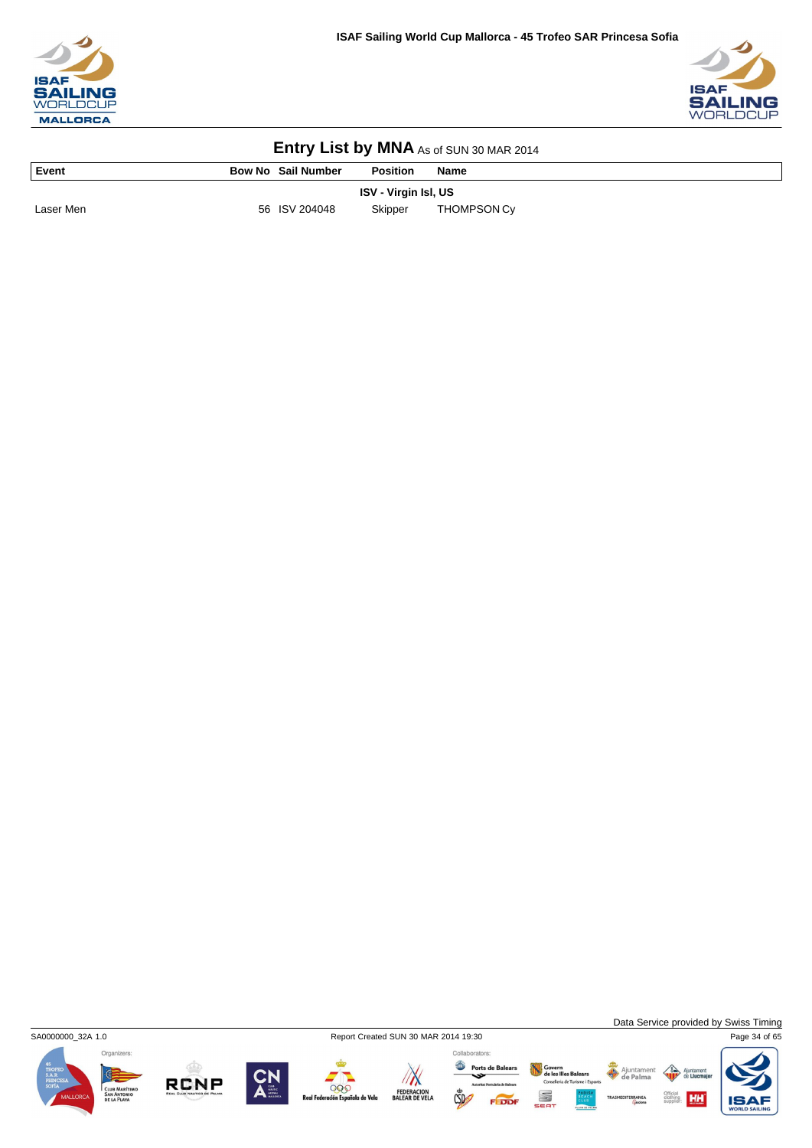



| l Event   | <b>Bow No Sail Number</b> | <b>Position</b>             | Name        |
|-----------|---------------------------|-----------------------------|-------------|
|           |                           | <b>ISV - Virgin Isl, US</b> |             |
| Laser Men | 56 ISV 204048             | Skipper                     | THOMPSON Cy |



Data Service provided by Swiss Timing

Ajuntamer<br>de Palma









FEDERACION<br>BALEAR DE VELA

Ports de Balears  $CSD$ 

Collaborators:

Govern<br>de les Illes Balears<br>Conselleria de Turisme i Esport S

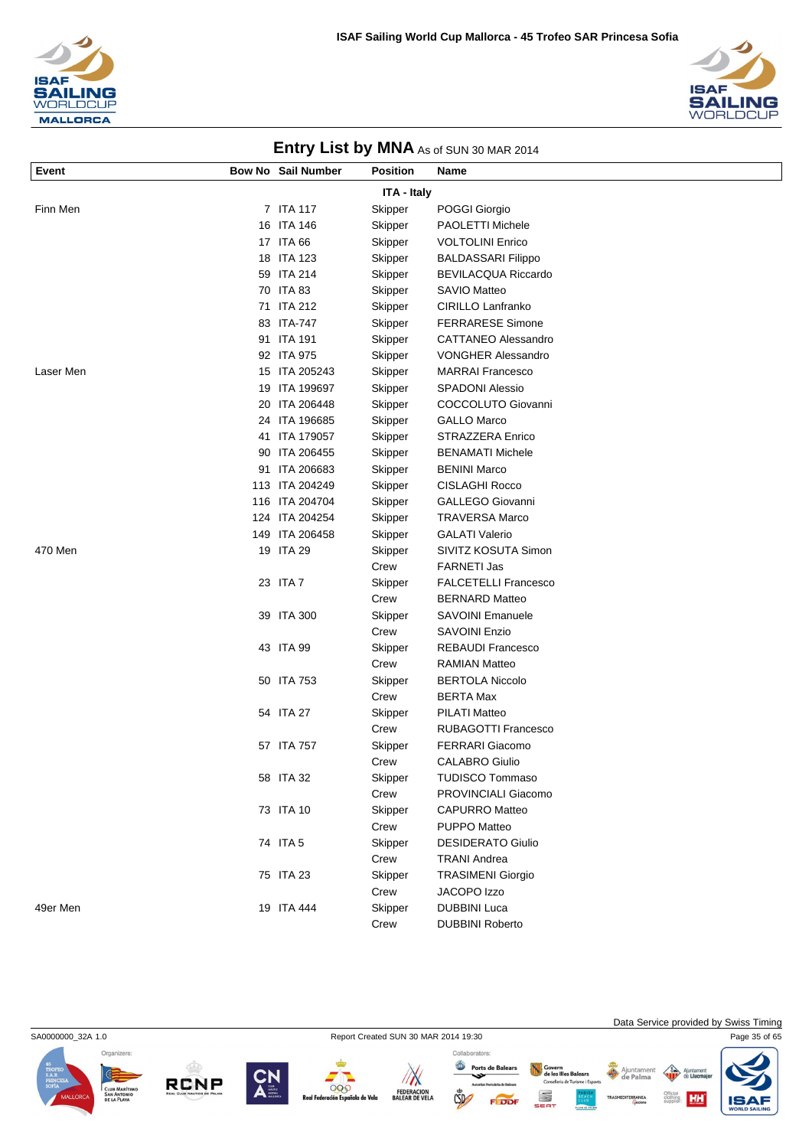



| Event     | <b>Bow No Sail Number</b> | <b>Position</b> | Name                        |
|-----------|---------------------------|-----------------|-----------------------------|
|           |                           | ITA - Italy     |                             |
| Finn Men  | 7 ITA 117                 | Skipper         | POGGI Giorgio               |
|           | 16 ITA 146                | Skipper         | PAOLETTI Michele            |
|           | 17 ITA 66                 | Skipper         | <b>VOLTOLINI Enrico</b>     |
|           | 18 ITA 123                | Skipper         | <b>BALDASSARI Filippo</b>   |
|           | 59 ITA 214                | Skipper         | <b>BEVILACQUA Riccardo</b>  |
|           | 70 ITA 83                 | Skipper         | <b>SAVIO Matteo</b>         |
|           | 71 ITA 212                | Skipper         | <b>CIRILLO Lanfranko</b>    |
|           | 83 ITA-747                | Skipper         | <b>FERRARESE Simone</b>     |
|           | 91 ITA 191                | Skipper         | <b>CATTANEO Alessandro</b>  |
|           | 92 ITA 975                | Skipper         | <b>VONGHER Alessandro</b>   |
| Laser Men | 15 ITA 205243             | Skipper         | <b>MARRAI Francesco</b>     |
|           | 19 ITA 199697             | Skipper         | <b>SPADONI Alessio</b>      |
|           | 20 ITA 206448             | Skipper         | COCCOLUTO Giovanni          |
|           | 24 ITA 196685             | Skipper         | <b>GALLO Marco</b>          |
|           | 41 ITA 179057             | Skipper         | <b>STRAZZERA Enrico</b>     |
|           | 90 ITA 206455             | Skipper         | <b>BENAMATI Michele</b>     |
|           | 91 ITA 206683             | Skipper         | <b>BENINI Marco</b>         |
|           | 113 ITA 204249            | Skipper         | <b>CISLAGHI Rocco</b>       |
|           | 116 ITA 204704            | Skipper         | <b>GALLEGO Giovanni</b>     |
|           | 124 ITA 204254            | Skipper         | <b>TRAVERSA Marco</b>       |
|           | 149 ITA 206458            | Skipper         | <b>GALATI Valerio</b>       |
| 470 Men   | 19 ITA 29                 | Skipper         | SIVITZ KOSUTA Simon         |
|           |                           | Crew            | <b>FARNETI Jas</b>          |
|           | 23 ITA 7                  | Skipper         | <b>FALCETELLI Francesco</b> |
|           |                           | Crew            | <b>BERNARD Matteo</b>       |
|           | 39 ITA 300                | Skipper         | <b>SAVOINI Emanuele</b>     |
|           |                           | Crew            | <b>SAVOINI Enzio</b>        |
|           | 43 ITA 99                 | Skipper         | REBAUDI Francesco           |
|           |                           | Crew            | <b>RAMIAN Matteo</b>        |
|           | 50 ITA 753                | Skipper         | <b>BERTOLA Niccolo</b>      |
|           |                           | Crew            | <b>BERTA Max</b>            |
|           | 54 ITA 27                 | Skipper         | <b>PILATI Matteo</b>        |
|           |                           | Crew            | <b>RUBAGOTTI Francesco</b>  |
|           | 57 ITA 757                | Skipper         | <b>FERRARI Giacomo</b>      |
|           |                           | Crew            | <b>CALABRO Giulio</b>       |
|           | 58 ITA 32                 | Skipper         | TUDISCO Tommaso             |
|           |                           | Crew            | PROVINCIALI Giacomo         |
|           | 73 ITA 10                 | Skipper         | <b>CAPURRO Matteo</b>       |
|           |                           | Crew            | PUPPO Matteo                |
|           | 74 ITA 5                  | Skipper         | <b>DESIDERATO Giulio</b>    |
|           |                           | Crew            | <b>TRANI Andrea</b>         |
|           | 75 ITA 23                 | Skipper         | <b>TRASIMENI Giorgio</b>    |
|           |                           | Crew            | JACOPO Izzo                 |
| 49er Men  | 19 ITA 444                | Skipper         | <b>DUBBINI Luca</b>         |
|           |                           | Crew            | <b>DUBBINI Roberto</b>      |

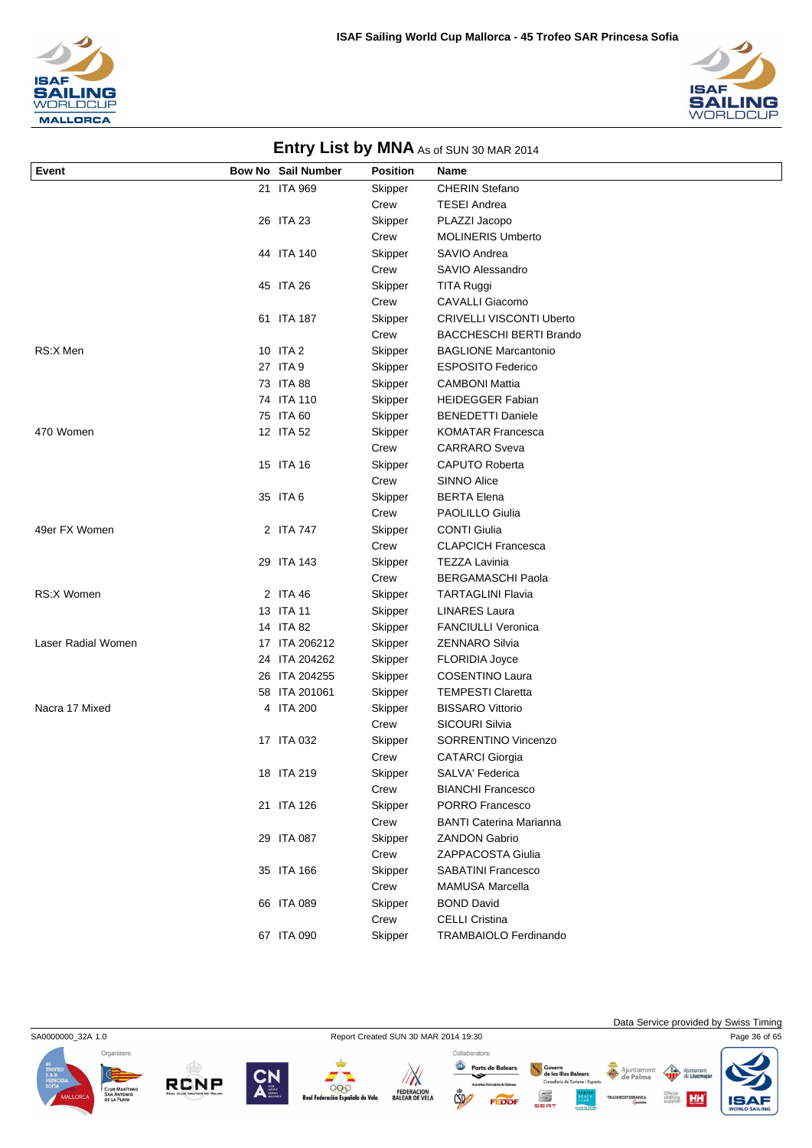



| Event              | ,<br>Bow No Sail Number | <b>Position</b> | <b>Name</b>                          |
|--------------------|-------------------------|-----------------|--------------------------------------|
|                    | 21 ITA 969              | Skipper         | <b>CHERIN Stefano</b>                |
|                    |                         | Crew            | <b>TESEI Andrea</b>                  |
|                    | 26 ITA 23               | Skipper         | PLAZZI Jacopo                        |
|                    |                         | Crew            | <b>MOLINERIS Umberto</b>             |
|                    | 44 ITA 140              | Skipper         | SAVIO Andrea                         |
|                    |                         | Crew            | SAVIO Alessandro                     |
|                    | 45 ITA 26               | Skipper         | TITA Ruggi                           |
|                    |                         | Crew            | CAVALLI Giacomo                      |
|                    | 61 ITA 187              | Skipper         | <b>CRIVELLI VISCONTI Uberto</b>      |
|                    |                         | Crew            | <b>BACCHESCHI BERTI Brando</b>       |
| RS:X Men           | 10 ITA 2                | Skipper         | <b>BAGLIONE Marcantonio</b>          |
|                    | 27 ITA 9                | Skipper         | <b>ESPOSITO Federico</b>             |
|                    | 73 ITA 88               | Skipper         | <b>CAMBONI Mattia</b>                |
|                    | 74 ITA 110              | Skipper         | <b>HEIDEGGER Fabian</b>              |
|                    | 75 ITA 60               | Skipper         | <b>BENEDETTI Daniele</b>             |
| 470 Women          | 12 ITA 52               | Skipper         | <b>KOMATAR Francesca</b>             |
|                    |                         | Crew            | <b>CARRARO</b> Sveva                 |
|                    | 15 ITA 16               | Skipper         | <b>CAPUTO Roberta</b>                |
|                    |                         | Crew            | <b>SINNO Alice</b>                   |
|                    | 35 ITA 6                | Skipper         | <b>BERTA Elena</b>                   |
|                    |                         | Crew            | PAOLILLO Giulia                      |
| 49er FX Women      | 2 ITA 747               | Skipper         | <b>CONTI Giulia</b>                  |
|                    |                         | Crew            | <b>CLAPCICH Francesca</b>            |
|                    | 29 ITA 143              | Skipper         | <b>TEZZA Lavinia</b>                 |
|                    |                         | Crew            | <b>BERGAMASCHI Paola</b>             |
| <b>RS:X Women</b>  | 2 ITA 46                | Skipper         | <b>TARTAGLINI Flavia</b>             |
|                    | 13 ITA 11               | Skipper         | <b>LINARES Laura</b>                 |
|                    | 14 ITA 82               | Skipper         | FANCIULLI Veronica                   |
| Laser Radial Women | 17 ITA 206212           | Skipper         | <b>ZENNARO Silvia</b>                |
|                    | 24 ITA 204262           | Skipper         | <b>FLORIDIA Joyce</b>                |
|                    | 26 ITA 204255           | Skipper         | COSENTINO Laura                      |
|                    | 58 ITA 201061           | Skipper         | <b>TEMPESTI Claretta</b>             |
| Nacra 17 Mixed     | 4 ITA 200               | Skipper         | <b>BISSARO Vittorio</b>              |
|                    |                         | Crew            | SICOURI Silvia                       |
|                    | 17 ITA 032              | Skipper         | SORRENTINO Vincenzo                  |
|                    |                         | Crew            | <b>CATARCI</b> Giorgia               |
|                    | 18 ITA 219              | Skipper         | SALVA' Federica                      |
|                    |                         | Crew            | <b>BIANCHI Francesco</b>             |
|                    | 21 ITA 126              | Skipper         | PORRO Francesco                      |
|                    |                         | Crew            | <b>BANTI Caterina Marianna</b>       |
|                    | 29 ITA 087              | Skipper         | <b>ZANDON Gabrio</b>                 |
|                    |                         | Crew            | ZAPPACOSTA Giulia                    |
|                    | 35 ITA 166              | Skipper         | <b>SABATINI Francesco</b>            |
|                    |                         | Crew            | MAMUSA Marcella<br><b>BOND David</b> |
|                    | 66 ITA 089              | Skipper         | <b>CELLI Cristina</b>                |
|                    | 67 ITA 090              | Crew<br>Skipper | TRAMBAIOLO Ferdinando                |
|                    |                         |                 |                                      |













Data Service provided by Swiss Timing

HH

 $\triangle$ nent

Govern<br>de les Illes Balears<br>Consellería de Turisme i Esport

S

FEDDI

Ajuntamen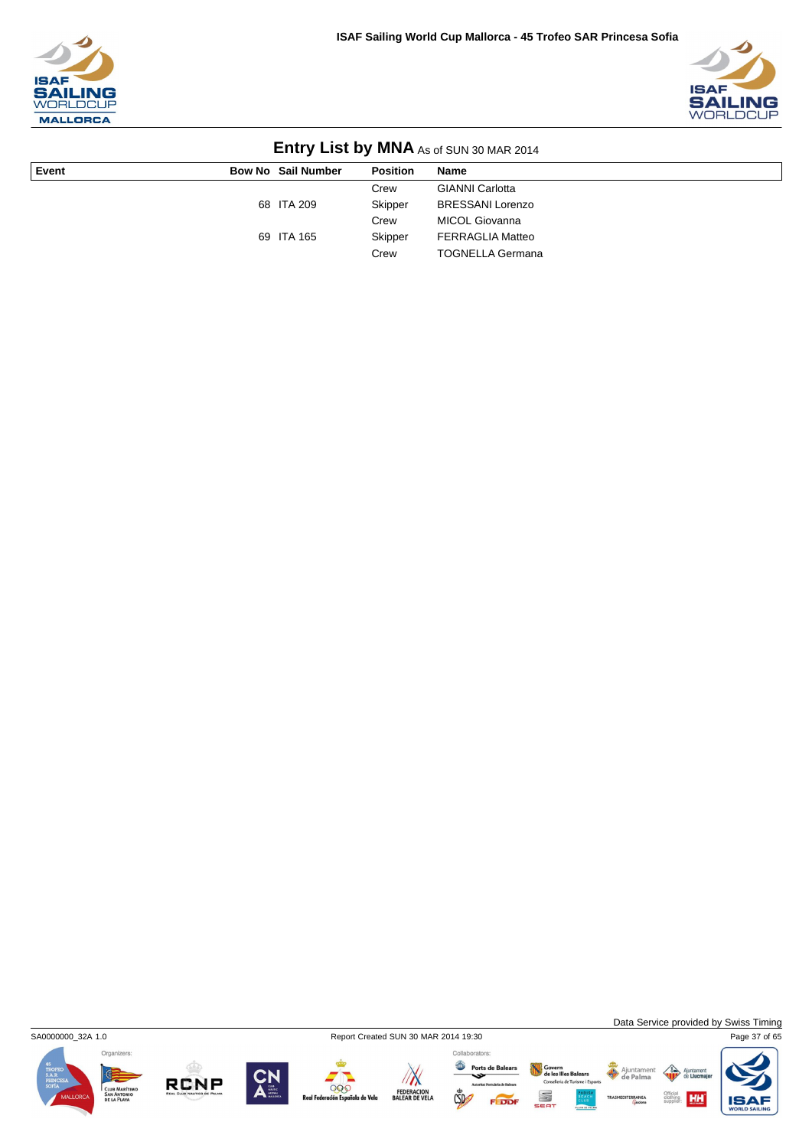



|       | <b>ETIME Y EIGH BY INITIAL AS OF SOLY SO IMAN ZOTA</b> |                           |                 |                         |  |  |
|-------|--------------------------------------------------------|---------------------------|-----------------|-------------------------|--|--|
| Event |                                                        | <b>Bow No Sail Number</b> | <b>Position</b> | Name                    |  |  |
|       |                                                        |                           | Crew            | <b>GIANNI Carlotta</b>  |  |  |
|       |                                                        | 68 ITA 209                | Skipper         | <b>BRESSANI Lorenzo</b> |  |  |
|       |                                                        |                           | Crew            | MICOL Giovanna          |  |  |
|       |                                                        | 69 ITA 165                | Skipper         | <b>FERRAGLIA Matteo</b> |  |  |
|       |                                                        |                           | Crew            | <b>TOGNELLA Germana</b> |  |  |



**RCNP** 

 $\mathbb{Z}$ 

FEDERACION<br>BALEAR DE VELA

000

la de Vela

Collaborators:

 $\mathbb{C}$ 



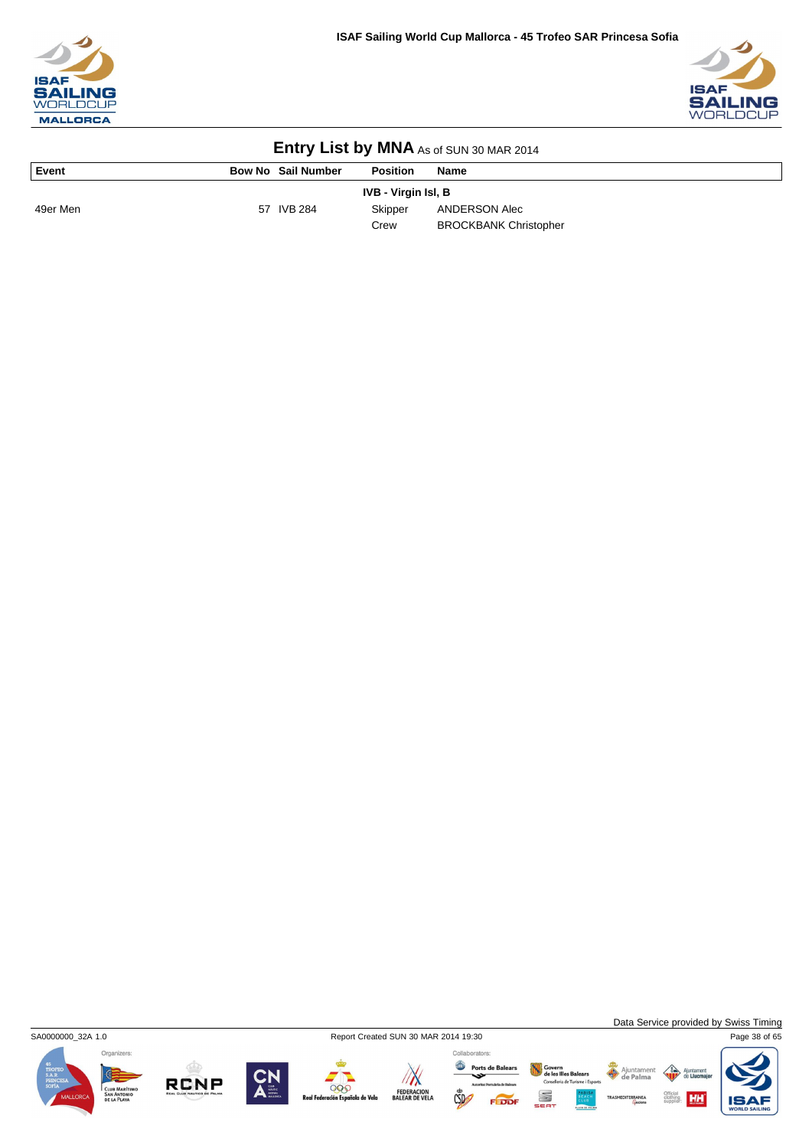



| <b>EIIII Y LIST DY IVINA</b> As of SUN 30 MAR 2014 |                    |                            |                              |  |  |  |
|----------------------------------------------------|--------------------|----------------------------|------------------------------|--|--|--|
| Event                                              | Bow No Sail Number | <b>Position</b>            | <b>Name</b>                  |  |  |  |
|                                                    |                    | <b>IVB - Virgin Isl, B</b> |                              |  |  |  |
| 49er Men                                           | 57 IVB 284         | Skipper                    | ANDERSON Alec                |  |  |  |
|                                                    |                    | Crew                       | <b>BROCKBANK Christopher</b> |  |  |  |

**Entry List by MNA** 





 $\frac{A$ junt









Collaborators: Ports de Balears Govern<br>de les Illes Balears<br>Conselleria de Turisme i Esports S  $\mathbb{C}$ FEDDI



**HH** IS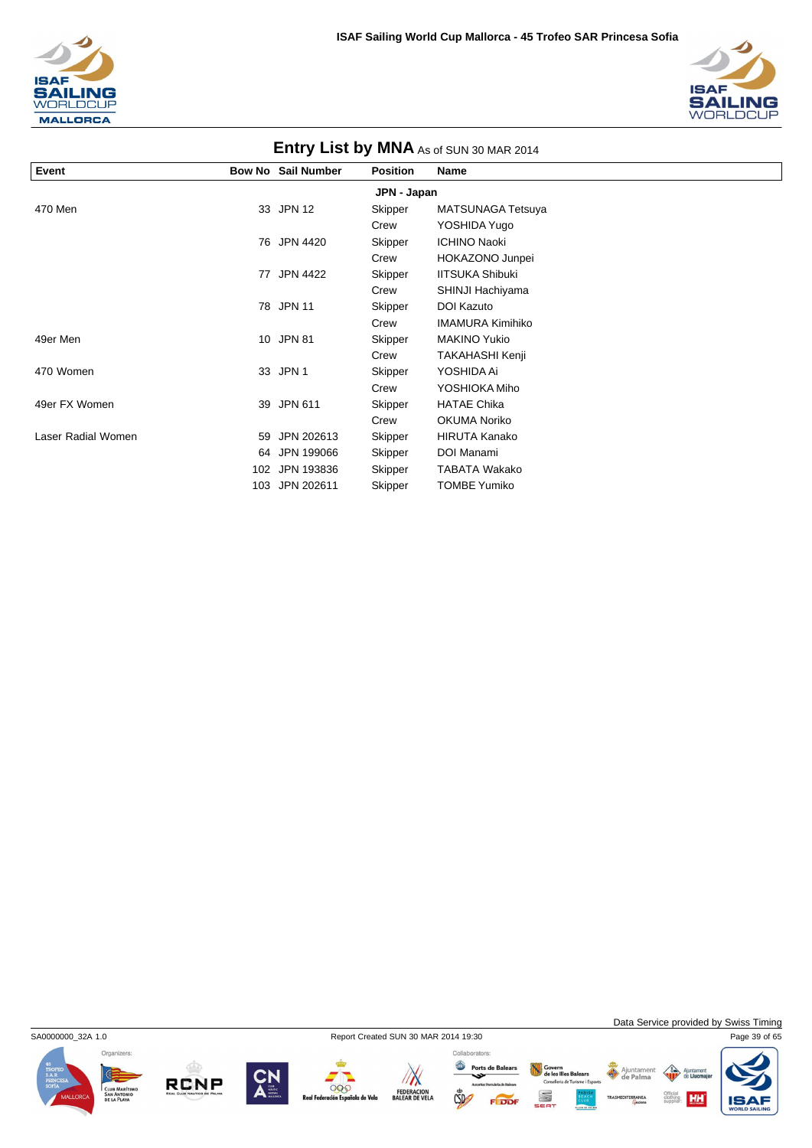



| Event              |     | <b>Bow No Sail Number</b> | <b>Position</b> | <b>Name</b>             |  |
|--------------------|-----|---------------------------|-----------------|-------------------------|--|
|                    |     |                           | JPN - Japan     |                         |  |
| 470 Men            |     | 33 JPN 12                 | Skipper         | MATSUNAGA Tetsuya       |  |
|                    |     |                           | Crew            | YOSHIDA Yugo            |  |
|                    | 76  | JPN 4420                  | Skipper         | <b>ICHINO Naoki</b>     |  |
|                    |     |                           | Crew            | HOKAZONO Junpei         |  |
|                    | 77  | <b>JPN 4422</b>           | Skipper         | <b>IITSUKA Shibuki</b>  |  |
|                    |     |                           | Crew            | SHINJI Hachiyama        |  |
|                    | 78  | <b>JPN 11</b>             | Skipper         | <b>DOI Kazuto</b>       |  |
|                    |     |                           | Crew            | <b>IMAMURA Kimihiko</b> |  |
| 49er Men           |     | 10 JPN 81                 | Skipper         | <b>MAKINO Yukio</b>     |  |
|                    |     |                           | Crew            | TAKAHASHI Kenji         |  |
| 470 Women          |     | 33 JPN 1                  | Skipper         | YOSHIDA Ai              |  |
|                    |     |                           | Crew            | YOSHIOKA Miho           |  |
| 49er FX Women      |     | 39 JPN 611                | Skipper         | <b>HATAE Chika</b>      |  |
|                    |     |                           | Crew            | <b>OKUMA Noriko</b>     |  |
| Laser Radial Women | 59  | JPN 202613                | Skipper         | <b>HIRUTA Kanako</b>    |  |
|                    | 64  | JPN 199066                | Skipper         | DOI Manami              |  |
|                    | 102 | JPN 193836                | Skipper         | <b>TABATA Wakako</b>    |  |
|                    | 103 | JPN 202611                | Skipper         | <b>TOMBE Yumiko</b>     |  |

## **Entry List by MNA**

Organizers:



Data Service provided by Swiss Timing

 $\left\langle \right\rangle$ 

Official<br>clothing<br>supplier:

Ajuntament

**RCNP** 





Collaborators: Ports de Balears Govern<br>de les Illes Balears<br>Conselleria de Turisme i Esports S  $\mathbb{C}$ FEDDI

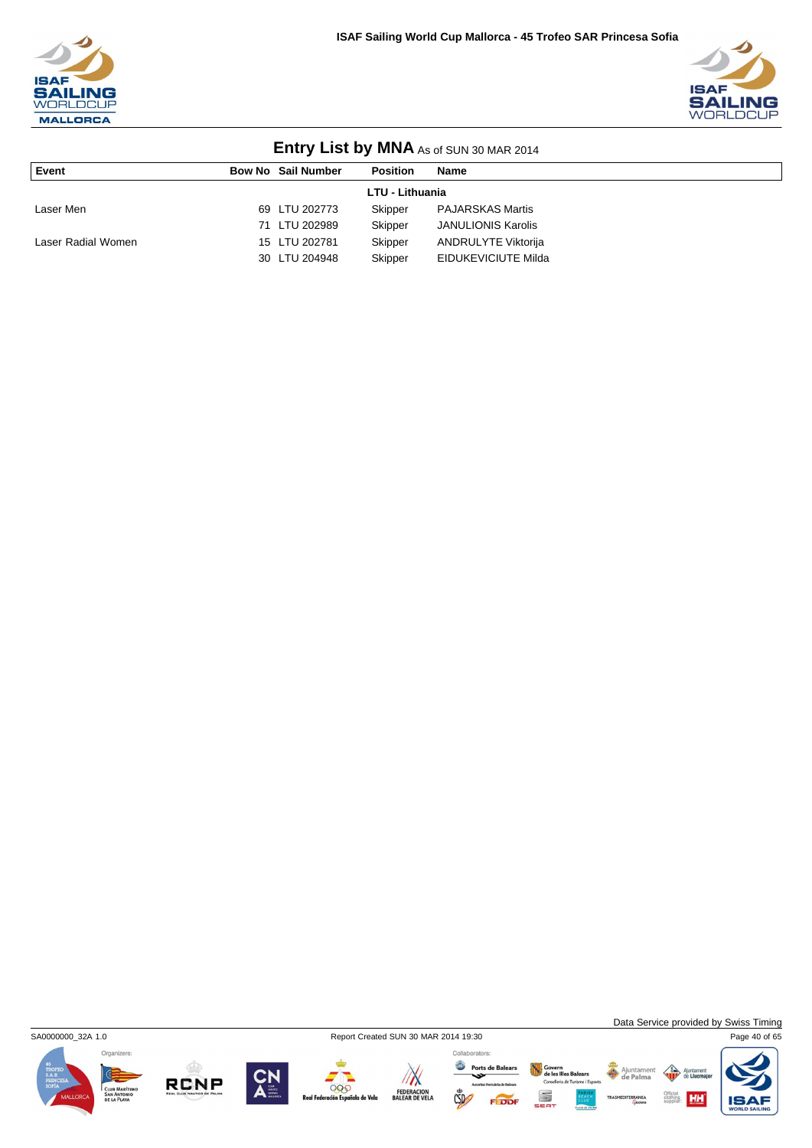



| <b>LITTLE YOUR LIST DY INITER</b> AS OF SUN 30 MAR 2014 |  |                           |                 |                            |  |
|---------------------------------------------------------|--|---------------------------|-----------------|----------------------------|--|
| Event                                                   |  | <b>Bow No Sail Number</b> | <b>Position</b> | <b>Name</b>                |  |
| <b>LTU - Lithuania</b>                                  |  |                           |                 |                            |  |
| Laser Men                                               |  | 69 LTU 202773             | Skipper         | <b>PAJARSKAS Martis</b>    |  |
|                                                         |  | 71 LTU 202989             | Skipper         | <b>JANULIONIS Karolis</b>  |  |
| Laser Radial Women                                      |  | 15 LTU 202781             | Skipper         | <b>ANDRULYTE Viktorija</b> |  |
|                                                         |  | 30 LTU 204948             | Skipper         | EIDUKEVICIUTE Milda        |  |



**RCNP** 

 $\sqrt{N}$ 

000

ola de Vela

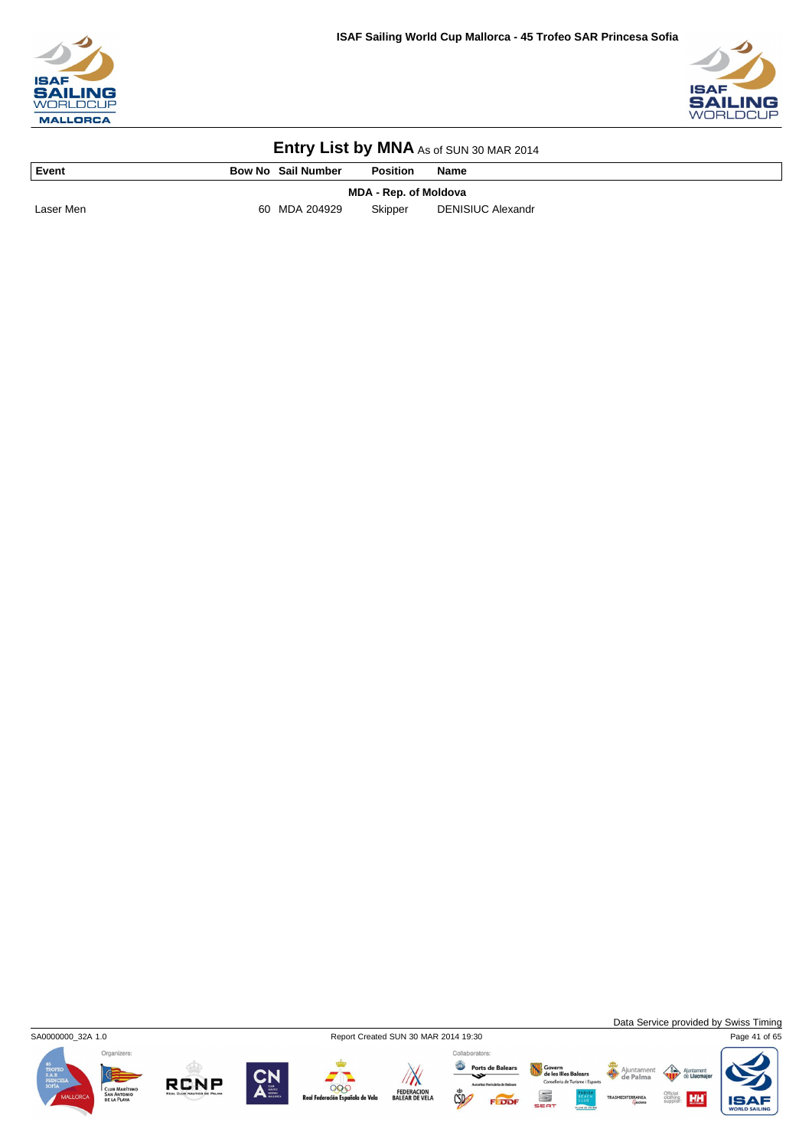



| Event                 |  | <b>Bow No Sail Number</b> | <b>Position</b> | <b>Name</b>              |  |
|-----------------------|--|---------------------------|-----------------|--------------------------|--|
| MDA - Rep. of Moldova |  |                           |                 |                          |  |
| Laser Men             |  | 60 MDA 204929             | Skipper         | <b>DENISIUC Alexandr</b> |  |



Data Service provided by Swiss Timing



**RCNP** 





Govern<br>de les Illes Balears<br>Consellería de Turisme i Esport Ajuntamer<br>de Palma S EDD

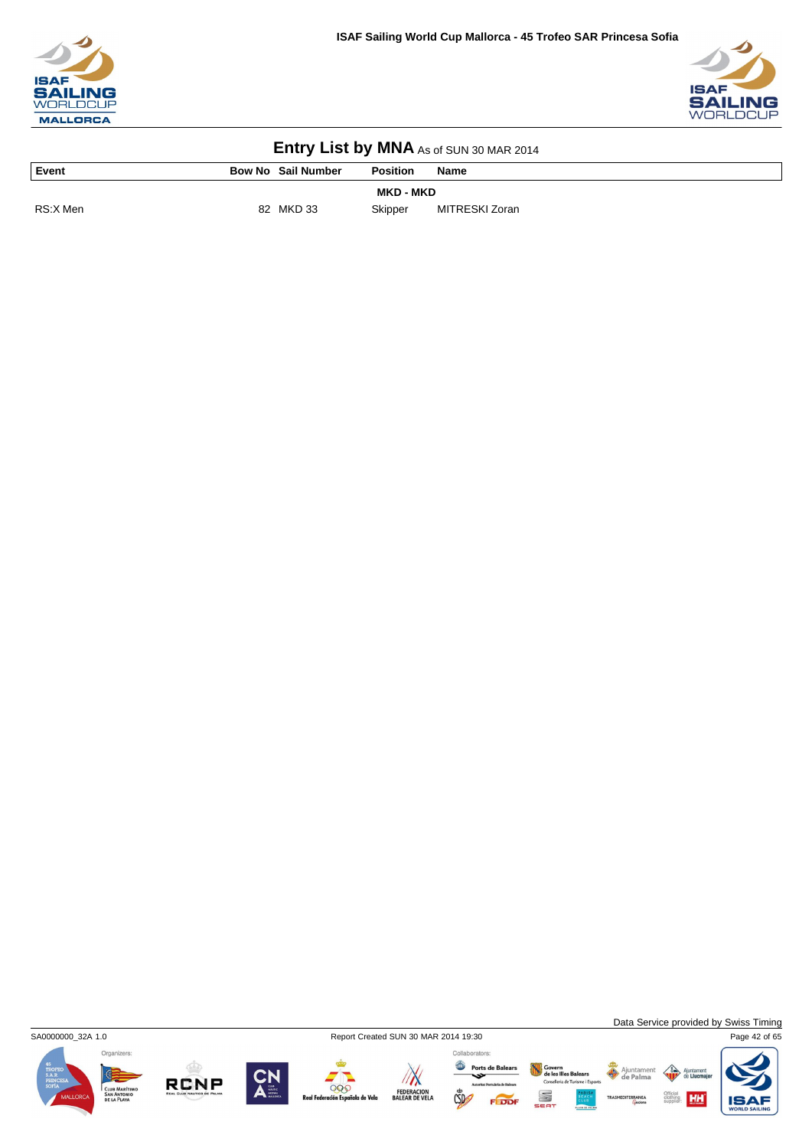



| Event            | <b>Bow No Sail Number</b> | <b>Position</b> | <b>Name</b>    |  |  |
|------------------|---------------------------|-----------------|----------------|--|--|
| <b>MKD - MKD</b> |                           |                 |                |  |  |
| RS:X Men         | MKD 33<br>82              | Skipper         | MITRESKI Zoran |  |  |



Data Service provided by Swiss Timing











Collaborators:

Ports de Balears Govern<br>de les Illes Balears<br>Consellería de Turisme i Esport S



Ajuntamer<br>de Palma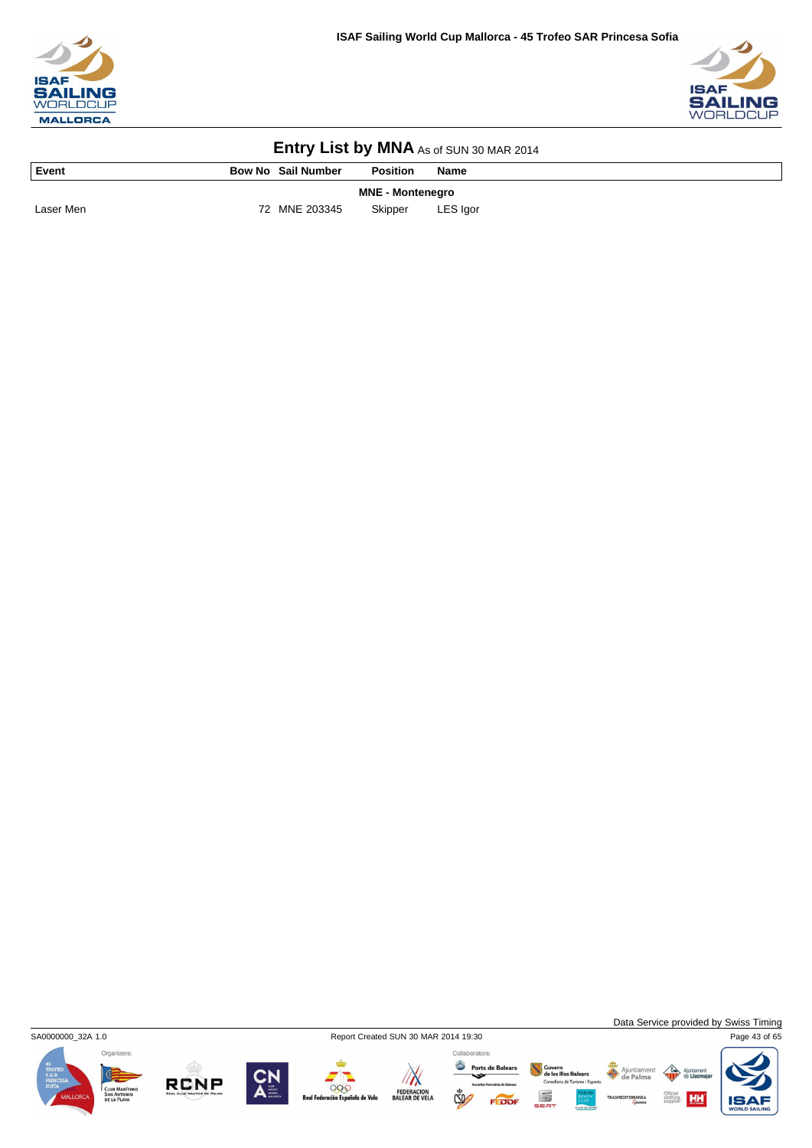



| Event                   | <b>Bow No Sail Number</b> | <b>Position</b> | <b>Name</b> |  |  |
|-------------------------|---------------------------|-----------------|-------------|--|--|
| <b>MNE - Montenegro</b> |                           |                 |             |  |  |
| Laser Men               | 72 MNE 203345             | Skipper         | LES Igor    |  |  |



Data Service provided by Swiss Timing

HH



**RCNP** 





Govern<br>de les Illes Balears<br>Consellería de Turisme i Esport Ajuntamer<br>de Palma S

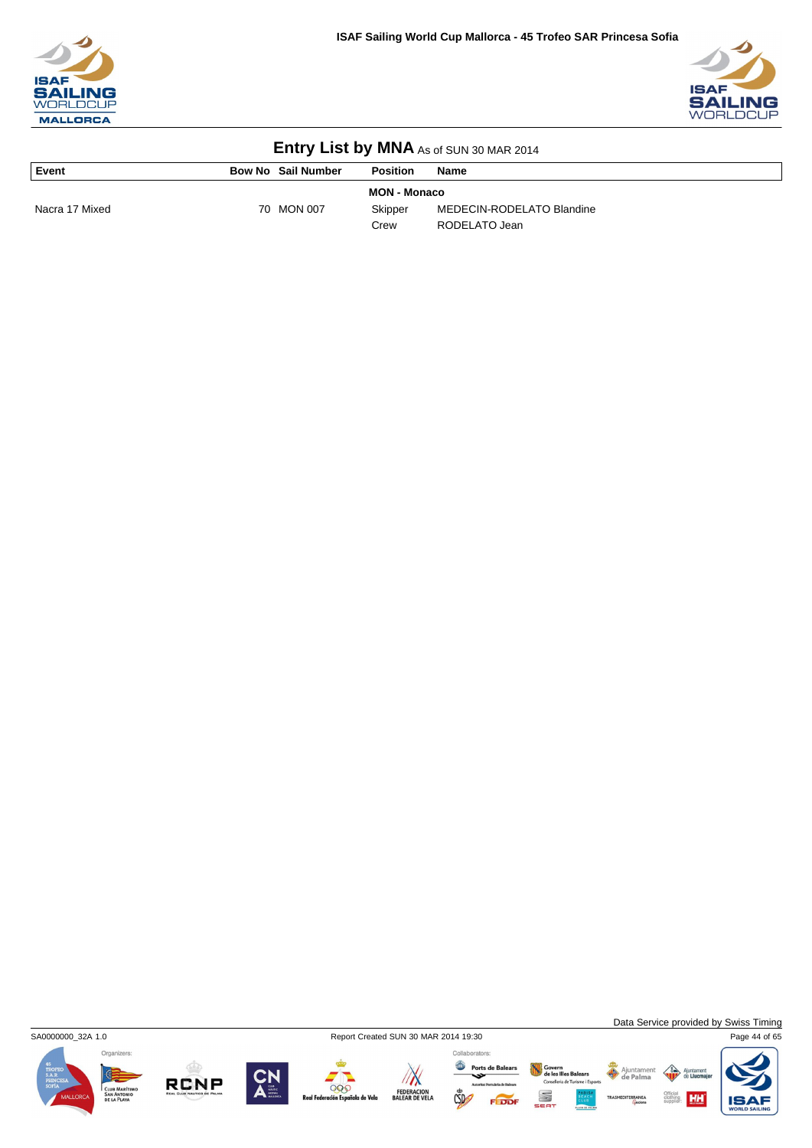



| Event          | <b>Bow No Sail Number</b> |            | <b>Position</b>     | <b>Name</b>               |
|----------------|---------------------------|------------|---------------------|---------------------------|
|                |                           |            | <b>MON - Monaco</b> |                           |
| Nacra 17 Mixed |                           | 70 MON 007 | Skipper             | MEDECIN-RODELATO Blandine |
|                |                           |            | Crew                | RODELATO Jean             |



**RCNP** 



999

a de Vela

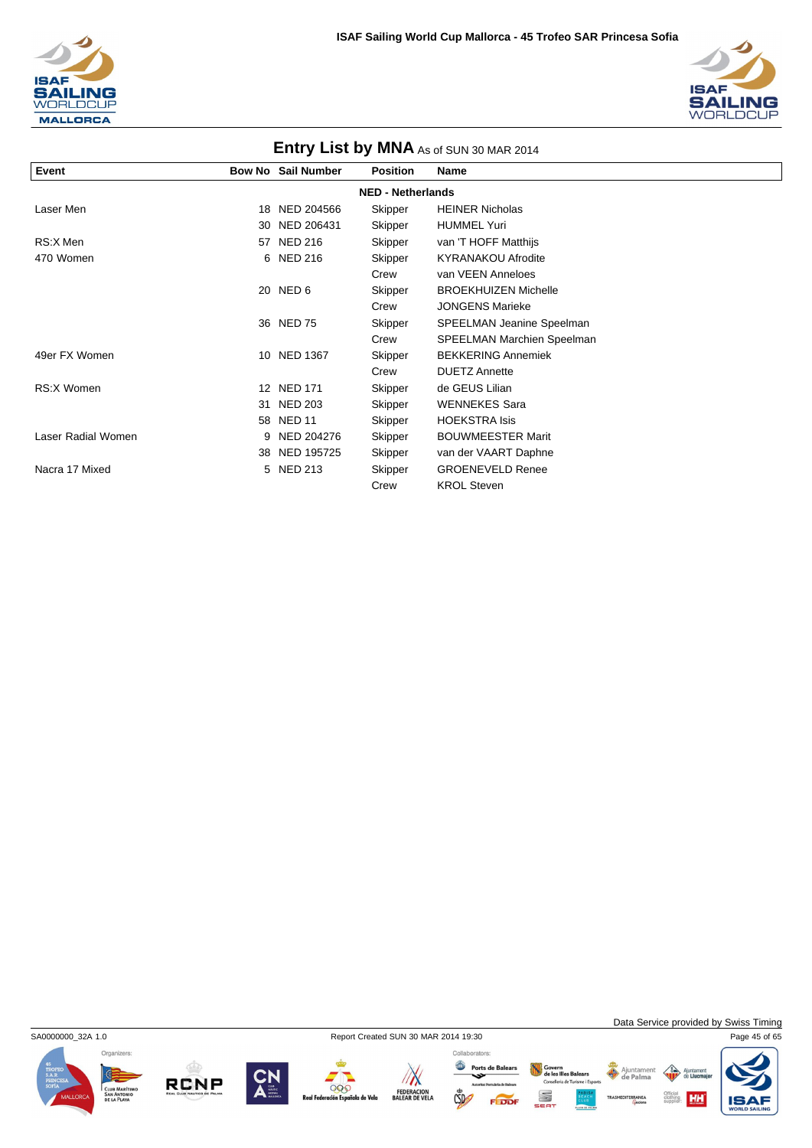



| Entry List by MNA As of SUN 30 MAR 2014 |                   |                           |                          |                             |  |
|-----------------------------------------|-------------------|---------------------------|--------------------------|-----------------------------|--|
| Event                                   |                   | <b>Bow No Sail Number</b> | <b>Position</b>          | Name                        |  |
|                                         |                   |                           | <b>NED - Netherlands</b> |                             |  |
| Laser Men                               | 18                | NED 204566                | Skipper                  | <b>HEINER Nicholas</b>      |  |
|                                         | 30                | NED 206431                | Skipper                  | <b>HUMMEL Yuri</b>          |  |
| RS:X Men                                | 57                | <b>NED 216</b>            | Skipper                  | van 'T HOFF Matthijs        |  |
| 470 Women                               |                   | 6 NED 216                 | Skipper                  | <b>KYRANAKOU Afrodite</b>   |  |
|                                         |                   |                           | Crew                     | van VEEN Anneloes           |  |
|                                         |                   | 20 NED 6                  | Skipper                  | <b>BROEKHUIZEN Michelle</b> |  |
|                                         |                   |                           | Crew                     | <b>JONGENS Marieke</b>      |  |
|                                         |                   | 36 NED 75                 | Skipper                  | SPEELMAN Jeanine Speelman   |  |
|                                         |                   |                           | Crew                     | SPEELMAN Marchien Speelman  |  |
| 49er FX Women                           | 10                | <b>NED 1367</b>           | Skipper                  | <b>BEKKERING Annemiek</b>   |  |
|                                         |                   |                           | Crew                     | <b>DUETZ Annette</b>        |  |
| RS:X Women                              | $12 \overline{ }$ | <b>NED 171</b>            | Skipper                  | de GEUS Lilian              |  |
|                                         | 31                | <b>NED 203</b>            | Skipper                  | <b>WENNEKES Sara</b>        |  |
|                                         | 58                | <b>NED 11</b>             | Skipper                  | <b>HOEKSTRA Isis</b>        |  |
| Laser Radial Women                      | 9                 | NED 204276                | Skipper                  | <b>BOUWMEESTER Marit</b>    |  |
|                                         | 38                | NED 195725                | Skipper                  | van der VAART Daphne        |  |
| Nacra 17 Mixed                          | 5.                | <b>NED 213</b>            | Skipper                  | <b>GROENEVELD Renee</b>     |  |
|                                         |                   |                           | Crew                     | <b>KROL Steven</b>          |  |

Organizers:

**RCNP** 

SA0000000\_32A 1.0 Report Created SUN 30 MAR 2014 19:30 Page 45 of 65

000



 $\sqrt{N}$ FEDERACION<br>BALEAR DE VELA

Ports de Balears  $CSD$ 

Collaborators: Govern<br>de les Illes Balears<br>Conselleria de Turisme i Esports S FEDDI

Data Service provided by Swiss Timing

 $\triangle$ Ajun

Ajuntament

**HH IS**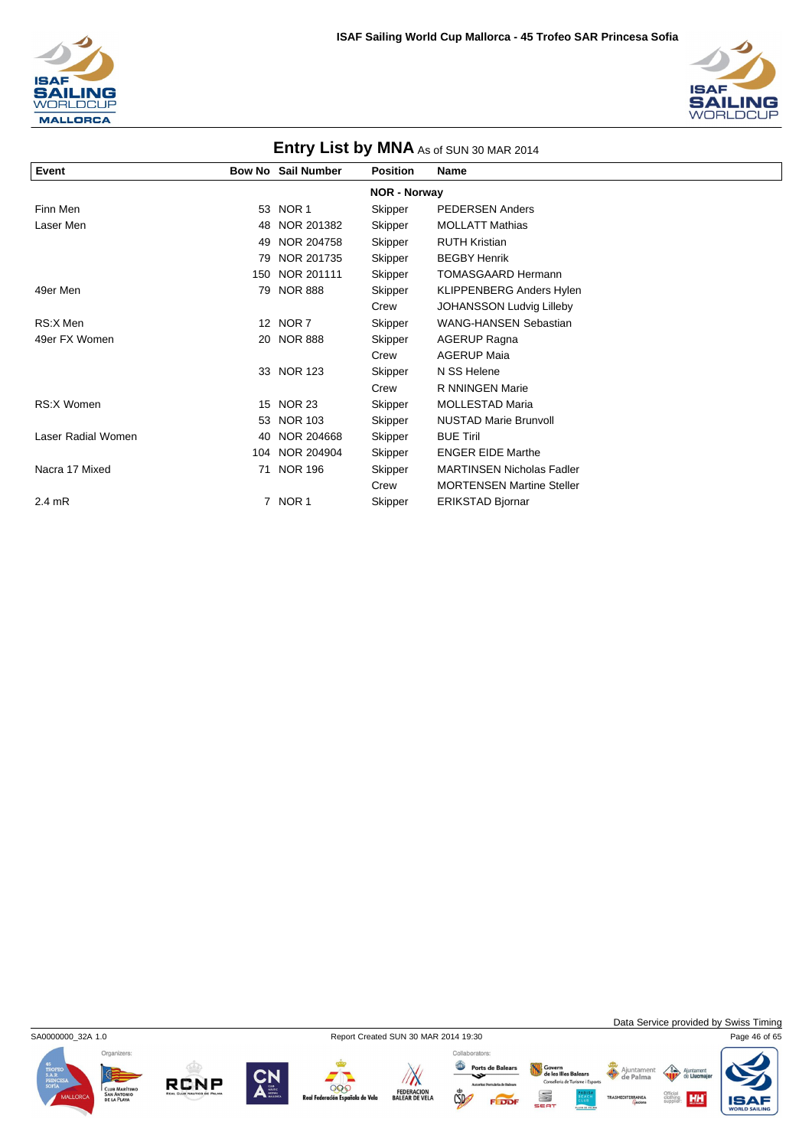



| <b>ENTLY LIST DY IVINA</b> As of SUN 30 MAR 2014 |                     |                           |                 |                                  |  |  |  |  |  |
|--------------------------------------------------|---------------------|---------------------------|-----------------|----------------------------------|--|--|--|--|--|
| Event                                            |                     | <b>Bow No Sail Number</b> | <b>Position</b> | <b>Name</b>                      |  |  |  |  |  |
|                                                  | <b>NOR - Norway</b> |                           |                 |                                  |  |  |  |  |  |
| Finn Men                                         |                     | 53 NOR 1                  | Skipper         | <b>PEDERSEN Anders</b>           |  |  |  |  |  |
| Laser Men                                        | 48                  | NOR 201382                | Skipper         | <b>MOLLATT Mathias</b>           |  |  |  |  |  |
|                                                  | 49                  | NOR 204758                | Skipper         | <b>RUTH Kristian</b>             |  |  |  |  |  |
|                                                  | 79                  | NOR 201735                | Skipper         | <b>BEGBY Henrik</b>              |  |  |  |  |  |
|                                                  | 150                 | NOR 201111                | Skipper         | <b>TOMASGAARD Hermann</b>        |  |  |  |  |  |
| 49er Men                                         | 79                  | <b>NOR 888</b>            | Skipper         | <b>KLIPPENBERG Anders Hylen</b>  |  |  |  |  |  |
|                                                  |                     |                           | Crew            | <b>JOHANSSON Ludvig Lilleby</b>  |  |  |  |  |  |
| RS:X Men                                         |                     | 12 NOR 7                  | Skipper         | <b>WANG-HANSEN Sebastian</b>     |  |  |  |  |  |
| 49er FX Women                                    |                     | 20 NOR 888                | Skipper         | <b>AGERUP Ragna</b>              |  |  |  |  |  |
|                                                  |                     |                           | Crew            | <b>AGERUP Maia</b>               |  |  |  |  |  |
|                                                  |                     | 33 NOR 123                | Skipper         | N SS Helene                      |  |  |  |  |  |
|                                                  |                     |                           | Crew            | R NNINGEN Marie                  |  |  |  |  |  |
| <b>RS:X Women</b>                                | 15                  | <b>NOR 23</b>             | Skipper         | <b>MOLLESTAD Maria</b>           |  |  |  |  |  |
|                                                  | 53                  | <b>NOR 103</b>            | Skipper         | <b>NUSTAD Marie Brunvoll</b>     |  |  |  |  |  |
| Laser Radial Women                               | 40                  | NOR 204668                | Skipper         | <b>BUE Tiril</b>                 |  |  |  |  |  |
|                                                  |                     | 104 NOR 204904            | Skipper         | <b>ENGER EIDE Marthe</b>         |  |  |  |  |  |
| Nacra 17 Mixed                                   | 71                  | <b>NOR 196</b>            | Skipper         | <b>MARTINSEN Nicholas Fadler</b> |  |  |  |  |  |
|                                                  |                     |                           | Crew            | <b>MORTENSEN Martine Steller</b> |  |  |  |  |  |
| $2.4$ mR                                         |                     | 7 NOR 1                   | Skipper         | <b>ERIKSTAD Bjornar</b>          |  |  |  |  |  |

**Entry List by MNA** 



RCNP

**Santa Corporation**<br>Tración Españo

ñola de Vela

 $\mathbb{Z}$ 

FEDERACION<br>BALEAR DE VELA

Collaborators: Ports de Balears

 $\mathbb{C}$ 

FEDDF

Govern<br>de les Illes Balears<br>Conselleria de Turisme i Esports

S



Ajunta<br>de Li

**HH** 

Official<br>clothing<br>supplier:

Ajuntament<br>
de Palma

IS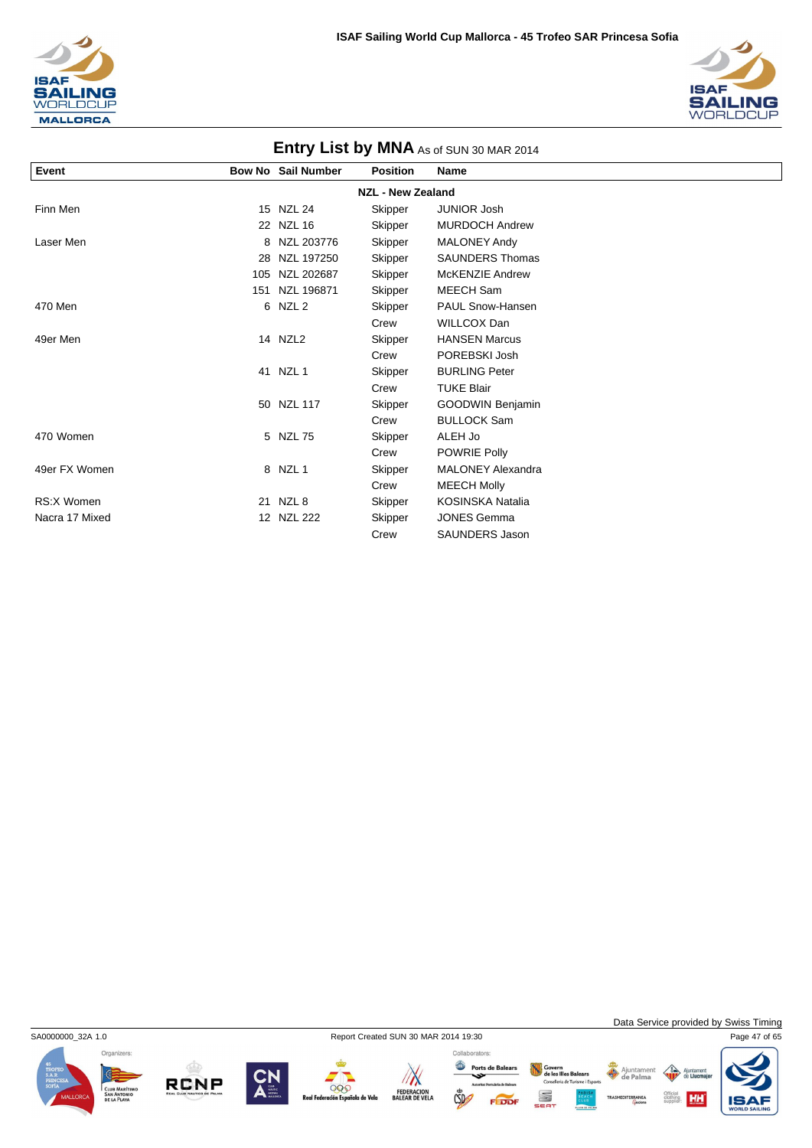



| <b>LITTLE AS LIST BY INTERNATION SUIN SUINAR 2014</b> |     |                    |                 |                          |  |  |  |
|-------------------------------------------------------|-----|--------------------|-----------------|--------------------------|--|--|--|
| Event                                                 |     | Bow No Sail Number | <b>Position</b> | <b>Name</b>              |  |  |  |
| <b>NZL - New Zealand</b>                              |     |                    |                 |                          |  |  |  |
| Finn Men                                              |     | 15 NZL 24          | Skipper         | <b>JUNIOR Josh</b>       |  |  |  |
|                                                       |     | 22 NZL 16          | Skipper         | <b>MURDOCH Andrew</b>    |  |  |  |
| Laser Men                                             |     | 8 NZL 203776       | Skipper         | <b>MALONEY Andy</b>      |  |  |  |
|                                                       | 28  | NZL 197250         | Skipper         | <b>SAUNDERS Thomas</b>   |  |  |  |
|                                                       | 105 | NZL 202687         | Skipper         | <b>McKENZIE Andrew</b>   |  |  |  |
|                                                       |     | 151 NZL 196871     | Skipper         | MEECH Sam                |  |  |  |
| 470 Men                                               |     | 6 NZL 2            | Skipper         | PAUL Snow-Hansen         |  |  |  |
|                                                       |     |                    | Crew            | <b>WILLCOX Dan</b>       |  |  |  |
| 49er Men                                              |     | 14 NZL2            | Skipper         | <b>HANSEN Marcus</b>     |  |  |  |
|                                                       |     |                    | Crew            | POREBSKI Josh            |  |  |  |
|                                                       |     | 41 NZL 1           | Skipper         | <b>BURLING Peter</b>     |  |  |  |
|                                                       |     |                    | Crew            | <b>TUKE Blair</b>        |  |  |  |
|                                                       |     | 50 NZL 117         | Skipper         | GOODWIN Benjamin         |  |  |  |
|                                                       |     |                    | Crew            | <b>BULLOCK Sam</b>       |  |  |  |
| 470 Women                                             |     | 5 NZL 75           | Skipper         | ALEH Jo                  |  |  |  |
|                                                       |     |                    | Crew            | POWRIE Polly             |  |  |  |
| 49er FX Women                                         |     | 8 NZL 1            | Skipper         | <b>MALONEY Alexandra</b> |  |  |  |
|                                                       |     |                    | Crew            | <b>MEECH Molly</b>       |  |  |  |
| RS:X Women                                            |     | 21 NZL 8           | Skipper         | <b>KOSINSKA Natalia</b>  |  |  |  |
| Nacra 17 Mixed                                        |     | 12 NZL 222         | Skipper         | <b>JONES Gemma</b>       |  |  |  |
|                                                       |     |                    | Crew            | SAUNDERS Jason           |  |  |  |



**RCNP** 

999

de Velo

Collaborators:

Ports de Balears  $\sqrt{N}$ FEDERACION<br>BALEAR DE VELA  $CSD$ 

S

Govern<br>de les Illes Balears<br>Conselleria de Turisme i Esports Ajuntamen ent



HH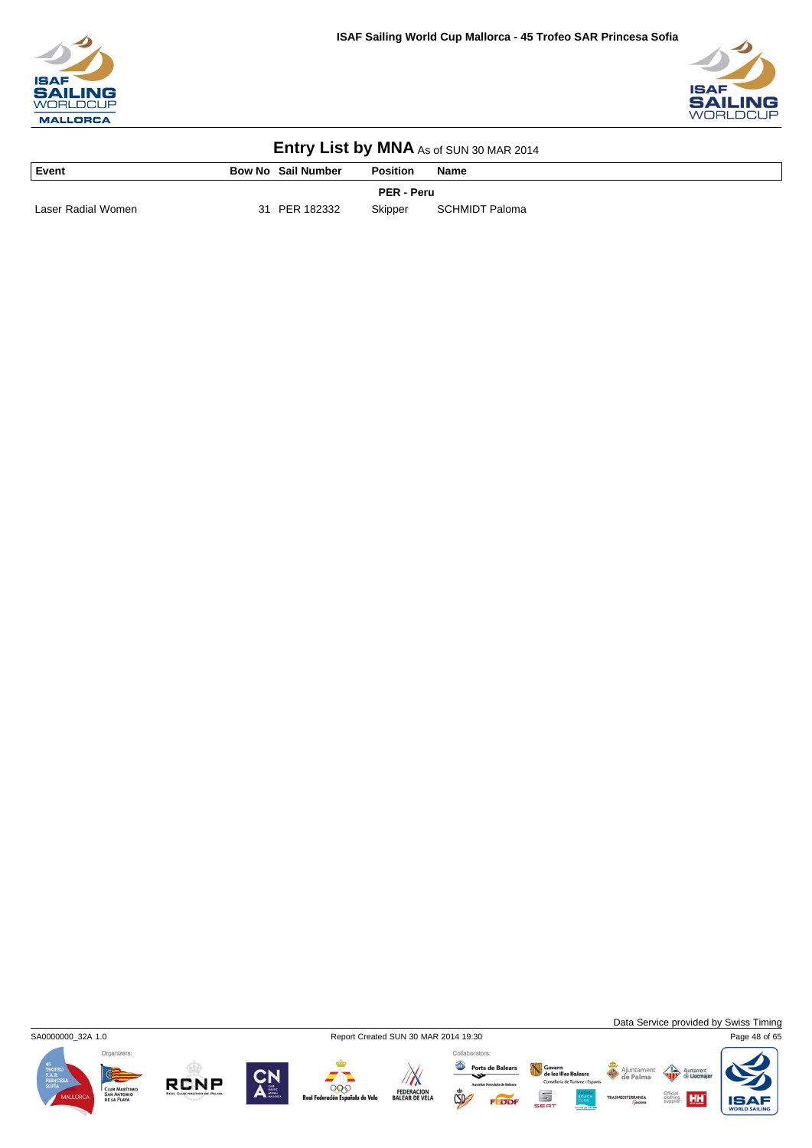



|  | Entry List by MNA As of SUN 30 MAR 2014 |
|--|-----------------------------------------|
|--|-----------------------------------------|

| Event              |    | <b>Bow No Sail Number</b> | <b>Position</b> | Name           |  |
|--------------------|----|---------------------------|-----------------|----------------|--|
| <b>PER - Peru</b>  |    |                           |                 |                |  |
| Laser Radial Women | 31 | PER 182332                | Skipper         | SCHMIDT Paloma |  |

SA0000000\_32A 1.0 Report Created SUN 30 MAR 2014 19:30 Page 48 of 65

Data Service provided by Swiss Timing

**HH** 

Ajunta<br>de Li

Official<br>clothing<br>supplier:











Ports de Balears Ajuntament<br>
de Palma Govern<br>de les Illes Balears<br>Conselleria de Turisme i Esports SEA<sup>-</sup> FEDDF

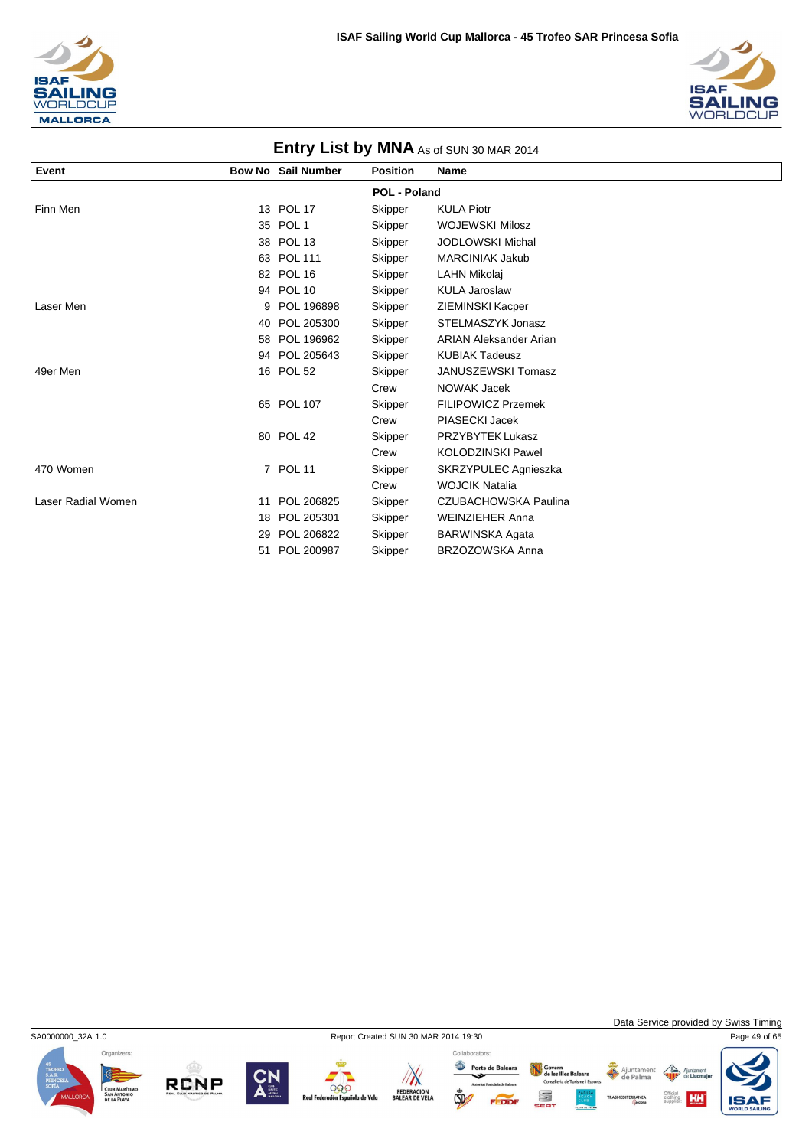



| <b>LITTLE YOUR LIST DY IVITY AS OF SUN 30 MAR 2014</b> |    |                           |                 |                               |  |  |  |
|--------------------------------------------------------|----|---------------------------|-----------------|-------------------------------|--|--|--|
| Event                                                  |    | <b>Bow No Sail Number</b> | <b>Position</b> | <b>Name</b>                   |  |  |  |
| <b>POL - Poland</b>                                    |    |                           |                 |                               |  |  |  |
| Finn Men                                               |    | 13 POL 17                 | Skipper         | <b>KULA Piotr</b>             |  |  |  |
|                                                        |    | 35 POL 1                  | Skipper         | <b>WOJEWSKI Milosz</b>        |  |  |  |
|                                                        |    | 38 POL 13                 | Skipper         | <b>JODLOWSKI Michal</b>       |  |  |  |
|                                                        |    | 63 POL 111                | Skipper         | <b>MARCINIAK Jakub</b>        |  |  |  |
|                                                        |    | 82 POL 16                 | Skipper         | LAHN Mikolaj                  |  |  |  |
|                                                        |    | 94 POL 10                 | Skipper         | <b>KULA Jaroslaw</b>          |  |  |  |
| Laser Men                                              | 9  | POL 196898                | Skipper         | <b>ZIEMINSKI Kacper</b>       |  |  |  |
|                                                        | 40 | POL 205300                | Skipper         | STELMASZYK Jonasz             |  |  |  |
|                                                        |    | 58 POL 196962             | Skipper         | <b>ARIAN Aleksander Arian</b> |  |  |  |
|                                                        |    | 94 POL 205643             | Skipper         | <b>KUBIAK Tadeusz</b>         |  |  |  |
| 49er Men                                               |    | 16 POL 52                 | Skipper         | JANUSZEWSKI Tomasz            |  |  |  |
|                                                        |    |                           | Crew            | NOWAK Jacek                   |  |  |  |
|                                                        |    | 65 POL 107                | Skipper         | <b>FILIPOWICZ Przemek</b>     |  |  |  |
|                                                        |    |                           | Crew            | PIASECKI Jacek                |  |  |  |
|                                                        |    | 80 POL 42                 | Skipper         | PRZYBYTEK Lukasz              |  |  |  |
|                                                        |    |                           | Crew            | <b>KOLODZINSKI Pawel</b>      |  |  |  |
| 470 Women                                              |    | 7 POL 11                  | Skipper         | SKRZYPULEC Agnieszka          |  |  |  |
|                                                        |    |                           | Crew            | <b>WOJCIK Natalia</b>         |  |  |  |
| Laser Radial Women                                     | 11 | POL 206825                | Skipper         | CZUBACHOWSKA Paulina          |  |  |  |
|                                                        | 18 | POL 205301                | Skipper         | <b>WEINZIEHER Anna</b>        |  |  |  |
|                                                        | 29 | POL 206822                | Skipper         | <b>BARWINSKA Agata</b>        |  |  |  |
|                                                        | 51 | POL 200987                | Skipper         | BRZOZOWSKA Anna               |  |  |  |

SA0000000\_32A 1.0 Report Created SUN 30 MAR 2014 19:30 Page 49 of 65



**RCNP** 





 $CSD$ 

Collaborators: Govern<br>de les Illes Balears<br>Conselleria de Turisme i Esports Ports de Balears S

Data Service provided by Swiss Timing

HH

Ajuntamen nent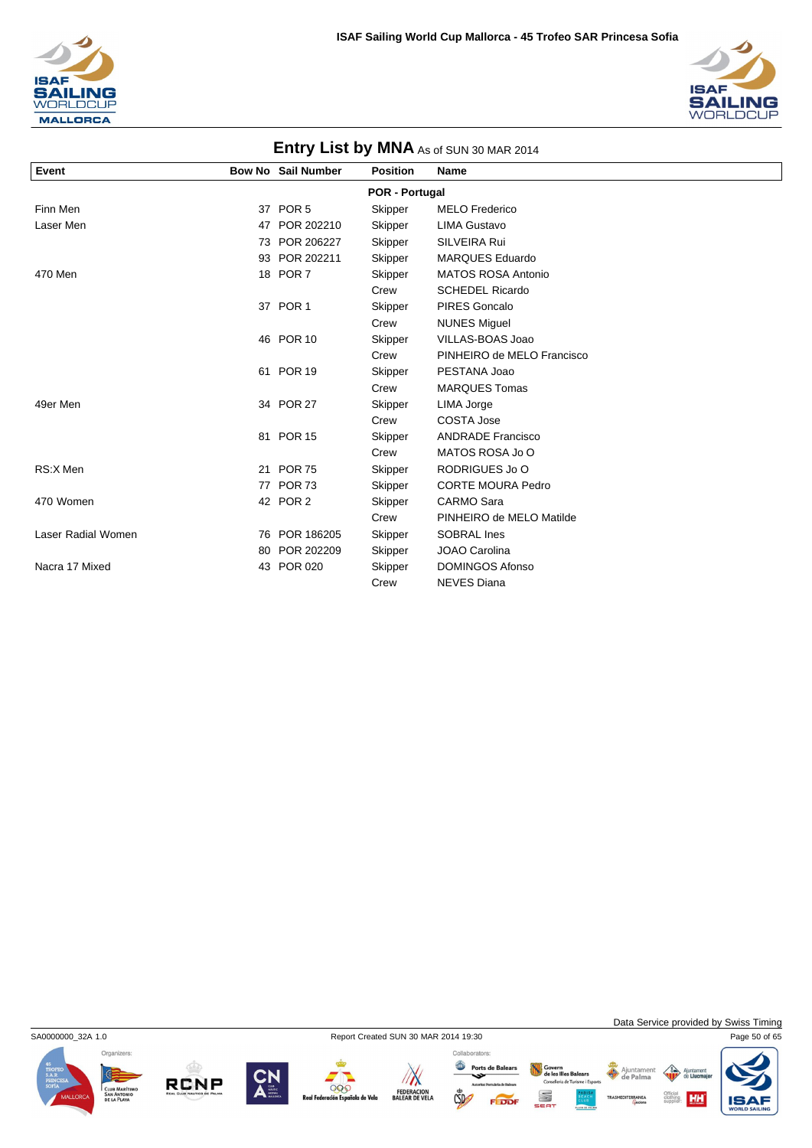



| <b>ENTLY LIST DY IVINA</b> As of SUN 30 MAR 2014 |    |                           |                 |                            |  |  |  |  |
|--------------------------------------------------|----|---------------------------|-----------------|----------------------------|--|--|--|--|
| Event                                            |    | <b>Bow No Sail Number</b> | <b>Position</b> | <b>Name</b>                |  |  |  |  |
| <b>POR - Portugal</b>                            |    |                           |                 |                            |  |  |  |  |
| Finn Men                                         |    | 37 POR 5                  | Skipper         | <b>MELO Frederico</b>      |  |  |  |  |
| Laser Men                                        |    | 47 POR 202210             | Skipper         | <b>LIMA Gustavo</b>        |  |  |  |  |
|                                                  | 73 | POR 206227                | Skipper         | SILVEIRA Rui               |  |  |  |  |
|                                                  |    | 93 POR 202211             | Skipper         | <b>MARQUES Eduardo</b>     |  |  |  |  |
| 470 Men                                          |    | 18 POR 7                  | Skipper         | <b>MATOS ROSA Antonio</b>  |  |  |  |  |
|                                                  |    |                           | Crew            | <b>SCHEDEL Ricardo</b>     |  |  |  |  |
|                                                  |    | 37 POR 1                  | Skipper         | <b>PIRES Goncalo</b>       |  |  |  |  |
|                                                  |    |                           | Crew            | <b>NUNES Miguel</b>        |  |  |  |  |
|                                                  |    | 46 POR 10                 | Skipper         | VILLAS-BOAS Joao           |  |  |  |  |
|                                                  |    |                           | Crew            | PINHEIRO de MELO Francisco |  |  |  |  |
|                                                  |    | 61 POR 19                 | Skipper         | PESTANA Joao               |  |  |  |  |
|                                                  |    |                           | Crew            | <b>MARQUES Tomas</b>       |  |  |  |  |
| 49er Men                                         |    | 34 POR 27                 | Skipper         | LIMA Jorge                 |  |  |  |  |
|                                                  |    |                           | Crew            | <b>COSTA Jose</b>          |  |  |  |  |
|                                                  |    | 81 POR 15                 | Skipper         | <b>ANDRADE Francisco</b>   |  |  |  |  |
|                                                  |    |                           | Crew            | MATOS ROSA Jo O            |  |  |  |  |
| RS:X Men                                         |    | 21 POR 75                 | Skipper         | RODRIGUES Jo O             |  |  |  |  |
|                                                  |    | 77 POR 73                 | Skipper         | <b>CORTE MOURA Pedro</b>   |  |  |  |  |
| 470 Women                                        |    | 42 POR 2                  | Skipper         | <b>CARMO Sara</b>          |  |  |  |  |
|                                                  |    |                           | Crew            | PINHEIRO de MELO Matilde   |  |  |  |  |
| Laser Radial Women                               | 76 | POR 186205                | Skipper         | <b>SOBRAL</b> Ines         |  |  |  |  |
|                                                  | 80 | POR 202209                | Skipper         | JOAO Carolina              |  |  |  |  |
| Nacra 17 Mixed                                   |    | 43 POR 020                | Skipper         | <b>DOMINGOS Afonso</b>     |  |  |  |  |
|                                                  |    |                           | Crew            | <b>NEVES Diana</b>         |  |  |  |  |

### **Entry List by MNA**



**RCNP** 

000

ola de Vela

Collaborators:

Ports de Balears  $\sqrt{N}$ FEDERACION<br>BALEAR DE VELA  $\mathbb{C}$ 

Govern<br>de les Illes Balears<br>Conselleria de Turisme i Esports Ajuntament S FEDDI

Data Service provided by Swiss Timing

 $\left\langle \right\rangle$ Ajunta<br>de Lli

Official<br>clothing **HH** 

IS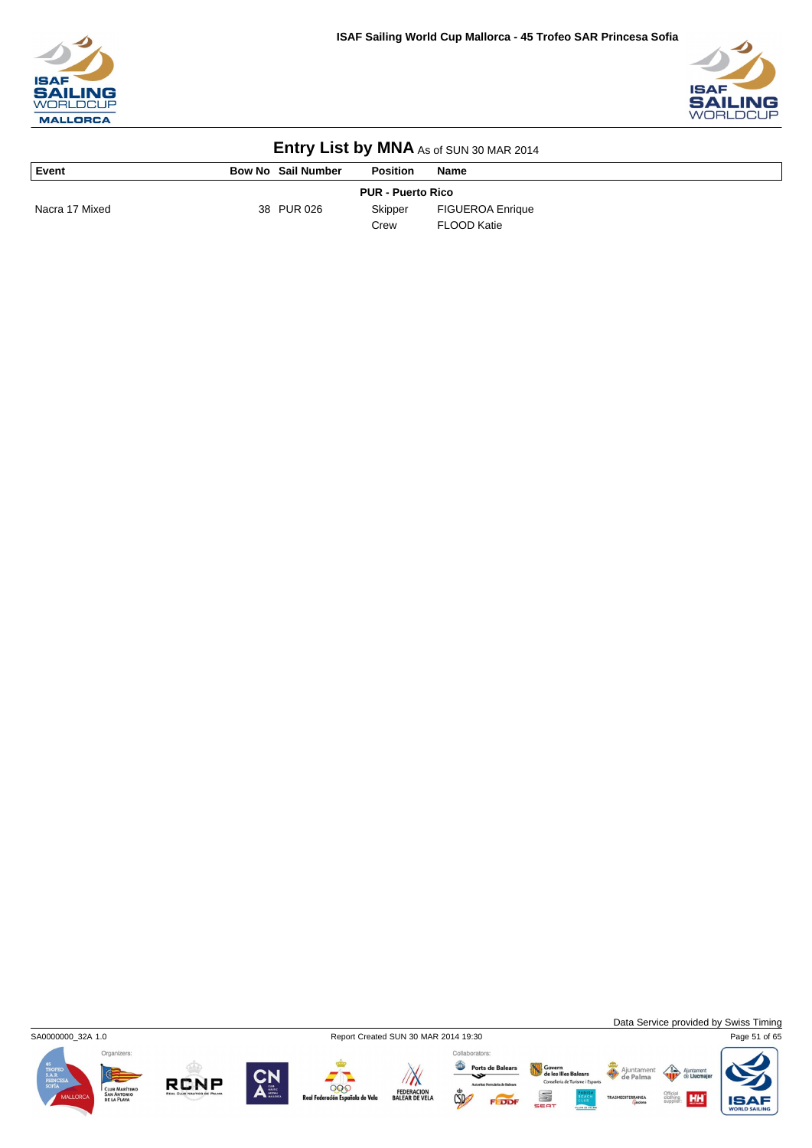



| Event                    | <b>Bow No Sail Number</b> | <b>Position</b> | <b>Name</b>             |  |  |  |
|--------------------------|---------------------------|-----------------|-------------------------|--|--|--|
| <b>PUR - Puerto Rico</b> |                           |                 |                         |  |  |  |
| Nacra 17 Mixed           | 38 PUR 026                | Skipper         | <b>FIGUEROA Enrique</b> |  |  |  |
|                          |                           | Crew            | FLOOD Katie             |  |  |  |



**RCNP** 

999

a de Vela

 $\mathbb{Z}$ 

FEDERACION<br>BALEAR DE VELA



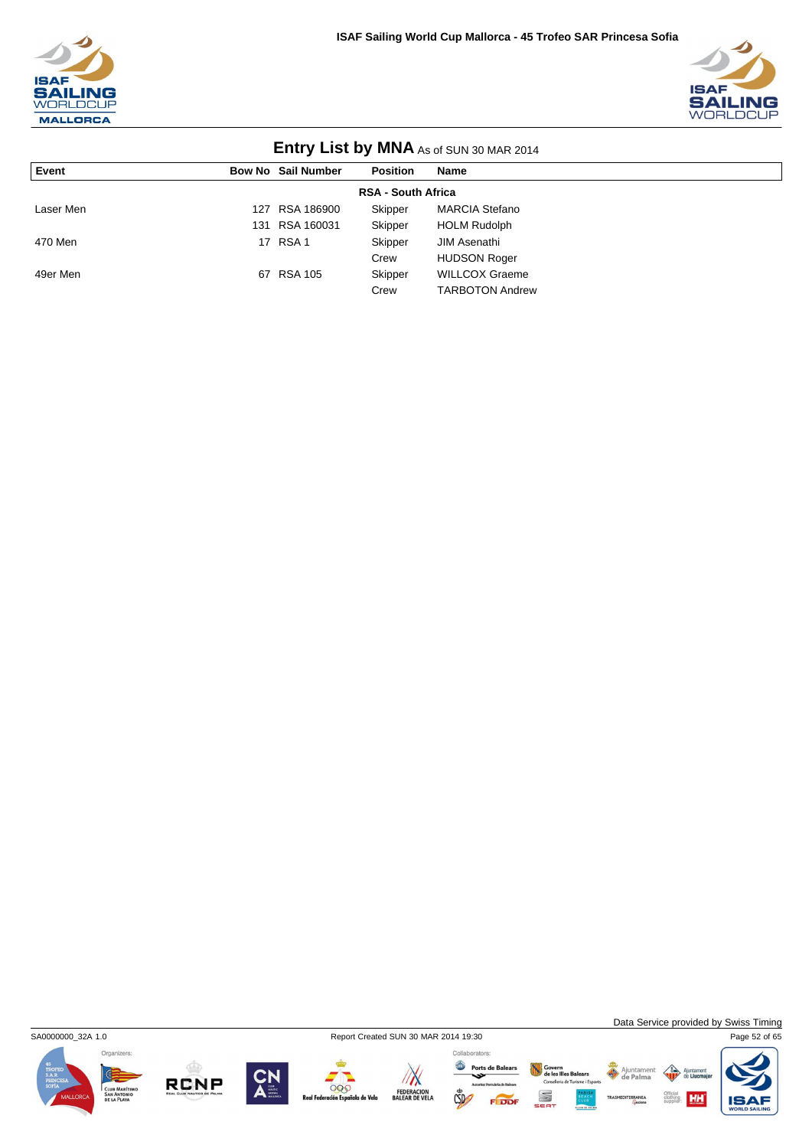



| <b>LITTLE Y LIST DY INITIA</b> AS OF SUIN 30 MAR 2014 |     |                           |                 |                        |  |  |  |
|-------------------------------------------------------|-----|---------------------------|-----------------|------------------------|--|--|--|
| Event                                                 |     | <b>Bow No Sail Number</b> | <b>Position</b> | Name                   |  |  |  |
| <b>RSA - South Africa</b>                             |     |                           |                 |                        |  |  |  |
| Laser Men                                             | 127 | RSA 186900                | Skipper         | <b>MARCIA Stefano</b>  |  |  |  |
|                                                       | 131 | RSA 160031                | Skipper         | <b>HOLM Rudolph</b>    |  |  |  |
| 470 Men                                               |     | 17 RSA 1                  | Skipper         | JIM Asenathi           |  |  |  |
|                                                       |     |                           | Crew            | <b>HUDSON Roger</b>    |  |  |  |
| 49er Men                                              | 67  | RSA 105                   | Skipper         | <b>WILLCOX Graeme</b>  |  |  |  |
|                                                       |     |                           | Crew            | <b>TARBOTON Andrew</b> |  |  |  |



Collaborators:

Ports de Balears Govern<br>de les Illes Balears<br>Conselleria de Turisme i Esports S FEDDI

Data Service provided by Swiss Timing

HH

 $\triangle$ 







Ajuntament

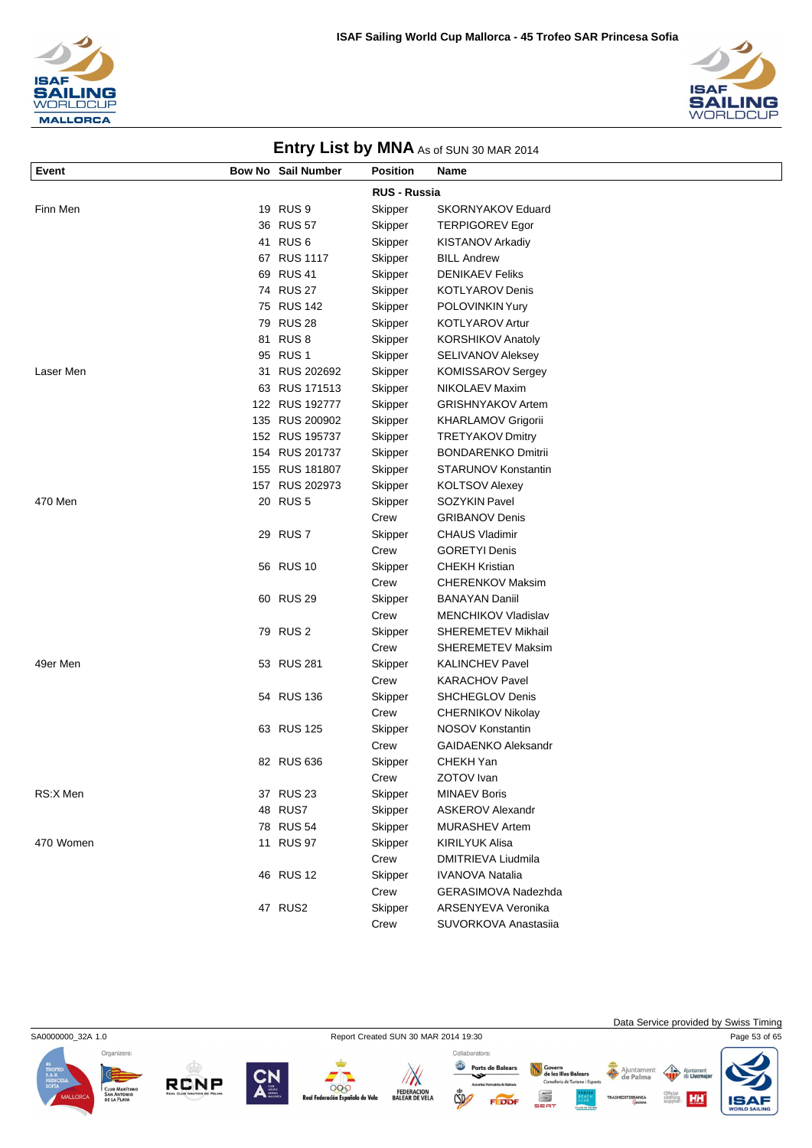



|           |                           |                     | <b>EINTY EIST BY INITER</b> AS 01 SON 30 IWAN 2014 |
|-----------|---------------------------|---------------------|----------------------------------------------------|
| Event     | <b>Bow No Sail Number</b> | <b>Position</b>     | Name                                               |
|           |                           | <b>RUS - Russia</b> |                                                    |
| Finn Men  | 19 RUS 9                  | Skipper             | <b>SKORNYAKOV Eduard</b>                           |
|           | 36 RUS 57                 | Skipper             | <b>TERPIGOREV Egor</b>                             |
|           | 41 RUS 6                  | Skipper             | <b>KISTANOV Arkadiy</b>                            |
|           | 67 RUS 1117               | Skipper             | <b>BILL Andrew</b>                                 |
|           | 69 RUS 41                 | Skipper             | <b>DENIKAEV Feliks</b>                             |
|           | 74 RUS 27                 | Skipper             | <b>KOTLYAROV Denis</b>                             |
|           | 75 RUS 142                | Skipper             | POLOVINKIN Yury                                    |
|           | 79 RUS 28                 | Skipper             | <b>KOTLYAROV Artur</b>                             |
|           | 81 RUS 8                  | Skipper             | KORSHIKOV Anatoly                                  |
|           | 95 RUS 1                  | Skipper             | SELIVANOV Aleksey                                  |
| Laser Men | 31 RUS 202692             | Skipper             | <b>KOMISSAROV Sergey</b>                           |
|           | 63 RUS 171513             | Skipper             | NIKOLAEV Maxim                                     |
|           | 122 RUS 192777            | Skipper             | <b>GRISHNYAKOV Artem</b>                           |
|           | 135 RUS 200902            | Skipper             | <b>KHARLAMOV Grigorii</b>                          |
|           | 152 RUS 195737            | Skipper             | <b>TRETYAKOV Dmitry</b>                            |
|           | 154 RUS 201737            | Skipper             | <b>BONDARENKO Dmitrii</b>                          |
|           | 155 RUS 181807            | Skipper             | <b>STARUNOV Konstantin</b>                         |
|           | 157 RUS 202973            | Skipper             | <b>KOLTSOV Alexey</b>                              |
| 470 Men   | 20 RUS 5                  | Skipper             | <b>SOZYKIN Pavel</b>                               |
|           |                           | Crew                | <b>GRIBANOV Denis</b>                              |
|           | 29 RUS 7                  | Skipper             | <b>CHAUS Vladimir</b>                              |
|           |                           | Crew                | <b>GORETYI Denis</b>                               |
|           | 56 RUS 10                 | Skipper             | <b>CHEKH Kristian</b>                              |
|           |                           | Crew                | <b>CHERENKOV Maksim</b>                            |
|           | 60 RUS 29                 | Skipper             | <b>BANAYAN Daniil</b>                              |
|           |                           | Crew                | <b>MENCHIKOV Vladislav</b>                         |
|           | 79 RUS 2                  | Skipper             | SHEREMETEV Mikhail                                 |
|           |                           | Crew                | <b>SHEREMETEV Maksim</b>                           |
| 49er Men  | 53 RUS 281                | Skipper             | <b>KALINCHEV Pavel</b>                             |
|           |                           | Crew                | <b>KARACHOV Pavel</b>                              |
|           | 54 RUS 136                | Skipper             | <b>SHCHEGLOV Denis</b>                             |
|           |                           | Crew                | <b>CHERNIKOV Nikolay</b>                           |
|           | 63 RUS 125                | Skipper             | NOSOV Konstantin                                   |
|           |                           | Crew                | <b>GAIDAENKO Aleksandr</b>                         |
|           | 82 RUS 636                | Skipper             | CHEKH Yan                                          |
|           |                           | Crew                | ZOTOV Ivan                                         |
| RS:X Men  | 37 RUS 23                 | Skipper             | <b>MINAEV Boris</b>                                |
|           | 48 RUS7                   | Skipper             | <b>ASKEROV Alexandr</b>                            |
|           | 78 RUS 54                 | Skipper             | <b>MURASHEV Artem</b>                              |
| 470 Women | 11 RUS 97                 | Skipper             | <b>KIRILYUK Alisa</b>                              |
|           |                           | Crew                | DMITRIEVA Liudmila                                 |
|           | 46 RUS 12                 | Skipper             | <b>IVANOVA Natalia</b>                             |
|           |                           | Crew                | GERASIMOVA Nadezhda                                |
|           | 47 RUS2                   | Skipper             | ARSENYEVA Veronika                                 |

SA0000000\_32A 1.0 Report Created SUN 30 MAR 2014 19:30 Page 53 of 65









Collaborators: Ports de Balears  $\sqrt{N}$  $CSD$ 

Crew SUVORKOVA Anastasiia

Covern<br>de les Illes Balears<br>Consellería de Turisme i Esports Ajuntamer S

Data Service provided by Swiss Timing

HH

 $\triangle$ ent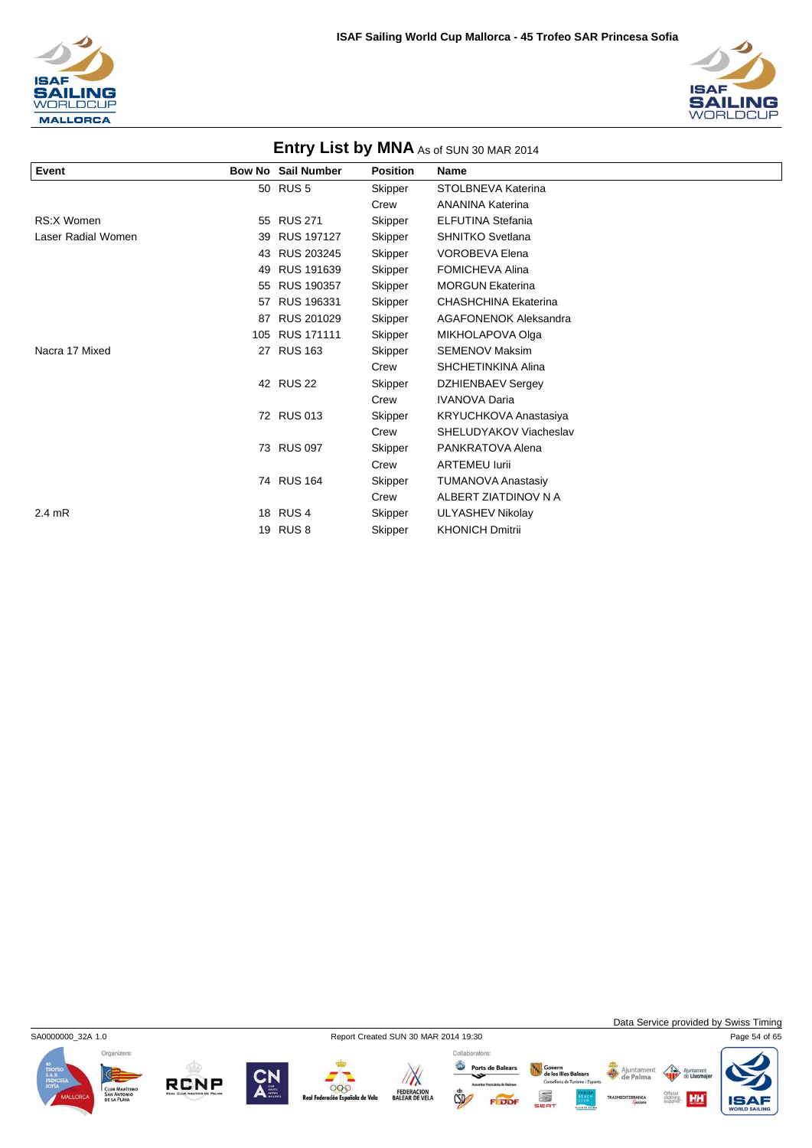



|                    |     |                           |                 | $\cdots$ $\cdots$ $\cdots$ $\cdots$ $\cdots$ $\cdots$ $\cdots$ $\cdots$ $\cdots$ $\cdots$ |
|--------------------|-----|---------------------------|-----------------|-------------------------------------------------------------------------------------------|
| Event              |     | <b>Bow No Sail Number</b> | <b>Position</b> | <b>Name</b>                                                                               |
|                    |     | 50 RUS 5                  | Skipper         | STOLBNEVA Katerina                                                                        |
|                    |     |                           | Crew            | <b>ANANINA Katerina</b>                                                                   |
| RS:X Women         |     | 55 RUS 271                | Skipper         | <b>ELFUTINA Stefania</b>                                                                  |
| Laser Radial Women | 39  | <b>RUS 197127</b>         | Skipper         | <b>SHNITKO Svetlana</b>                                                                   |
|                    | 43  | RUS 203245                | Skipper         | <b>VOROBEVA Elena</b>                                                                     |
|                    | 49  | RUS 191639                | Skipper         | <b>FOMICHEVA Alina</b>                                                                    |
|                    | 55  | RUS 190357                | Skipper         | <b>MORGUN Ekaterina</b>                                                                   |
|                    | 57  | RUS 196331                | Skipper         | <b>CHASHCHINA Ekaterina</b>                                                               |
|                    | 87  | RUS 201029                | Skipper         | <b>AGAFONENOK Aleksandra</b>                                                              |
|                    | 105 | <b>RUS 171111</b>         | Skipper         | MIKHOLAPOVA Olga                                                                          |
| Nacra 17 Mixed     | 27  | <b>RUS 163</b>            | Skipper         | <b>SEMENOV Maksim</b>                                                                     |
|                    |     |                           | Crew            | <b>SHCHETINKINA Alina</b>                                                                 |
|                    |     | 42 RUS 22                 | Skipper         | <b>DZHIENBAEV Sergey</b>                                                                  |
|                    |     |                           | Crew            | <b>IVANOVA Daria</b>                                                                      |
|                    |     | 72 RUS 013                | Skipper         | KRYUCHKOVA Anastasiya                                                                     |
|                    |     |                           | Crew            | SHELUDYAKOV Viacheslav                                                                    |
|                    |     | 73 RUS 097                | Skipper         | PANKRATOVA Alena                                                                          |
|                    |     |                           | Crew            | <b>ARTEMEU lurii</b>                                                                      |
|                    |     | 74 RUS 164                | Skipper         | <b>TUMANOVA Anastasiy</b>                                                                 |
|                    |     |                           | Crew            | ALBERT ZIATDINOV N A                                                                      |
| $2.4$ mR           |     | 18 RUS 4                  | Skipper         | ULYASHEV Nikolay                                                                          |
|                    |     | 19 RUS 8                  | Skipper         | <b>KHONICH Dmitrii</b>                                                                    |



**RCNP** 

SA0000000\_32A 1.0 Report Created SUN 30 MAR 2014 19:30 Page 54 of 65





Govern<br>de les Illes Balears<br>Consellería de Turisme i Esport Ajuntamer ent

S

FEDDI

Data Service provided by Swiss Timing

HH

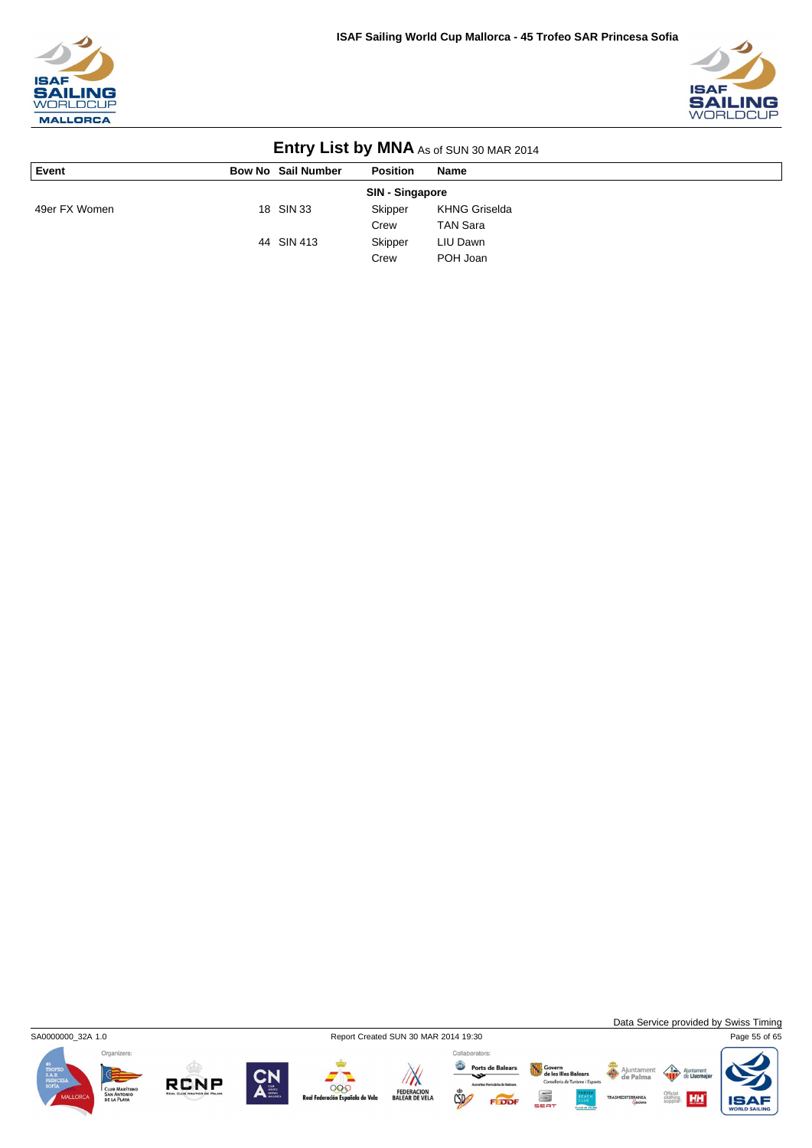



| <b>LITTLE YOUR DY IVITY AS OF SUN 30 MAR 2014</b> |                           |                 |                      |  |  |  |
|---------------------------------------------------|---------------------------|-----------------|----------------------|--|--|--|
| Event                                             | <b>Bow No Sail Number</b> | <b>Position</b> | Name                 |  |  |  |
| SIN - Singapore                                   |                           |                 |                      |  |  |  |
| 49er FX Women                                     | 18 SIN 33                 | Skipper         | <b>KHNG Griselda</b> |  |  |  |
|                                                   |                           | Crew            | <b>TAN Sara</b>      |  |  |  |
|                                                   | 44 SIN 413                | Skipper         | LIU Dawn             |  |  |  |
|                                                   |                           | Crew            | POH Joan             |  |  |  |



**RCNP** 

000

ola de Vela

 $\sqrt{N}$ 

FEDERACION<br>BALEAR DE VELA



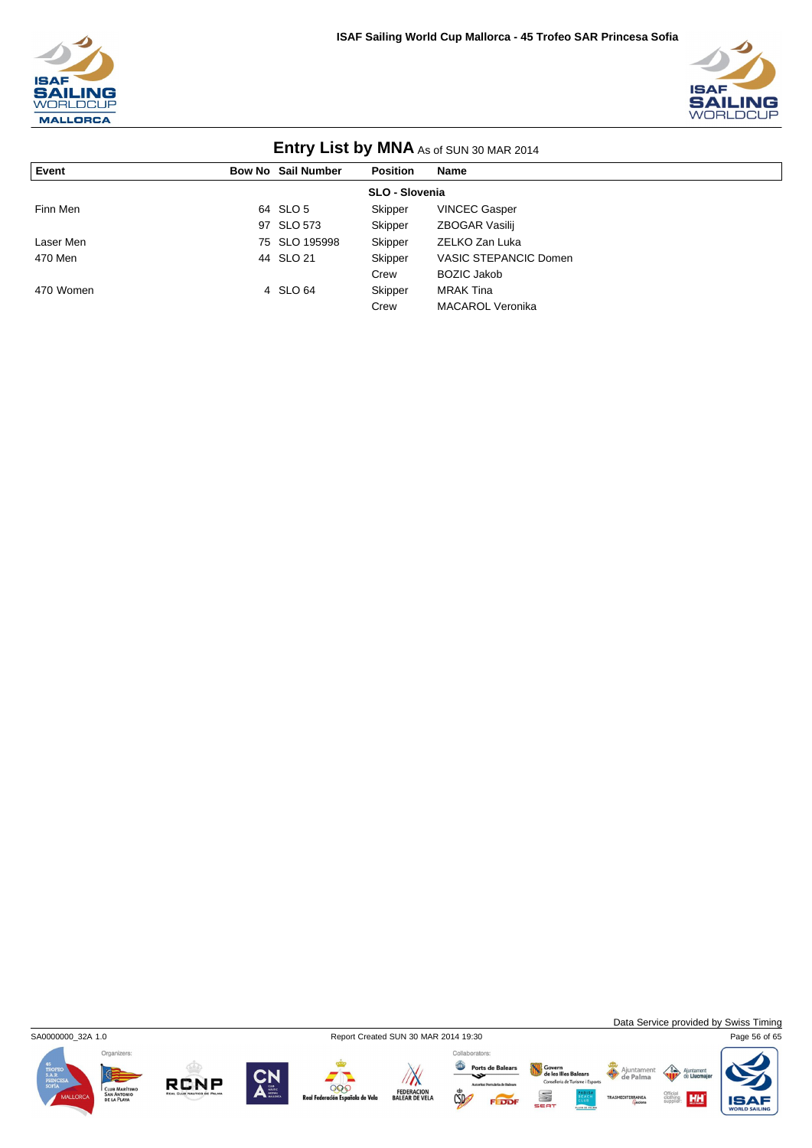



| <b>LITTLE Y LIST DY IVITY AS 01 SUN 30 MAR 2014</b> |  |                           |                 |                         |  |  |  |
|-----------------------------------------------------|--|---------------------------|-----------------|-------------------------|--|--|--|
| Event                                               |  | <b>Bow No Sail Number</b> | <b>Position</b> | <b>Name</b>             |  |  |  |
| SLO - Slovenia                                      |  |                           |                 |                         |  |  |  |
| Finn Men                                            |  | 64 SLO 5                  | Skipper         | <b>VINCEC Gasper</b>    |  |  |  |
|                                                     |  | 97 SLO 573                | Skipper         | ZBOGAR Vasilij          |  |  |  |
| Laser Men                                           |  | 75 SLO 195998             | Skipper         | ZELKO Zan Luka          |  |  |  |
| 470 Men                                             |  | 44 SLO 21                 | Skipper         | VASIC STEPANCIC Domen   |  |  |  |
|                                                     |  |                           | Crew            | <b>BOZIC Jakob</b>      |  |  |  |
| 470 Women                                           |  | 4 SLO 64                  | Skipper         | <b>MRAK Tina</b>        |  |  |  |
|                                                     |  |                           | Crew            | <b>MACAROL Veronika</b> |  |  |  |



**RCNP** 

SA0000000\_32A 1.0 Report Created SUN 30 MAR 2014 19:30 Page 56 of 65

Collaborators:  $\sqrt{N}$ 000 FEDERACION<br>BALEAR DE VELA la de Vela



Govern<br>de les Illes Balears<br>Consellería de Turisme i Esport

S

Ajuntamen nent  $\sqrt{3}$ 

Data Service provided by Swiss Timing

HH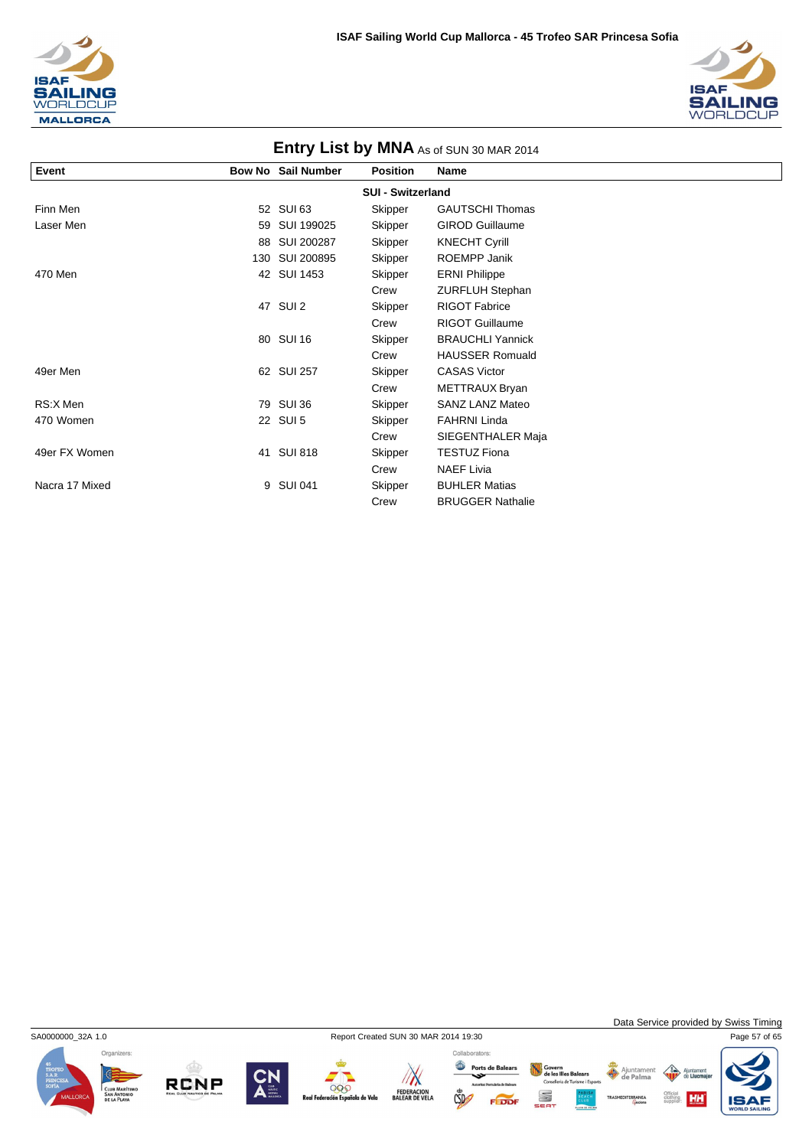



| <b>ETTH Y EIST MY INITIA</b> AS OF SOLY SO IWAN 2014 |     |                           |                 |                         |  |  |  |  |  |
|------------------------------------------------------|-----|---------------------------|-----------------|-------------------------|--|--|--|--|--|
| Event                                                |     | <b>Bow No Sail Number</b> | <b>Position</b> | Name                    |  |  |  |  |  |
| <b>SUI - Switzerland</b>                             |     |                           |                 |                         |  |  |  |  |  |
| Finn Men                                             |     | 52 SUI 63                 | Skipper         | <b>GAUTSCHI Thomas</b>  |  |  |  |  |  |
| Laser Men                                            | 59  | SUI 199025                | Skipper         | <b>GIROD Guillaume</b>  |  |  |  |  |  |
|                                                      | 88  | SUI 200287                | Skipper         | <b>KNECHT Cyrill</b>    |  |  |  |  |  |
|                                                      | 130 | <b>SUI 200895</b>         | Skipper         | ROEMPP Janik            |  |  |  |  |  |
| 470 Men                                              |     | 42 SUI 1453               | Skipper         | <b>ERNI Philippe</b>    |  |  |  |  |  |
|                                                      |     |                           | Crew            | <b>ZURFLUH Stephan</b>  |  |  |  |  |  |
|                                                      |     | 47 SUI 2                  | Skipper         | <b>RIGOT Fabrice</b>    |  |  |  |  |  |
|                                                      |     |                           | Crew            | <b>RIGOT Guillaume</b>  |  |  |  |  |  |
|                                                      |     | 80 SUI 16                 | Skipper         | <b>BRAUCHLI Yannick</b> |  |  |  |  |  |
|                                                      |     |                           | Crew            | <b>HAUSSER Romuald</b>  |  |  |  |  |  |
| 49er Men                                             |     | 62 SUI 257                | Skipper         | <b>CASAS Victor</b>     |  |  |  |  |  |
|                                                      |     |                           | Crew            | METTRAUX Bryan          |  |  |  |  |  |
| RS:X Men                                             |     | 79 SUI 36                 | Skipper         | <b>SANZ LANZ Mateo</b>  |  |  |  |  |  |
| 470 Women                                            |     | 22 SUI 5                  | Skipper         | <b>FAHRNI Linda</b>     |  |  |  |  |  |
|                                                      |     |                           | Crew            | SIEGENTHALER Maja       |  |  |  |  |  |
| 49er FX Women                                        |     | 41 SUI 818                | Skipper         | <b>TESTUZ Fiona</b>     |  |  |  |  |  |
|                                                      |     |                           | Crew            | <b>NAEF Livia</b>       |  |  |  |  |  |
| Nacra 17 Mixed                                       | 9   | <b>SUI 041</b>            | Skipper         | <b>BUHLER Matias</b>    |  |  |  |  |  |
|                                                      |     |                           | Crew            | <b>BRUGGER Nathalie</b> |  |  |  |  |  |



**RCNP** 



000

la de Vela

 $\mathbb{Z}$ 

FEDERACION<br>BALEAR DE VELA

Data Service provided by Swiss Timing

 $\triangle$ nent

Collaborators:

 $CSD$ 

Ports de Balears Govern<br>de les Illes Balears<br>Consellería de Turisme i Esport Ajuntamen S  $-100$ 

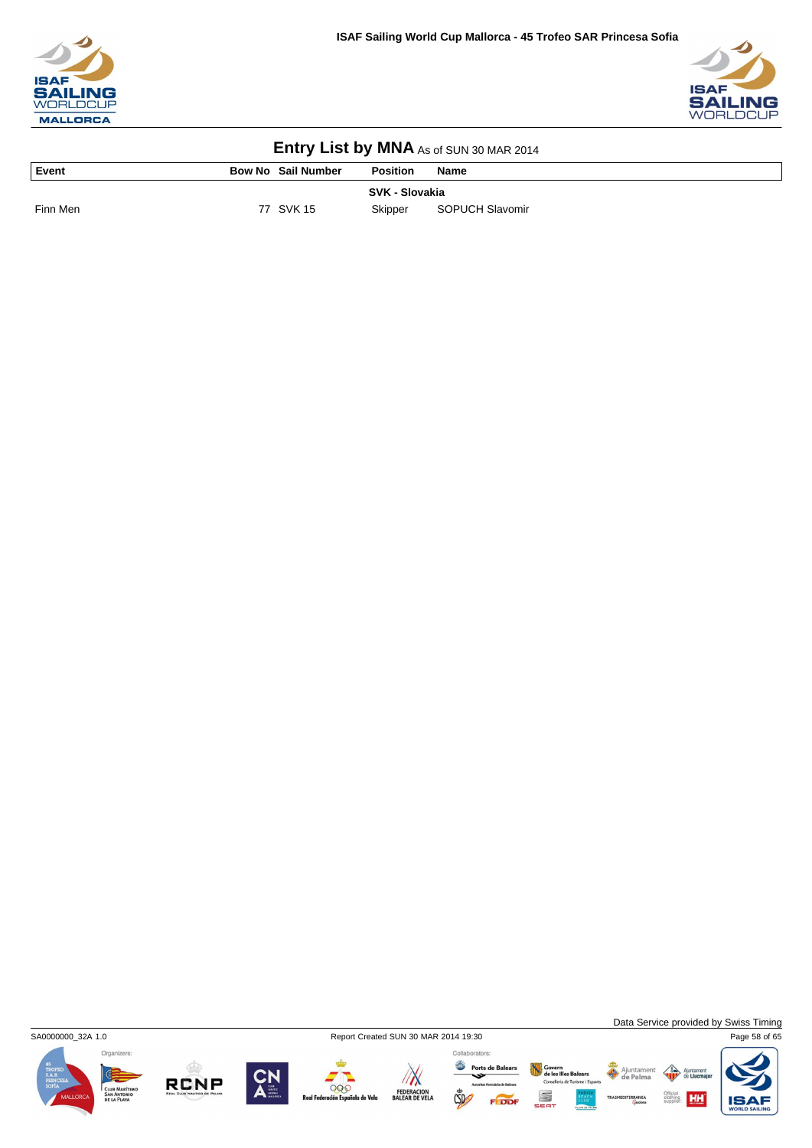



| l Event  | <b>Bow No Sail Number</b> | <b>Position</b> | <b>Name</b>     |
|----------|---------------------------|-----------------|-----------------|
|          |                           | SVK - Slovakia  |                 |
| Finn Men | 77 SVK 15                 | Skipper         | SOPUCH Slavomir |



Data Service provided by Swiss Timing

HH

Ajuntamer<br>de Palma









Ports de Balears  $CSD$ 

Collaborators:

Govern<br>de les Illes Balears<br>Conselleria de Turisme i Esport S

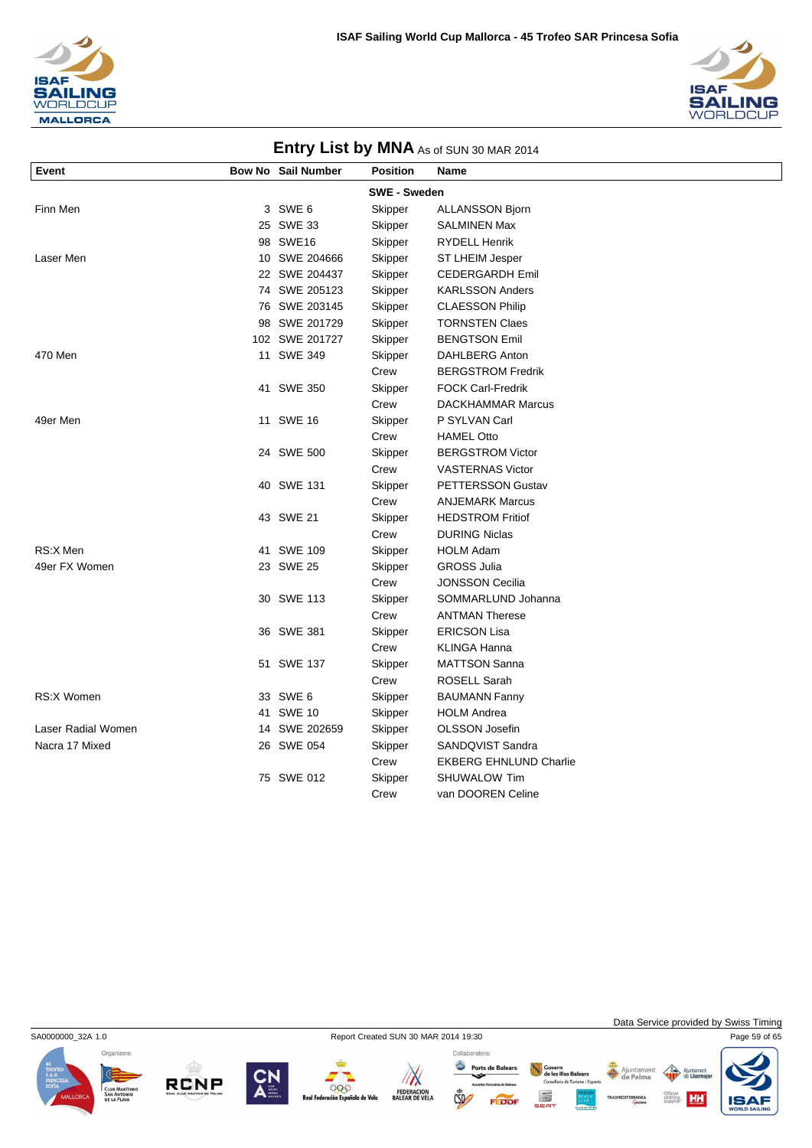



| Event              | <b>Bow No Sail Number</b> | <b>Position</b>     | Name                          |
|--------------------|---------------------------|---------------------|-------------------------------|
|                    |                           | <b>SWE - Sweden</b> |                               |
| Finn Men           | 3 SWE 6                   | Skipper             | <b>ALLANSSON Bjorn</b>        |
|                    | 25 SWE 33                 | Skipper             | SALMINEN Max                  |
|                    | 98 SWE16                  | Skipper             | <b>RYDELL Henrik</b>          |
| Laser Men          | 10 SWE 204666             | Skipper             | ST LHEIM Jesper               |
|                    | 22 SWE 204437             | Skipper             | <b>CEDERGARDH Emil</b>        |
|                    | 74 SWE 205123             | Skipper             | <b>KARLSSON Anders</b>        |
|                    | 76 SWE 203145             | Skipper             | <b>CLAESSON Philip</b>        |
|                    | 98 SWE 201729             | Skipper             | <b>TORNSTEN Claes</b>         |
|                    | 102 SWE 201727            | Skipper             | <b>BENGTSON Emil</b>          |
| 470 Men            | 11 SWE 349                | Skipper             | <b>DAHLBERG Anton</b>         |
|                    |                           | Crew                | <b>BERGSTROM Fredrik</b>      |
|                    | 41 SWE 350                | Skipper             | <b>FOCK Carl-Fredrik</b>      |
|                    |                           | Crew                | <b>DACKHAMMAR Marcus</b>      |
| 49er Men           | 11 SWE 16                 | Skipper             | P SYLVAN Carl                 |
|                    |                           | Crew                | <b>HAMEL Otto</b>             |
|                    | 24 SWE 500                | Skipper             | <b>BERGSTROM Victor</b>       |
|                    |                           | Crew                | <b>VASTERNAS Victor</b>       |
|                    | 40 SWE 131                | Skipper             | PETTERSSON Gustav             |
|                    |                           | Crew                | <b>ANJEMARK Marcus</b>        |
|                    | 43 SWE 21                 | Skipper             | <b>HEDSTROM Fritiof</b>       |
|                    |                           | Crew                | <b>DURING Niclas</b>          |
| RS:X Men           | 41 SWE 109                | Skipper             | <b>HOLM Adam</b>              |
| 49er FX Women      | 23 SWE 25                 | Skipper             | <b>GROSS Julia</b>            |
|                    |                           | Crew                | JONSSON Cecilia               |
|                    | 30 SWE 113                | Skipper             | SOMMARLUND Johanna            |
|                    |                           | Crew                | <b>ANTMAN Therese</b>         |
|                    | 36 SWE 381                | Skipper             | <b>ERICSON Lisa</b>           |
|                    |                           | Crew                | <b>KLINGA Hanna</b>           |
|                    | 51 SWE 137                | Skipper             | <b>MATTSON Sanna</b>          |
|                    |                           | Crew                | ROSELL Sarah                  |
| RS:X Women         | 33 SWE 6                  | Skipper             | <b>BAUMANN Fanny</b>          |
|                    | 41 SWE 10                 | Skipper             | <b>HOLM Andrea</b>            |
| Laser Radial Women | 14 SWE 202659             | Skipper             | <b>OLSSON Josefin</b>         |
| Nacra 17 Mixed     | 26 SWE 054                | Skipper             | SANDQVIST Sandra              |
|                    |                           | Crew                | <b>EKBERG EHNLUND Charlie</b> |
|                    | 75 SWE 012                | Skipper             | SHUWALOW Tim                  |
|                    |                           | Crew                | van DOOREN Celine             |



**RCNP** 





999



Govern<br>de les Illes Balears<br>Consellería de Turisme i Esport

S

Ajuntamer<br>de Palma

Data Service provided by Swiss Timing

HH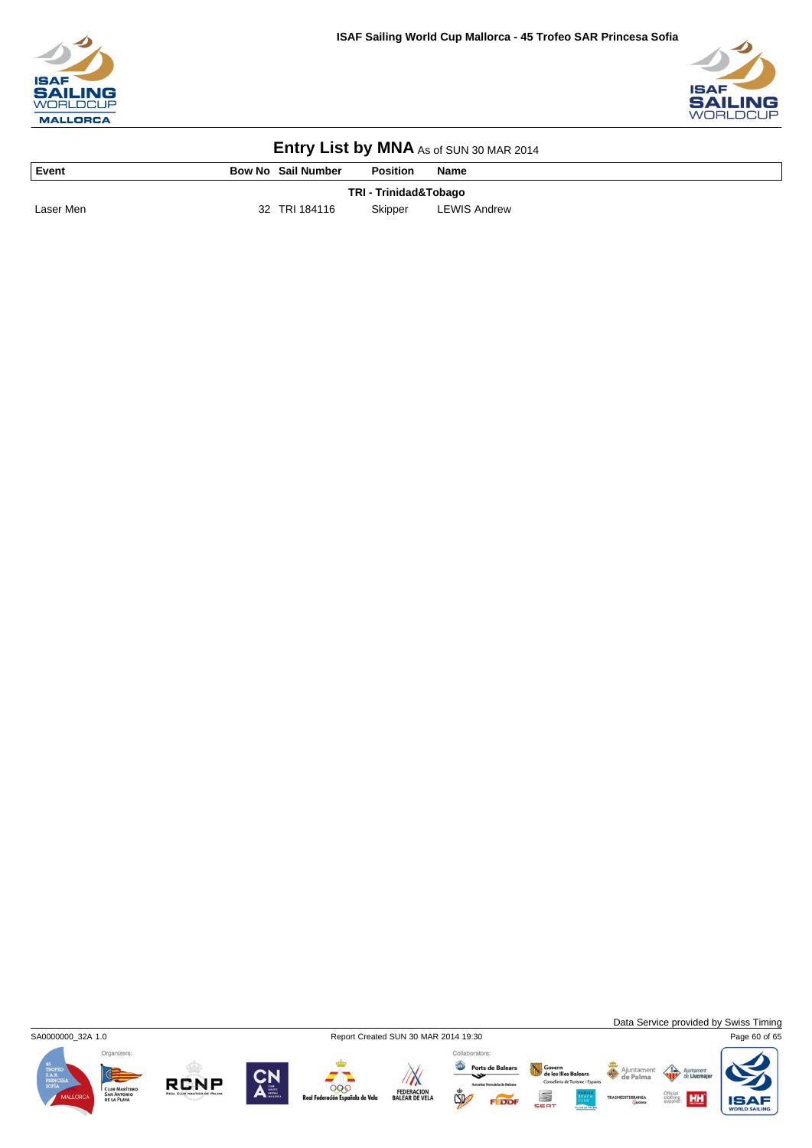



| Event     | <b>Bow No Sail Number</b> | <b>Position</b> | <b>Name</b>         |  |  |  |
|-----------|---------------------------|-----------------|---------------------|--|--|--|
|           | TRI - Trinidad&Tobago     |                 |                     |  |  |  |
| Laser Men | 32 TRI 184116             | Skipper         | <b>LEWIS Andrew</b> |  |  |  |



 $\sqrt{N}$ 

FEDERACION<br>BALEAR DE VELA

Data Service provided by Swiss Timing

HH

Organizers:



999

de Velo

Collaborators: Govern<br>de les Illes Balears<br>Conselleria de Turisme i Esport Ports de Balears S  $CSD$ 

Ajuntamer<br>de Palma

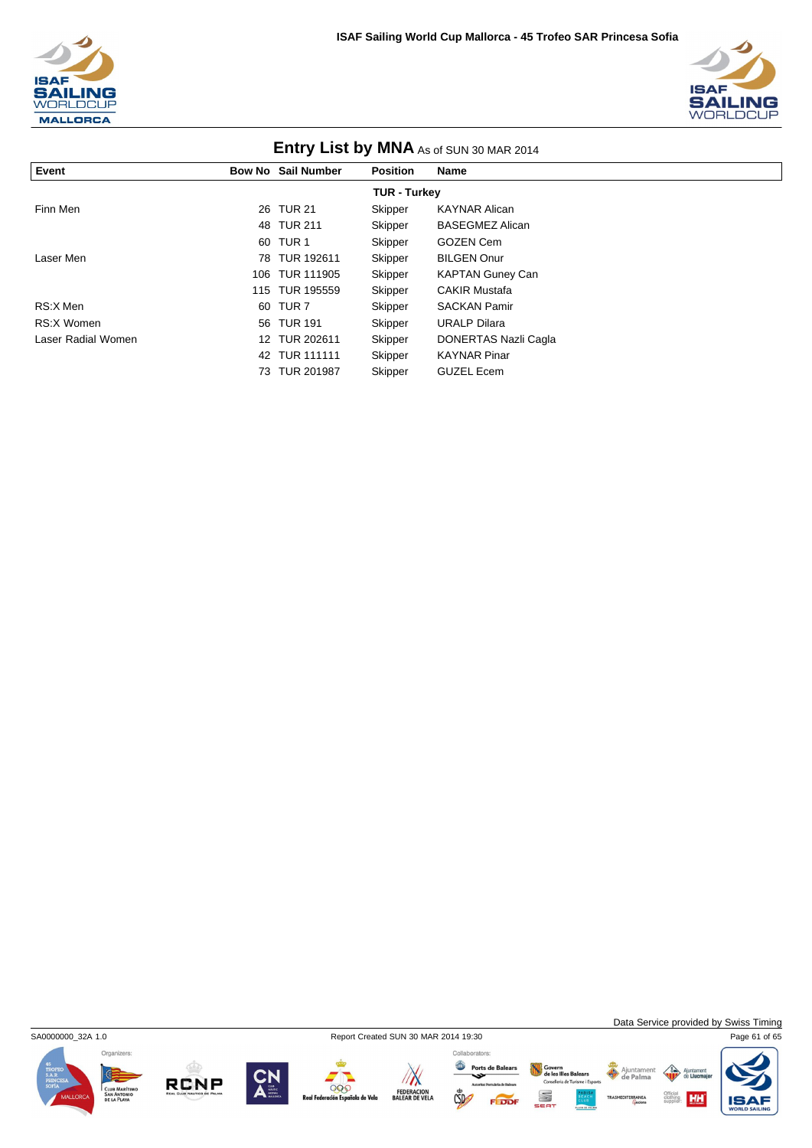



| <b>ETILLY LIST DY IVINA</b> As of SUN 30 MAR 2014 |  |                           |                 |                         |  |
|---------------------------------------------------|--|---------------------------|-----------------|-------------------------|--|
| Event                                             |  | <b>Bow No Sail Number</b> | <b>Position</b> | <b>Name</b>             |  |
| <b>TUR - Turkey</b>                               |  |                           |                 |                         |  |
| Finn Men                                          |  | 26 TUR 21                 | Skipper         | <b>KAYNAR Alican</b>    |  |
|                                                   |  | 48 TUR 211                | Skipper         | <b>BASEGMEZ Alican</b>  |  |
|                                                   |  | 60 TUR 1                  | Skipper         | <b>GOZEN Cem</b>        |  |
| Laser Men                                         |  | 78 TUR 192611             | Skipper         | <b>BILGEN Onur</b>      |  |
|                                                   |  | 106 TUR 111905            | Skipper         | <b>KAPTAN Guney Can</b> |  |
|                                                   |  | 115 TUR 195559            | Skipper         | <b>CAKIR Mustafa</b>    |  |
| RS:X Men                                          |  | 60 TUR 7                  | Skipper         | <b>SACKAN Pamir</b>     |  |
| RS:X Women                                        |  | 56 TUR 191                | Skipper         | <b>URALP Dilara</b>     |  |
| Laser Radial Women                                |  | 12 TUR 202611             | Skipper         | DONERTAS Nazli Cagla    |  |
|                                                   |  | 42 TUR 111111             | Skipper         | <b>KAYNAR Pinar</b>     |  |
|                                                   |  | 73 TUR 201987             | Skipper         | <b>GUZEL Ecem</b>       |  |

### **Entry List by MNA** As of SUN 2014





Data Service provided by Swiss Timing

 $\left\langle \right\rangle$ Ajunt

Official<br>clothing **HH** 

Ajuntament

Organizers:







FEDERACION<br>BALEAR DE VELA

Ports de Balears  $\mathbb{C}$ 

Govern<br>de les Illes Balears<br>Conselleria de Turisme i Esports S FEDDI

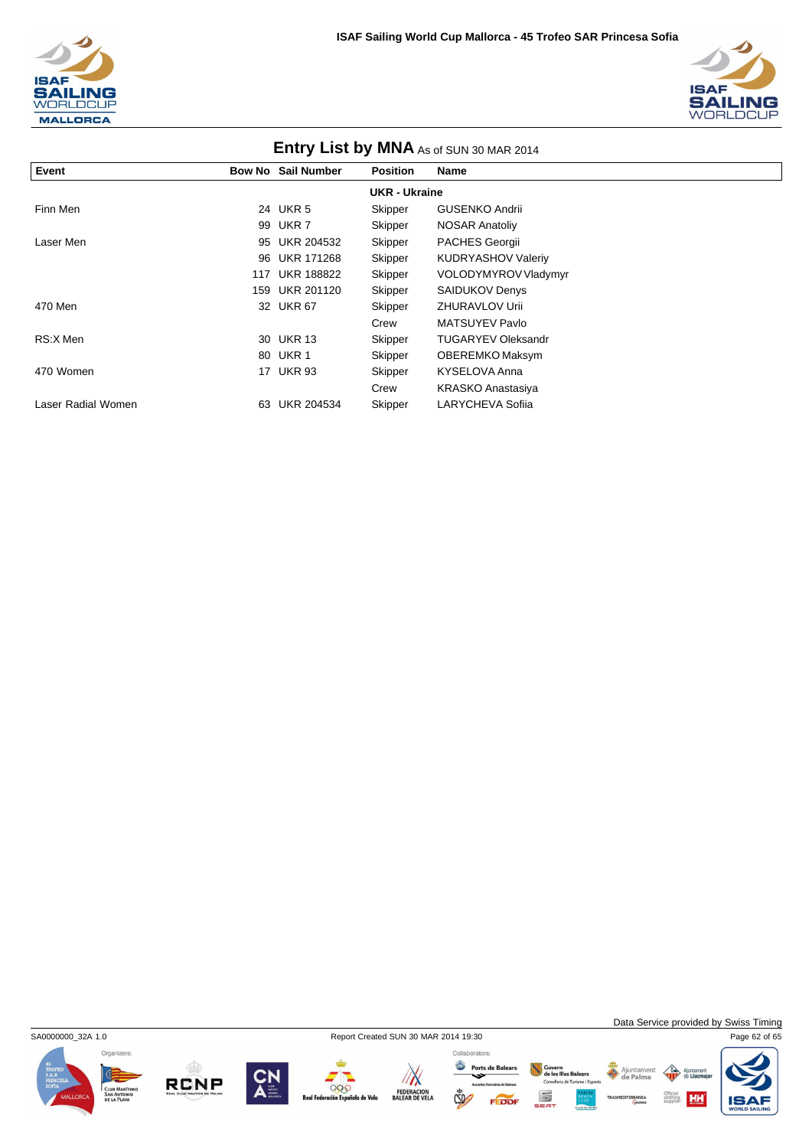



| <b>LITTLE YOUR LIST DY IVITY AS OF SUN 30 MAR 2014</b> |     |                           |                 |                           |  |
|--------------------------------------------------------|-----|---------------------------|-----------------|---------------------------|--|
| Event                                                  |     | <b>Bow No Sail Number</b> | <b>Position</b> | Name                      |  |
| <b>UKR - Ukraine</b>                                   |     |                           |                 |                           |  |
| Finn Men                                               |     | 24 UKR 5                  | Skipper         | <b>GUSENKO Andrii</b>     |  |
|                                                        |     | 99 UKR 7                  | Skipper         | <b>NOSAR Anatoliy</b>     |  |
| Laser Men                                              | 95  | UKR 204532                | Skipper         | <b>PACHES Georgii</b>     |  |
|                                                        |     | 96 UKR 171268             | Skipper         | KUDRYASHOV Valeriy        |  |
|                                                        |     | 117 UKR 188822            | Skipper         | VOLODYMYROV Vladymyr      |  |
|                                                        | 159 | UKR 201120                | Skipper         | <b>SAIDUKOV Denys</b>     |  |
| 470 Men                                                |     | 32 UKR 67                 | Skipper         | <b>ZHURAVLOV Urii</b>     |  |
|                                                        |     |                           | Crew            | MATSUYEV Pavlo            |  |
| RS:X Men                                               |     | 30 UKR 13                 | Skipper         | <b>TUGARYEV Oleksandr</b> |  |
|                                                        |     | 80 UKR 1                  | Skipper         | OBEREMKO Maksym           |  |
| 470 Women                                              |     | 17 UKR 93                 | Skipper         | KYSELOVA Anna             |  |
|                                                        |     |                           | Crew            | KRASKO Anastasiya         |  |
| Laser Radial Women                                     | 63  | <b>UKR 204534</b>         | Skipper         | LARYCHEVA Sofiia          |  |



**RCNP** 



000

ola de Vela

 $\sqrt{N}$ 

FEDERACION<br>BALEAR DE VELA

 $\mathbb{C}$ 

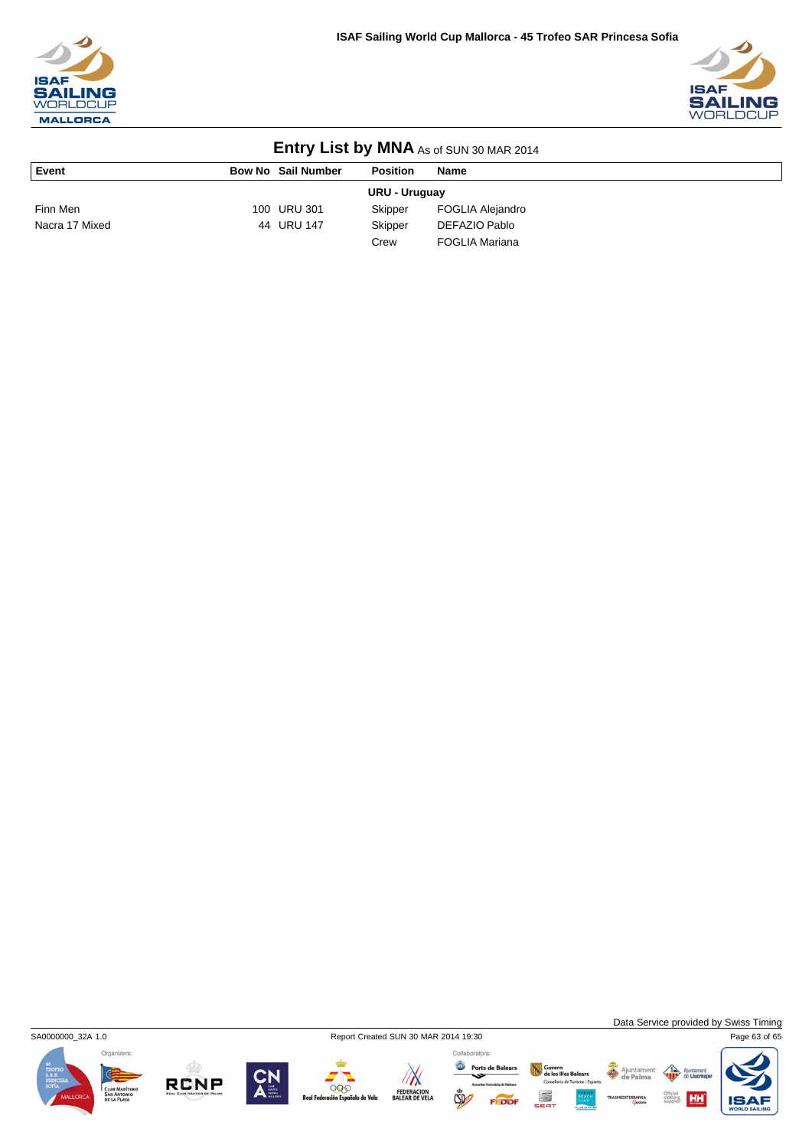



| <b>LITTLE YOUR LIST DY INITER</b> AS OF SUN 30 MAR 2014 |  |                           |                 |                       |  |
|---------------------------------------------------------|--|---------------------------|-----------------|-----------------------|--|
| Event                                                   |  | <b>Bow No Sail Number</b> | <b>Position</b> | Name                  |  |
| <b>URU - Uruguay</b>                                    |  |                           |                 |                       |  |
| Finn Men                                                |  | 100 URU 301               | Skipper         | FOGLIA Alejandro      |  |
| Nacra 17 Mixed                                          |  | 44 URU 147                | Skipper         | DEFAZIO Pablo         |  |
|                                                         |  |                           | Crew            | <b>FOGLIA Mariana</b> |  |



**RCNP** 







HH

 $\triangle$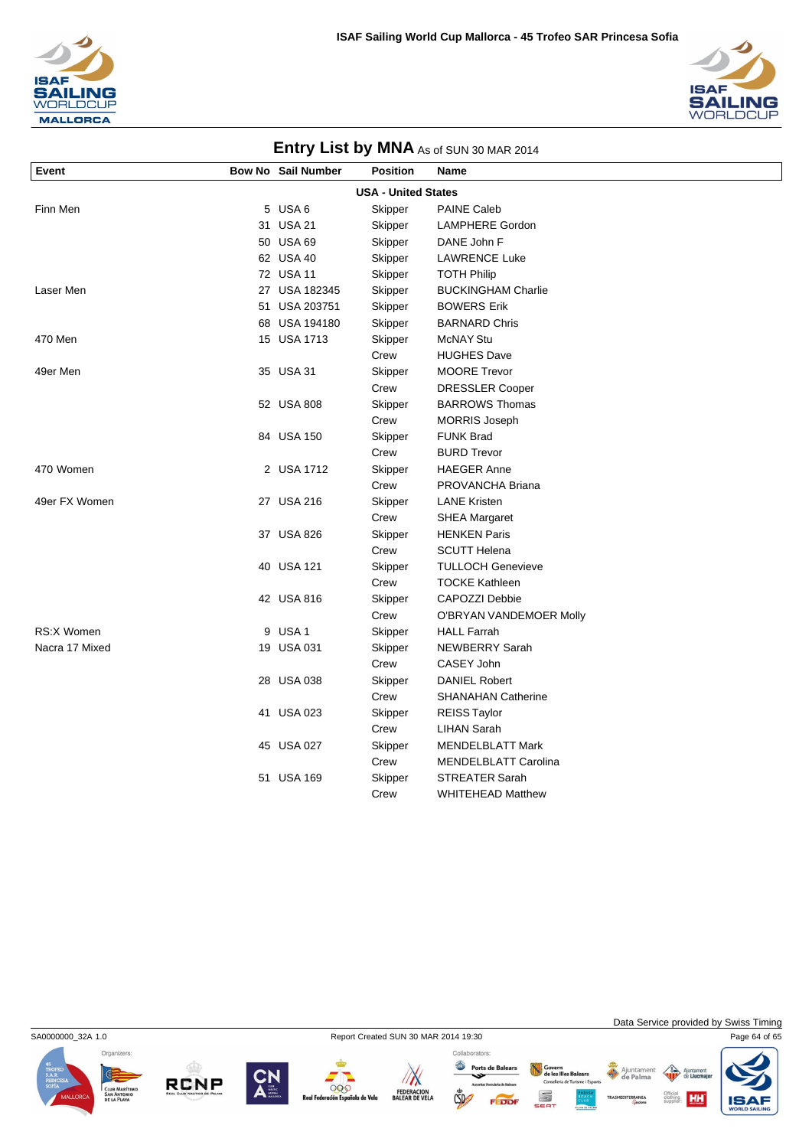



| <b>LITTLE ST DY INTER</b> AS OF SUN 30 MAR 2014 |  |                           |                 |                             |  |  |
|-------------------------------------------------|--|---------------------------|-----------------|-----------------------------|--|--|
| Event                                           |  | <b>Bow No Sail Number</b> | <b>Position</b> | Name                        |  |  |
| <b>USA - United States</b>                      |  |                           |                 |                             |  |  |
| Finn Men                                        |  | 5 USA 6                   | Skipper         | <b>PAINE Caleb</b>          |  |  |
|                                                 |  | 31 USA 21                 | Skipper         | <b>LAMPHERE Gordon</b>      |  |  |
|                                                 |  | 50 USA 69                 | Skipper         | DANE John F                 |  |  |
|                                                 |  | 62 USA 40                 | Skipper         | <b>LAWRENCE Luke</b>        |  |  |
|                                                 |  | 72 USA 11                 | Skipper         | <b>TOTH Philip</b>          |  |  |
| Laser Men                                       |  | 27 USA 182345             | Skipper         | <b>BUCKINGHAM Charlie</b>   |  |  |
|                                                 |  | 51 USA 203751             | Skipper         | <b>BOWERS Erik</b>          |  |  |
|                                                 |  | 68 USA 194180             | Skipper         | <b>BARNARD Chris</b>        |  |  |
| 470 Men                                         |  | 15 USA 1713               | Skipper         | <b>McNAY Stu</b>            |  |  |
|                                                 |  |                           | Crew            | <b>HUGHES Dave</b>          |  |  |
| 49er Men                                        |  | 35 USA 31                 | Skipper         | <b>MOORE Trevor</b>         |  |  |
|                                                 |  |                           | Crew            | <b>DRESSLER Cooper</b>      |  |  |
|                                                 |  | 52 USA 808                | Skipper         | <b>BARROWS Thomas</b>       |  |  |
|                                                 |  |                           | Crew            | <b>MORRIS Joseph</b>        |  |  |
|                                                 |  | 84 USA 150                | Skipper         | <b>FUNK Brad</b>            |  |  |
|                                                 |  |                           | Crew            | <b>BURD Trevor</b>          |  |  |
| 470 Women                                       |  | 2 USA 1712                | Skipper         | <b>HAEGER Anne</b>          |  |  |
|                                                 |  |                           | Crew            | PROVANCHA Briana            |  |  |
| 49er FX Women                                   |  | 27 USA 216                | Skipper         | <b>LANE Kristen</b>         |  |  |
|                                                 |  |                           | Crew            | <b>SHEA Margaret</b>        |  |  |
|                                                 |  | 37 USA 826                | Skipper         | <b>HENKEN Paris</b>         |  |  |
|                                                 |  |                           | Crew            | <b>SCUTT Helena</b>         |  |  |
|                                                 |  | 40 USA 121                | Skipper         | <b>TULLOCH Genevieve</b>    |  |  |
|                                                 |  |                           | Crew            | <b>TOCKE Kathleen</b>       |  |  |
|                                                 |  | 42 USA 816                | Skipper         | CAPOZZI Debbie              |  |  |
|                                                 |  |                           | Crew            | O'BRYAN VANDEMOER Molly     |  |  |
| RS:X Women                                      |  | 9 USA 1                   | Skipper         | <b>HALL Farrah</b>          |  |  |
| Nacra 17 Mixed                                  |  | 19 USA 031                | Skipper         | <b>NEWBERRY Sarah</b>       |  |  |
|                                                 |  |                           | Crew            | CASEY John                  |  |  |
|                                                 |  | 28 USA 038                | Skipper         | <b>DANIEL Robert</b>        |  |  |
|                                                 |  |                           | Crew            | SHANAHAN Catherine          |  |  |
|                                                 |  | 41 USA 023                | Skipper         | <b>REISS Taylor</b>         |  |  |
|                                                 |  |                           | Crew            | <b>LIHAN Sarah</b>          |  |  |
|                                                 |  | 45 USA 027                | Skipper         | <b>MENDELBLATT Mark</b>     |  |  |
|                                                 |  |                           | Crew            | <b>MENDELBLATT Carolina</b> |  |  |
|                                                 |  | 51 USA 169                | Skipper         | <b>STREATER Sarah</b>       |  |  |
|                                                 |  |                           | Crew            | <b>WHITEHEAD Matthew</b>    |  |  |



SA0000000\_32A 1.0 Report Created SUN 30 MAR 2014 19:30 Page 64 of 65





Data Service provided by Swiss Timing

HH

 $\triangle$ 









Ports de Balears S